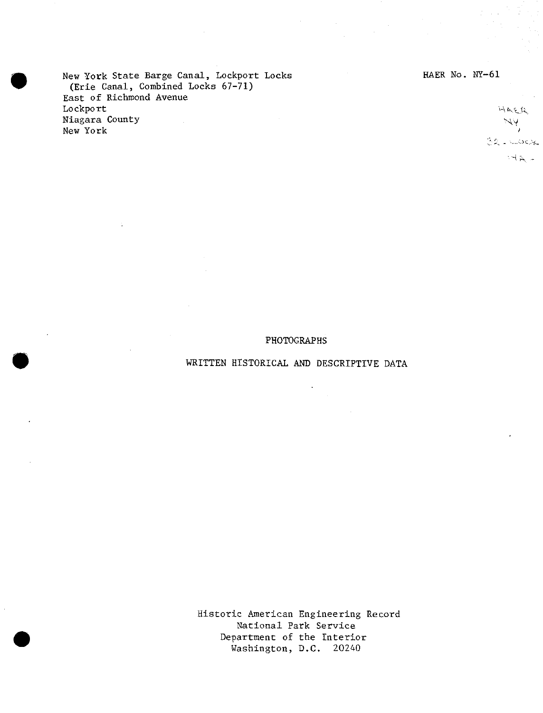New York State Barge Canal, Lockport Locks (Erie Canal, Combined Locks 67-71) East of Richmond Avenue Lockport Niagara County New York

HAER No. NY-61

## $\mathcal{A} \in \mathcal{A}$  $\sim$  A  $\overline{1}$ 32 Liudese  $-4.4 -$

#### PHOTOGRAPHS

### WRITTEN HISTORICAL AND DESCRIPTIVE DATA

 $\mathcal{A}$ 

Historic American Engineering Record National Park Service Department of the Interior Washington, D.C. 20240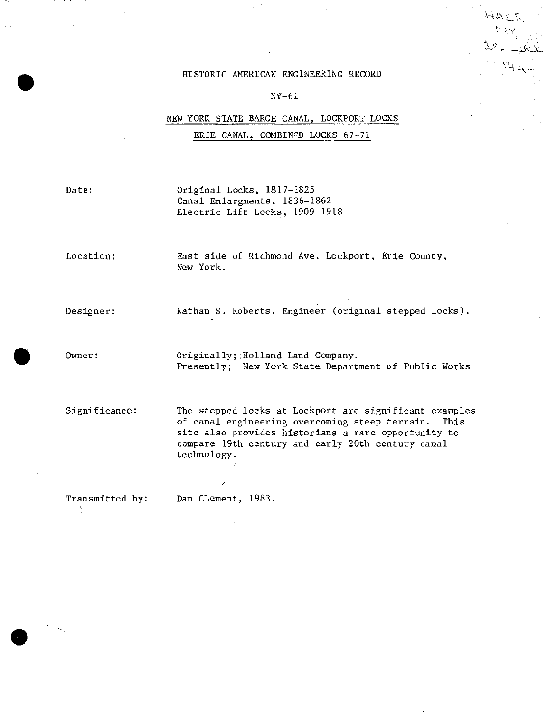#### HISTORIC AMERICAN ENGINEERING RECORD

 $H_{\cal P} = V$ **v-w**

 $H \not\Rightarrow \neg$ 

<. ?

#### NY-61

# NEW YORK STATE BARGE CANAL, LOCKPORT LOCKS ERIE CANAL, COMBINED LOCKS 67-71

Date: Original Locks, 1817-1825 Canal Enlargments, 1836-1862 Electric Lift Locks, 1909-1918

Location: East side of Richmond Ave. Lockport, Erie County, New York.

Designer: Nathan S. Roberts, Engineer (original stepped locks).

Owner: 0riginally; Holland Land Company. Presently; New York State Department of Public Works

Significance: The stepped locks at Lockport are significant examples of canal engineering overcoming steep terrain. This site also provides historians a rare opportunity to compare 19th century and early 20th century canal technology.

Transmitted by; Dan CLement, 1983.

ţ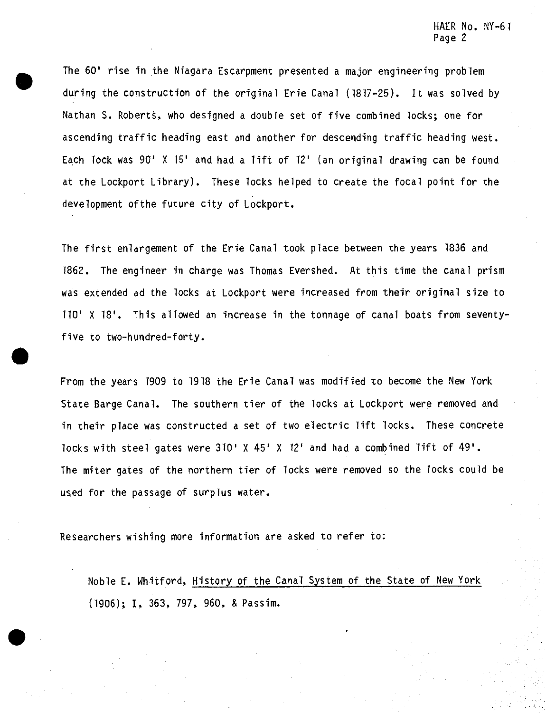The 60' rise in the Niagara Escarpment presented a major engineering problem during the construction of the original Erie Canal (1817-25). It was solved by Nathan S. Roberts, who designed a double set of five combined locks; one for ascending traffic heading east and another for descending traffic heading west. Each lock was 90' X 15' and had a lift of 12' (an original drawing can be found at the Lockport Library), These locks helped to create the focal point for the development ofthe future city of Lockport.

The first enlargement of the Erie Canal took place between the years 1836 and 1862. The engineer in charge was Thomas Evershed. At this time the canal prism was extended ad the locks at Lockport were increased from their original size to 110\* X 18'. This allowed an increase in the tonnage of canal boats from seventyfive to two-hundred-forty.

From the years 1909 to 1918 the Erie Canal was modified to become the New York State Barge Canal. The southern tier of the locks at Lockport were removed and in their place was constructed a set of two electric lift locks. These concrete locks with steel gates were 310' X 45' X 12' and had a combined lift of 49'. The miter gates of the northern tier of locks were removed so the locks could be used for the passage of surplus water.

Researchers wishing more information are asked to refer to:

Noble E. Whitford, History of the Canal System of the State of New York (1906); I, 363, 797, 960, & Passim.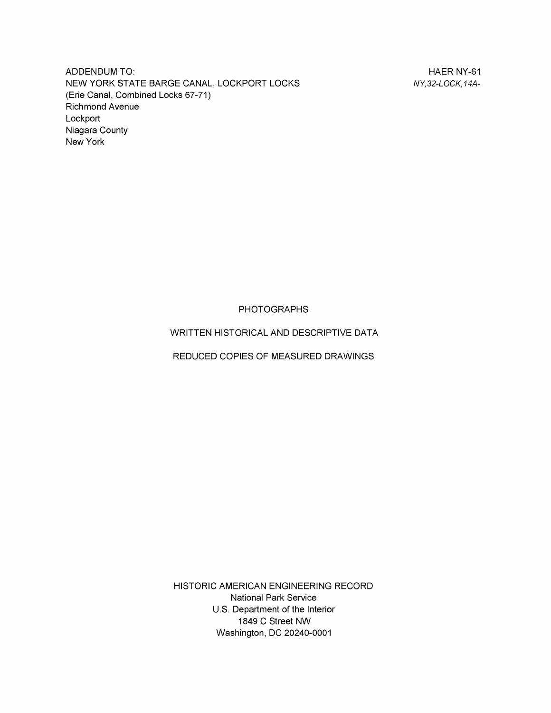ADDENDUM TO: ALCOHOL: AND TO: ALCOHOL: AND TO: ALCOHOL: ALCOHOL: ALCOHOL: ALCOHOL: ALCOHOL: ALCOHOL: ALCOHOL: ALCOHOL: ALCOHOL: ALCOHOL: ALCOHOL: ALCOHOL: ALCOHOL: ALCOHOL: ALCOHOL: ALCOHOL: ALCOHOL: ALCOHOL: ALCOHOL: ALCO NEW YORK STATE BARGE CANAL, LOCKPORT LOCKS *NY,32-LOCK, 14A-* (Erie Canal, Combined Locks 67-71) Richmond Avenue Lockport Niagara County New York

PHOTOGRAPHS

WRITTEN HISTORICAL AND DESCRIPTIVE DATA

REDUCED COPIES OF MEASURED DRAWINGS

HISTORIC AMERICAN ENGINEERING RECORD National Park Service U.S. Department of the Interior 1849 C Street NW Washington, DC 20240-0001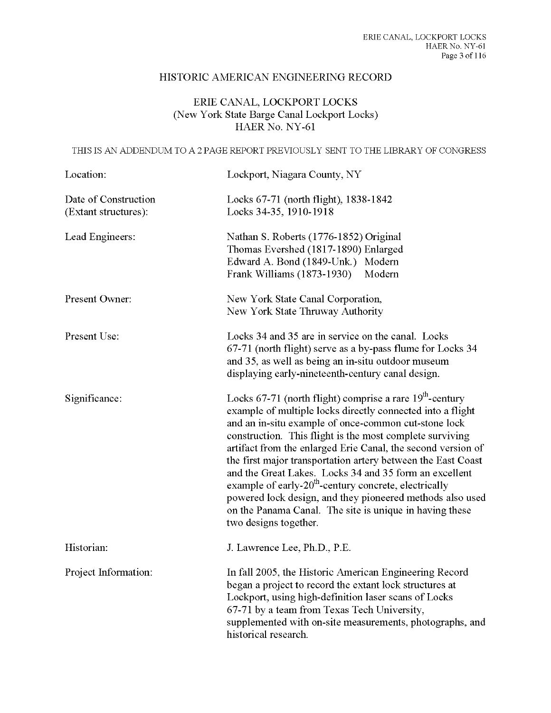# HISTORIC AMERICAN ENGINEERING RECORD

# ERIE CANAL, LOCKPORT LOCKS (New York State Barge Canal Lockport Locks) HAER No. NY-61

THIS IS AN ADDENDUM TO A 2 PAGE REPORT PREVIOUSLY SENT TO THE LIBRARY OF CONGRESS

| Location:                                    | Lockport, Niagara County, NY                                                                                                                                                                                                                                                                                                                                                                                                                                                                                                                                                                                                                                   |
|----------------------------------------------|----------------------------------------------------------------------------------------------------------------------------------------------------------------------------------------------------------------------------------------------------------------------------------------------------------------------------------------------------------------------------------------------------------------------------------------------------------------------------------------------------------------------------------------------------------------------------------------------------------------------------------------------------------------|
| Date of Construction<br>(Extant structures): | Locks 67-71 (north flight), 1838-1842<br>Locks 34-35, 1910-1918                                                                                                                                                                                                                                                                                                                                                                                                                                                                                                                                                                                                |
| Lead Engineers:                              | Nathan S. Roberts (1776-1852) Original<br>Thomas Evershed (1817-1890) Enlarged<br>Edward A. Bond (1849-Unk.) Modern<br>Frank Williams (1873-1930)<br>Modern                                                                                                                                                                                                                                                                                                                                                                                                                                                                                                    |
| Present Owner:                               | New York State Canal Corporation,<br>New York State Thruway Authority                                                                                                                                                                                                                                                                                                                                                                                                                                                                                                                                                                                          |
| Present Use:                                 | Locks 34 and 35 are in service on the canal. Locks<br>67-71 (north flight) serve as a by-pass flume for Locks 34<br>and 35, as well as being an in-situ outdoor museum<br>displaying early-nineteenth-century canal design.                                                                                                                                                                                                                                                                                                                                                                                                                                    |
| Significance:                                | Locks $67-71$ (north flight) comprise a rare $19th$ -century<br>example of multiple locks directly connected into a flight<br>and an in-situ example of once-common cut-stone lock<br>construction. This flight is the most complete surviving<br>artifact from the enlarged Erie Canal, the second version of<br>the first major transportation artery between the East Coast<br>and the Great Lakes. Locks 34 and 35 form an excellent<br>example of early-20 <sup>th</sup> -century concrete, electrically<br>powered lock design, and they pioneered methods also used<br>on the Panama Canal. The site is unique in having these<br>two designs together. |
| Historian:                                   | J. Lawrence Lee, Ph.D., P.E.                                                                                                                                                                                                                                                                                                                                                                                                                                                                                                                                                                                                                                   |
| Project Information:                         | In fall 2005, the Historic American Engineering Record<br>began a project to record the extant lock structures at<br>Lockport, using high-definition laser scans of Locks<br>67-71 by a team from Texas Tech University,<br>supplemented with on-site measurements, photographs, and<br>historical research.                                                                                                                                                                                                                                                                                                                                                   |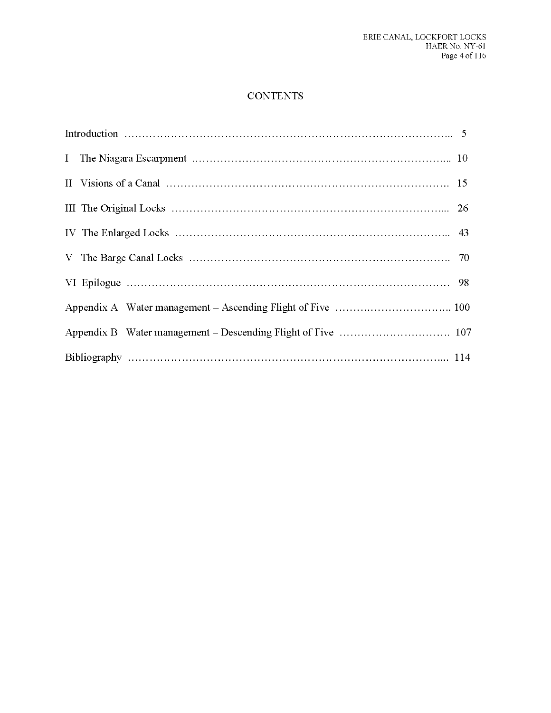# **CONTENTS**

| II Visions of a Canal $\ldots$ $\ldots$ $\ldots$ $\ldots$ $\ldots$ $\ldots$ $\ldots$ $\ldots$ $\ldots$ $\ldots$ $\ldots$ $\ldots$ $\ldots$ 15 |
|-----------------------------------------------------------------------------------------------------------------------------------------------|
|                                                                                                                                               |
|                                                                                                                                               |
|                                                                                                                                               |
|                                                                                                                                               |
|                                                                                                                                               |
|                                                                                                                                               |
|                                                                                                                                               |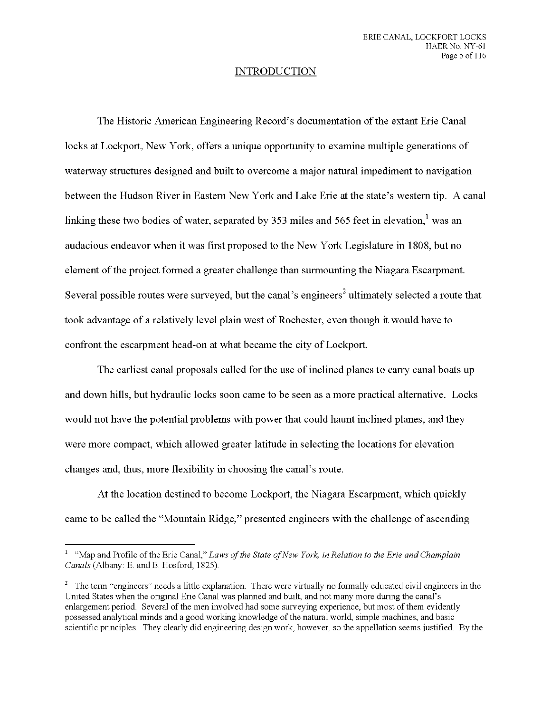## INTRODUCTION

The Historic American Engineering Record's documentation ofthe extant Erie Canal locks at Lockport, New York, offers a unique opportunity to examine multiple generations of waterway structures designed and built to overcome a major natural impediment to navigation between the Hudson River in Eastern New York and Lake Erie at the state's western tip. A canal linking these two bodies of water, separated by 353 miles and 565 feet in elevation,<sup>1</sup> was an audacious endeavor when it was first proposed to the New York Legislature in 1808, but no element of the project formed a greater challenge than surmounting the Niagara Escarpment. Several possible routes were surveyed, but the canal's engineers<sup>2</sup> ultimately selected a route that took advantage of a relatively level plain west of Rochester, even though it would have to confront the escarpment head-on at what became the city of Lockport.

The earliest canal proposals called for the use of inclined planes to carry canal boats up and down hills, but hydraulic locks soon came to be seen as a more practical alternative. Locks would not have the potential problems with power that could haunt inclined planes, and they were more compact, which allowed greater latitude in selecting the locations for elevation changes and, thus, more flexibility in choosing the canal's route.

At the location destined to become Lockport, the Niagara Escarpment, which quickly came to be called the "Mountain Ridge," presented engineers with the challenge of ascending

<sup>1</sup> "Map and Profile of the Erie Canal," *Laws ofthe State ofNew York, in Relation to the Erie and Champlain Canals* (Albany: E. and E. Hosford, 1825).

<sup>&</sup>lt;sup>2</sup> The term "engineers" needs a little explanation. There were virtually no formally educated civil engineers in the United States when the original Erie Canal was planned and built, and not many more during the canal's enlargement period. Several of the men involved had some surveying experience, but most of them evidently possessed analytical minds and a good working knowledge of the natural world, simple machines, and basic scientific principles. They clearly did engineering design work, however, so the appellation seems justified. By the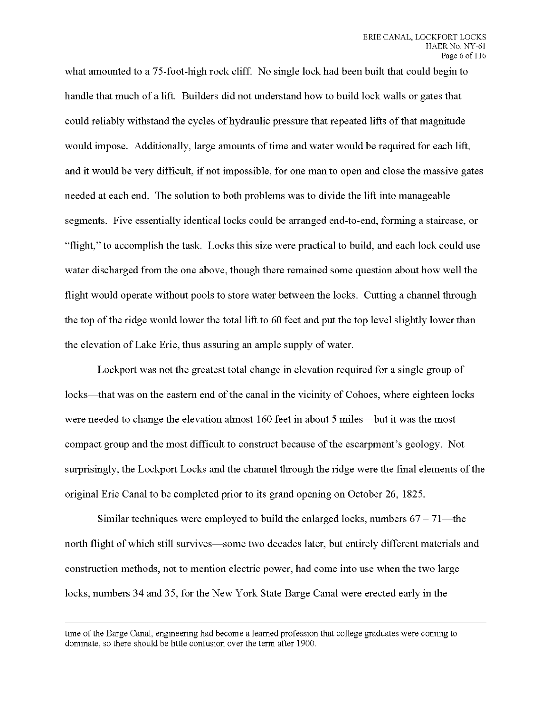what amounted to a 75-foot-high rock cliff. No single lock had been built that could begin to handle that much of a lift. Builders did not understand how to build lock walls or gates that could reliably withstand the cycles of hydraulic pressure that repeated lifts ofthat magnitude would impose. Additionally, large amounts of time and water would be required for each lift, and it would be very difficult, if not impossible, for one man to open and close the massive gates needed at each end. The solution to both problems was to divide the lift into manageable segments. Five essentially identical locks could be arranged end-to-end, forming a staircase, or "flight," to accomplish the task. Locks this size were practical to build, and each lock could use water discharged from the one above, though there remained some question about how well the flight would operate without pools to store water between the locks. Cutting a channel through the top of the ridge would lower the total lift to 60 feet and put the top level slightly lower than the elevation of Lake Erie, thus assuring an ample supply of water.

Lockport was not the greatest total change in elevation required for a single group of locks—that was on the eastern end of the canal in the vicinity of Cohoes, where eighteen locks were needed to change the elevation almost 160 feet in about 5 miles—but it was the most compact group and the most difficult to construct because of the escarpment's geology. Not surprisingly, the Lockport Locks and the channel through the ridge were the final elements of the original Erie Canal to be completed prior to its grand opening on October 26, 1825.

Similar techniques were employed to build the enlarged locks, numbers  $67 - 71$ —the north flight of which still survives—some two decades later, but entirely different materials and construction methods, not to mention electric power, had come into use when the two large locks, numbers 34 and 35, for the New York State Barge Canal were erected early in the

time of the Barge Canal, engineering had become a learned profession that college graduates were coming to dominate, so there should be little confusion over the term after 1900.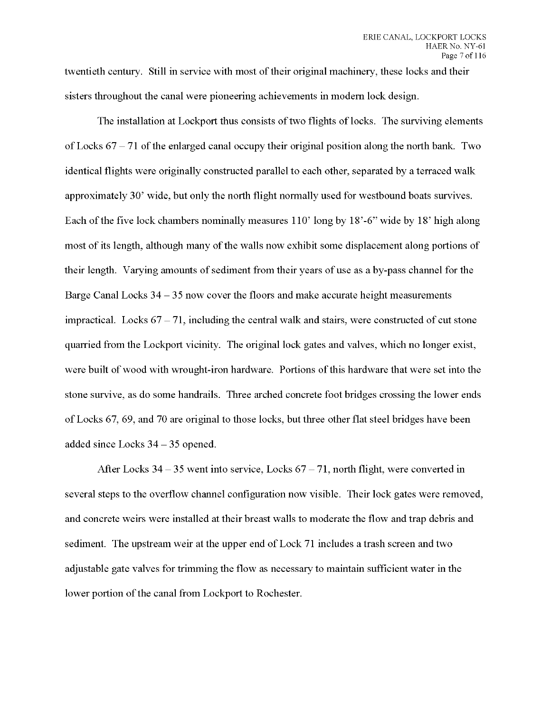twentieth century. Still in service with most of their original machinery, these locks and their sisters throughout the canal were pioneering achievements in modern lock design.

The installation at Lockport thus consists of two flights of locks. The surviving elements of Locks  $67-71$  of the enlarged canal occupy their original position along the north bank. Two identical flights were originally constructed parallel to each other, separated by a terraced walk approximately 30' wide, but only the north flight normally used for westbound boats survives. Each ofthe five lock chambers nominally measures 110' long by 18'-6" wide by 18' high along most of its length, although many of the walls now exhibit some displacement along portions of their length. Varying amounts of sediment from their years of use as a by-pass channel for the Barge Canal Locks  $34 - 35$  now cover the floors and make accurate height measurements impractical. Locks  $67 - 71$ , including the central walk and stairs, were constructed of cut stone quarried from the Lockport vicinity. The original lock gates and valves, which no longer exist, were built of wood with wrought-iron hardware. Portions of this hardware that were set into the stone survive, as do some handrails. Three arched concrete foot bridges crossing the lower ends of Locks 67, 69, and 70 are original to those locks, but three other flat steel bridges have been added since Locks <sup>34</sup> - <sup>35</sup> opened.

After Locks  $34-35$  went into service, Locks  $67-71$ , north flight, were converted in several steps to the overflow channel configuration now visible. Their lock gates were removed, and concrete weirs were installed at their breast walls to moderate the flow and trap debris and sediment. The upstream weir at the upper end of Lock 71 includes a trash screen and two adjustable gate valves for trimming the flow as necessary to maintain sufficient water in the lower portion of the canal from Lockport to Rochester.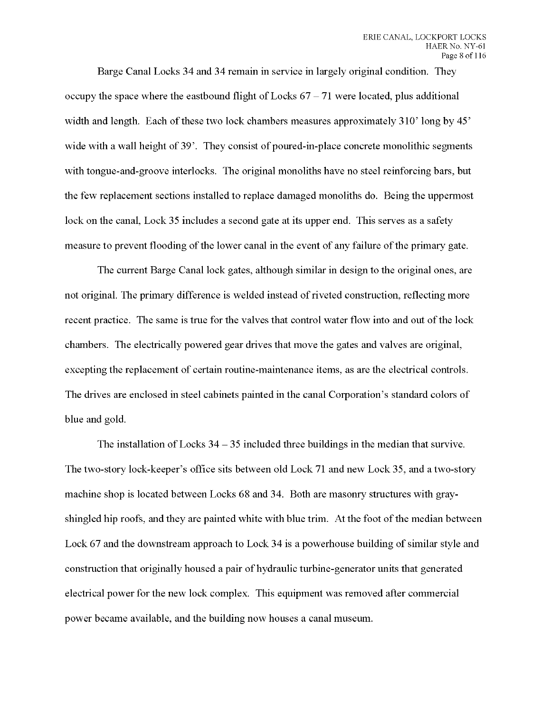Barge Canal Locks 34 and 34 remain in service in largely original condition. They occupy the space where the eastbound flight of Locks  $67-71$  were located, plus additional width and length. Each of these two lock chambers measures approximately  $310'$  long by  $45'$ wide with a wall height of 39'. They consist of poured-in-place concrete monolithic segments with tongue-and-groove interlocks. The original monoliths have no steel reinforcing bars, but the few replacement sections installed to replace damaged monoliths do. Being the uppermost lock on the canal, Lock 35 includes a second gate at its upper end. This serves as a safety measure to prevent flooding of the lower canal in the event of any failure of the primary gate.

The current Barge Canal lock gates, although similar in design to the original ones, are not original. The primary difference is welded instead of riveted construction, reflecting more recent practice. The same is true for the valves that control water flow into and out of the lock chambers. The electrically powered gear drives that move the gates and valves are original, excepting the replacement of certain routine-maintenance items, as are the electrical controls. The drives are enclosed in steel cabinets painted in the canal Corporation's standard colors of blue and gold.

The installation of Locks  $34 - 35$  included three buildings in the median that survive. The two-story lock-keeper's office sits between old Lock 71 and new Lock 35, and a two-story machine shop is located between Locks 68 and 34. Both are masonry structures with grayshingled hip roofs, and they are painted white with blue trim. At the foot of the median between Lock 67 and the downstream approach to Lock 34 is a powerhouse building of similar style and construction that originally housed a pair of hydraulic turbine-generator units that generated electrical power for the new lock complex. This equipment was removed after commercial power became available, and the building now houses a canal museum.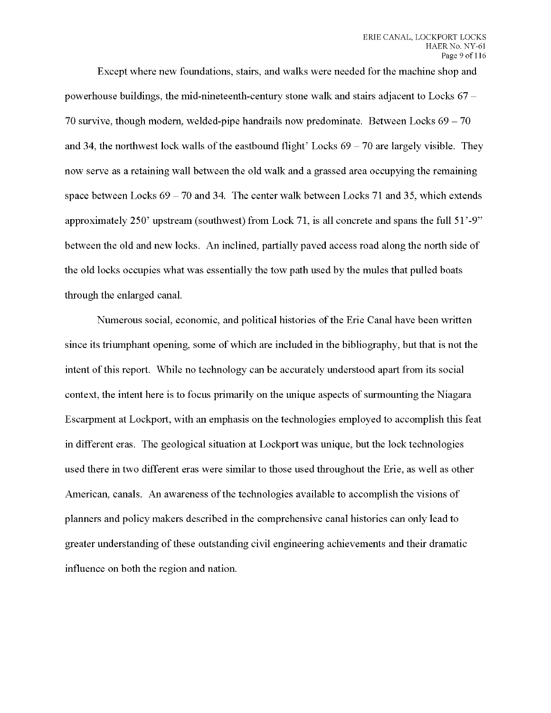Except where new foundations, stairs, and walks were needed for the machine shop and powerhouse buildings, the mid-nineteenth-century stone walk and stairs adjacent to Locks  $67 -$ 70 survive, though modern, welded-pipe handrails now predominate. Between Locks  $69 - 70$ and 34, the northwest lock walls of the eastbound flight' Locks  $69 - 70$  are largely visible. They now serve as a retaining wall between the old walk and a grassed area occupying the remaining space between Locks  $69 - 70$  and 34. The center walk between Locks 71 and 35, which extends approximately 250' upstream (southwest) from Lock 71, is all concrete and spans the full 51'-9" between the old and new locks. An inclined, partially paved access road along the north side of the old locks occupies what was essentially the tow path used by the mules that pulled boats through the enlarged canal.

Numerous social, economic, and political histories of the Erie Canal have been written since its triumphant opening, some of which are included in the bibliography, but that is not the intent of this report. While no technology can be accurately understood apart from its social context, the intent here is to focus primarily on the unique aspects of surmounting the Niagara Escarpment at Lockport, with an emphasis on the technologies employed to accomplish this feat in different eras. The geological situation at Lockport was unique, but the lock technologies used there in two different eras were similar to those used throughout the Erie, as well as other American, canals. An awareness of the technologies available to accomplish the visions of planners and policy makers described in the comprehensive canal histories can only lead to greater understanding of these outstanding civil engineering achievements and their dramatic influence on both the region and nation.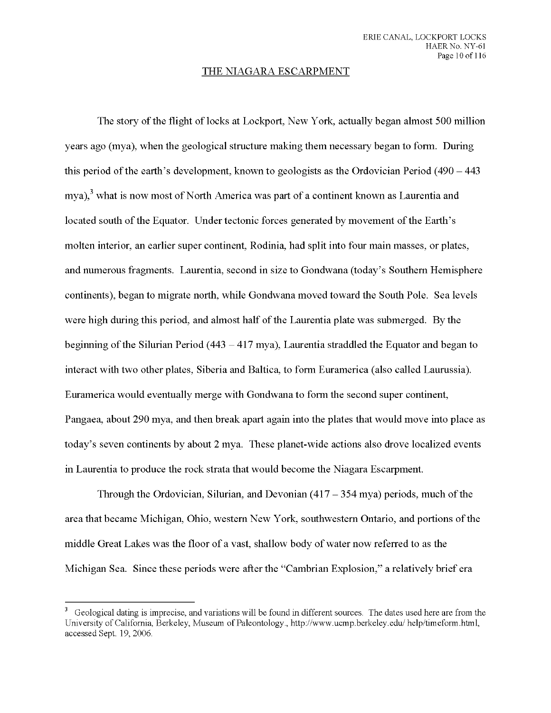#### THE NIAGARA ESCARPMENT

The story of the flight of locks at Lockport, New York, actually began almost 500 million years ago (mya), when the geological structure making them necessary began to form. During this period of the earth's development, known to geologists as the Ordovician Period  $(490 - 443)$ mya), $3$  what is now most of North America was part of a continent known as Laurentia and located south of the Equator. Under tectonic forces generated by movement of the Earth's molten interior, an earlier super continent, Rodinia, had split into four main masses, or plates, and numerous fragments. Laurentia, second in size to Gondwana (today's Southern Hemisphere continents), began to migrate north, while Gondwana moved toward the South Pole. Sea levels were high during this period, and almost half of the Laurentia plate was submerged. By the beginning of the Silurian Period (443 - 417 mya), Laurentia straddled the Equator and began to interact with two other plates, Siberia and Baltica, to form Euramerica (also called Laurussia). Euramerica would eventually merge with Gondwana to form the second super continent, Pangaea, about 290 mya, and then break apart again into the plates that would move into place as today's seven continents by about 2 mya. These planet-wide actions also drove localized events in Laurentia to produce the rock strata that would become the Niagara Escarpment.

Through the Ordovician, Silurian, and Devonian  $(417 - 354 \text{ mya})$  periods, much of the area that became Michigan, Ohio, western New York, southwestern Ontario, and portions of the middle Great Lakes was the floor of a vast, shallow body of water now referred to as the Michigan Sea. Since these periods were after the "Cambrian Explosion," a relatively brief era

<sup>&</sup>lt;sup>3</sup> Geological dating is imprecise, and variations will be found in different sources. The dates used here are from the University of California, Berkeley, Museum of Paleontology., http://www.ucmp.berkeley.edu/help/timeform.html, accessed Sept. 19,2006.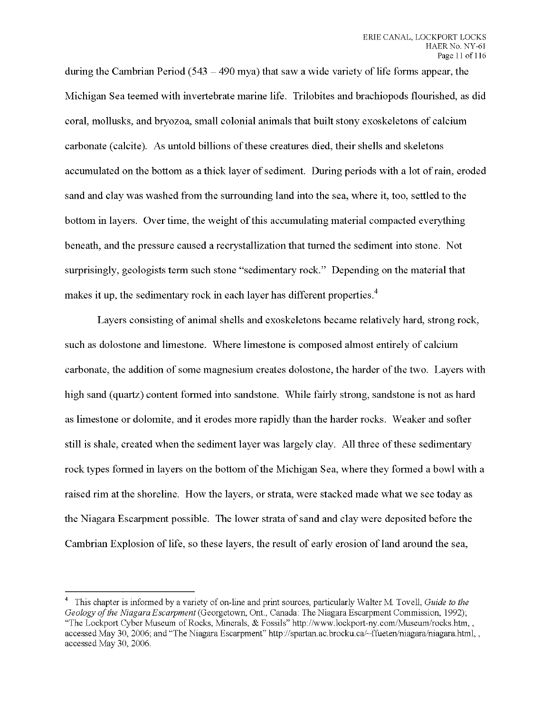**during the Cambrian Period (543 - <sup>490</sup> mya) that saw <sup>a</sup> wide variety of life forms appear, the Michigan Sea teemed with invertebrate marine life. Trilobites and brachiopods flourished, as did coral, mollusks, and bryozoa, small colonial animals that built stony exoskeletons of calcium carbonate (calcite). As untold billions ofthese creatures died, their shells and skeletons accumulated on the bottom as a thick layer ofsediment. During periods with a lot of rain, eroded sand and clay was washed from the surrounding land into the sea, where it, too, settled to the bottom in layers. Over time, the weight ofthis accumulating material compacted everything beneath, and the pressure caused a recrystallization that turned the sediment into stone. Not surprisingly, geologists term such stone "sedimentary rock." Depending on the material that makes it up, the sedimentary rock in each layer has different properties.**

**Layers consisting of animal shells and exoskeletons became relatively hard, strong rock, such as dolostone and limestone. Where limestone is composed almost entirely of calcium carbonate, the addition of some magnesium creates dolostone, the harder ofthe two. Layers with high sand (quartz) content formed into sandstone. While fairly strong, sandstone is not as hard as limestone or dolomite, and it erodes more rapidly than the harder rocks. Weaker and softer still is shale, created when the sediment layer was largely clay. All three ofthese sedimentary rock types formed in layers on the bottom ofthe Michigan Sea, where they formed a bowl with a raised rim at the shoreline. How the layers, or strata, were stacked made what we see today as the Niagara Escarpment possible. The lower strata ofsand and clay were deposited before the Cambrian Explosion of life, so these layers, the result of early erosion of land around the sea,**

<sup>4</sup> This chapter is informed by a variety of on-line and print sources, particularly Walter M. Tovell, *Guide to the Geology ofthe Niagara Escarpment* (Georgetown, Ont, Canada: The Niagara Escarpment Commission, 1992); "The Lockport Cyber Museum of Rocks, Minerals, & Fossils" http://www.lockport-ny.com/Museum/rocks.htm,, accessed May 30, 2006; and "The Niagara Escarpment" http://spartan.ac.brocku.ca/~ffueten/niagara/niagara.html,, accessed May 30, 2006.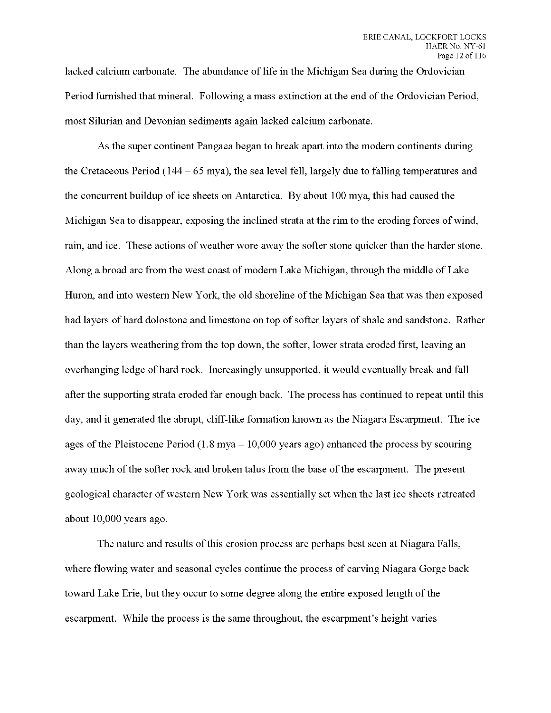lacked calcium carbonate. The abundance of life in the Michigan Sea during the Ordovician Period furnished that mineral. Following a mass extinction at the end of the Ordovician Period, most Silurian and Devonian sediments again lacked calcium carbonate.

As the super continent Pangaea began to break apart into the modern continents during the Cretaceous Period (144 - *<sup>65</sup>* mya), the sea level fell, largely due to falling temperatures and the concurrent buildup of ice sheets on Antarctica. By about 100 mya, this had caused the Michigan Sea to disappear, exposing the inclined strata at the rim to the eroding forces of wind, rain, and ice. These actions of weather wore away the softer stone quicker than the harder stone. Along a broad arc from the west coast of modern Lake Michigan, through the middle of Lake Huron, and into western New York, the old shoreline of the Michigan Sea that was then exposed had layers of hard dolostone and limestone on top of softer layers of shale and sandstone. Rather than the layers weathering from the top down, the softer, lower strata eroded first, leaving an overhanging ledge of hard rock. Increasingly unsupported, it would eventually break and fall after the supporting strata eroded far enough back. The process has continued to repeat until this day, and it generated the abrupt, cliff-like formation known as the Niagara Escarpment. The ice ages of the Pleistocene Period  $(1.8 \text{ mya} - 10,000 \text{ years ago})$  enhanced the process by scouring away much of the softer rock and broken talus from the base of the escarpment. The present geological character of western New York was essentially set when the last ice sheets retreated about 10,000 years ago.

The nature and results of this erosion process are perhaps best seen at Niagara Falls, where flowing water and seasonal cycles continue the process of carving Niagara Gorge back toward Lake Erie, but they occur to some degree along the entire exposed length of the escarpment. While the process is the same throughout, the escarpment's height varies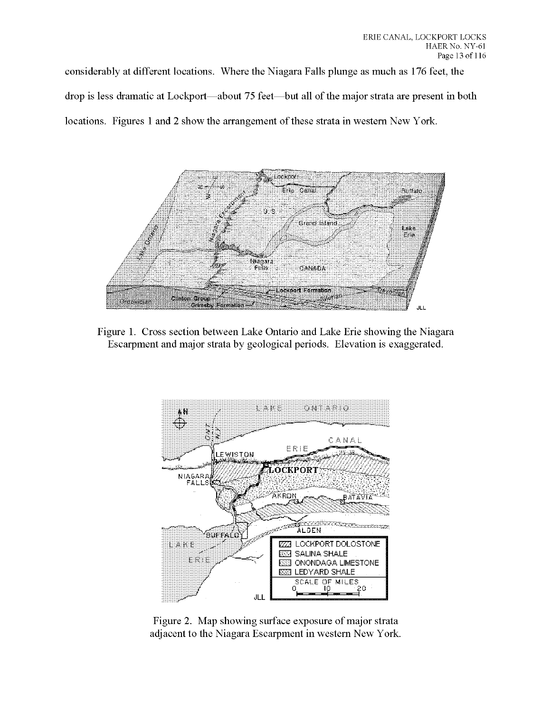considerably at different locations. Where the Niagara Falls plunge as much as 176 feet, the drop is less dramatic at Lockport—about 75 feet—but all of the major strata are present in both locations. Figures 1 and 2 show the arrangement of these strata in western New York.



Figure 1. Cross section between Lake Ontario and Lake Erie showing the Niagara Escarpment and major strata by geological periods. Elevation is exaggerated.



Figure 2. Map showing surface exposure of major strata adjacent to the Niagara Escarpment in western New York.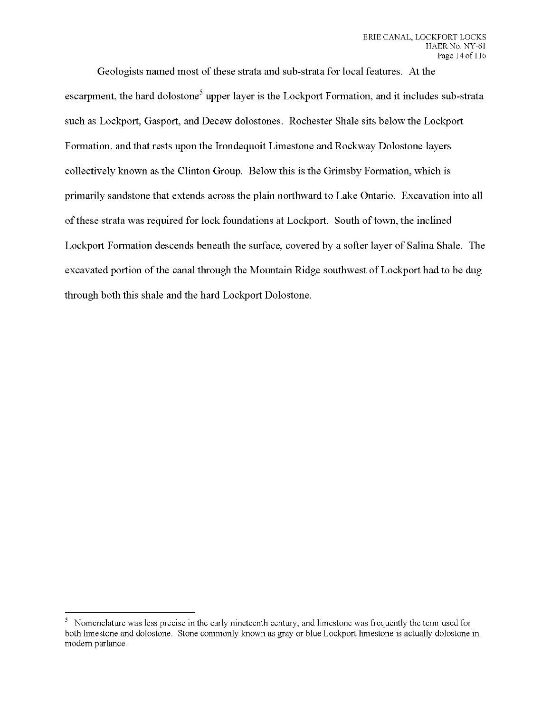Geologists named most of these strata and sub-strata for local features. At the escarpment, the hard dolostone<sup>5</sup> upper layer is the Lockport Formation, and it includes sub-strata such as Lockport, Gasport, and Decew dolostones. Rochester Shale sits below the Lockport Formation, and that rests upon the Irondequoit Limestone and Rockway Dolostone layers collectively known as the Clinton Group. Below this is the Grimsby Formation, which is primarily sandstone that extends across the plain northward to Lake Ontario. Excavation into all ofthese strata was required for lock foundations at Lockport. South oftown, the inclined Lockport Formation descends beneath the surface, covered by a softer layer of Salina Shale. The excavated portion of the canal through the Mountain Ridge southwest of Lockport had to be dug through both this shale and the hard Lockport Dolostone.

<sup>&</sup>lt;sup>5</sup> Nomenclature was less precise in the early nineteenth century, and limestone was frequently the term used for both limestone and dolostone. Stone commonly known as gray or blue Lockport limestone is actually dolostone in modern parlance.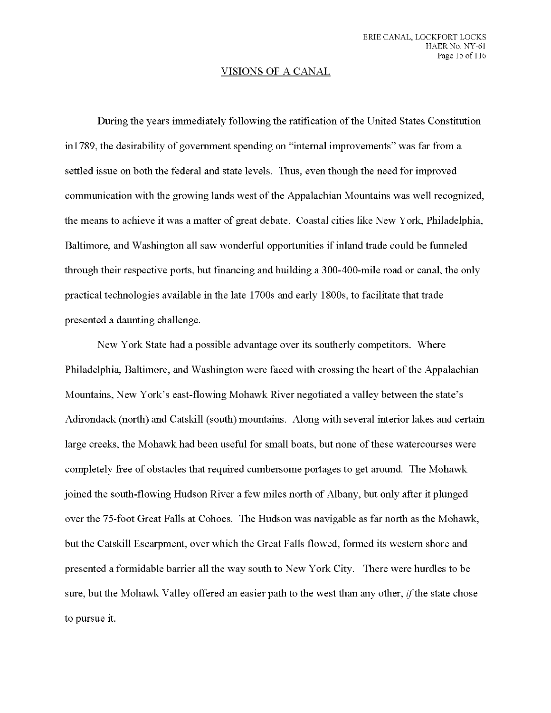### VISIONS OF A CANAL

During the years immediately following the ratification of the United States Constitution in 1789, the desirability of government spending on "internal improvements" was far from a settled issue on both the federal and state levels. Thus, even though the need for improved communication with the growing lands west of the Appalachian Mountains was well recognized, the means to achieve it was a matter of great debate. Coastal cities like New York, Philadelphia, Baltimore, and Washington all saw wonderful opportunities if inland trade could be funneled through their respective ports, but financing and building a 300-400-mile road or canal, the only practical technologies available in the late 1700s and early 1800s, to facilitate that trade presented a daunting challenge.

New York State had a possible advantage over its southerly competitors. Where Philadelphia, Baltimore, and Washington were faced with crossing the heart of the Appalachian Mountains, New York's east-flowing Mohawk River negotiated a valley between the state's Adirondack (north) and Catskill (south) mountains. Along with several interior lakes and certain large creeks, the Mohawk had been useful for small boats, but none of these watercourses were completely free of obstacles that required cumbersome portages to get around. The Mohawk joined the south-flowing Hudson River a few miles north of Albany, but only after it plunged over the 75-foot Great Falls at Cohoes. The Hudson was navigable as far north as the Mohawk, but the Catskill Escarpment, over which the Great Falls flowed, formed its western shore and presented a formidable barrier all the way south to New York City. There were hurdles to be sure, but the Mohawk Valley offered an easier path to the west than any other, *if* the state chose to pursue it.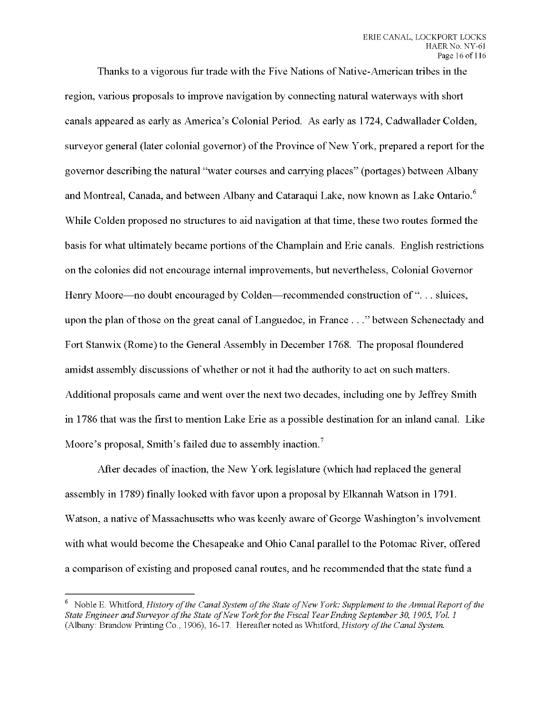Thanks to a vigorous fur trade with the Five Nations of Native-American tribes in the region, various proposals to improve navigation by connecting natural waterways with short canals appeared as early as America's Colonial Period. As early as 1724, Cadwallader Colden, surveyor general (later colonial governor) of the Province of New York, prepared a report for the governor describing the natural "water courses and carrying places" (portages) between Albany and Montreal, Canada, and between Albany and Cataraqui Lake, now known as Lake Ontario. While Colden proposed no structures to aid navigation at that time, these two routes formed the basis for what ultimately became portions ofthe Champlain and Erie canals. English restrictions on the colonies did not encourage internal improvements, but nevertheless, Colonial Governor Henry Moore—no doubt encouraged by Colden—recommended construction of "... sluices, upon the plan of those on the great canal of Languedoc, in France ..." between Schenectady and Fort Stanwix (Rome) to the General Assembly in December 1768. The proposal floundered amidst assembly discussions of whether or not it had the authority to act on such matters. Additional proposals came and went over the next two decades, including one by Jeffrey Smith in 1786 that was the first to mention Lake Erie as a possible destination for an inland canal. Like Moore's proposal, Smith's failed due to assembly inaction.<sup>7</sup>

After decades of inaction, the New York legislature (which had replaced the general assembly in 1789) finally looked with favor upon a proposal by Elkannah Watson in 1791. Watson, a native of Massachusetts who was keenly aware of George Washington's involvement with what would become the Chesapeake and Ohio Canal parallel to the Potomac River, offered a comparison of existing and proposed canal routes, and he recommended that the state fund a

<sup>6</sup> Noble E. Whitford, *History ofthe Canal System ofthe State ofNew York: Supplement to the Annual Report ofthe State Engineer and Surveyor ofthe State ofNew Yorkfor the Fiscal YearEnding September 30, 1905, Vol. <sup>1</sup>* (Albany: Brandow Printing Co., 1906), 16-17. Hereafter noted as Whitford, *History ofthe Canal System.*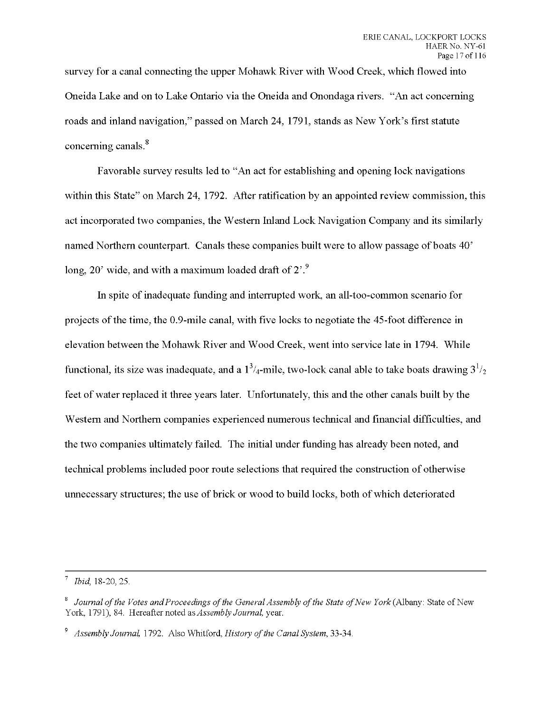survey for a canal connecting the upper Mohawk River with Wood Creek, which flowed into Oneida Lake and on to Lake Ontario via the Oneida and Onondaga rivers. "An act concerning roads and inland navigation," passed on March 24, 1791, stands as New York's first statute concerning canals.

Favorable survey results led to "An act for establishing and opening lock navigations within this State" on March 24, 1792. After ratification by an appointed review commission, this act incorporated two companies, the Western Inland Lock Navigation Company and its similarly named Northern counterpart. Canals these companies built were to allow passage of boats 40' long,  $20'$  wide, and with a maximum loaded draft of  $2'$ .

In spite of inadequate funding and interrupted work, an all-too-common scenario for projects of the time, the 0.9-mile canal, with five locks to negotiate the 45-foot difference in elevation between the Mohawk River and Wood Creek, went into service late in 1794. While functional, its size was inadequate, and a  $1^3/4$ -mile, two-lock canal able to take boats drawing  $3^1/2$ feet of water replaced it three years later. Unfortunately, this and the other canals built by the Western and Northern companies experienced numerous technical and financial difficulties, and the two companies ultimately failed. The initial under funding has already been noted, and technical problems included poor route selections that required the construction of otherwise unnecessary structures; the use of brick or wood to build locks, both of which deteriorated

<sup>7</sup> *Ibid,* 18-20,25.

<sup>8</sup> *Journal ofthe Votes andProceedings ofthe General Assembly ofthe State ofNew York* (Albany: State of New York, 1791), 84. Hereafter noted as *Assembly Journal,* year.

<sup>&</sup>lt;sup>9</sup> Assembly Journal, 1792. Also Whitford, *History of the Canal System*, 33-34.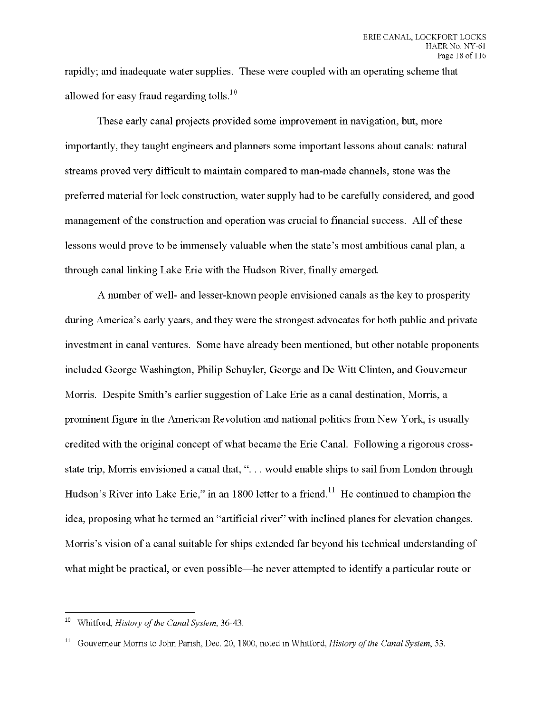rapidly; and inadequate water supplies. These were coupled with an operating scheme that allowed for easy fraud regarding tolls.<sup>10</sup>

These early canal projects provided some improvement in navigation, but, more importantly, they taught engineers and planners some important lessons about canals: natural streams proved very difficult to maintain compared to man-made channels, stone was the preferred material for lock construction, water supply had to be carefully considered, and good management of the construction and operation was crucial to financial success. All of these lessons would prove to be immensely valuable when the state's most ambitious canal plan, a through canal linking Lake Erie with the Hudson River, finally emerged.

A number of well- and lesser-known people envisioned canals as the key to prosperity during America's early years, and they were the strongest advocates for both public and private investment in canal ventures. Some have already been mentioned, but other notable proponents included George Washington, Philip Schuyler, George and De Witt Clinton, and Gouverneur Morris. Despite Smith's earlier suggestion of Lake Erie as a canal destination, Morris, a prominent figure in the American Revolution and national politics from New York, is usually credited with the original concept of what became the Erie Canal. Following a rigorous crossstate trip, Morris envisioned a canal that, ". . . would enable ships to sail from London through Hudson's River into Lake Erie," in an 1800 letter to a friend.<sup>11</sup> He continued to champion the idea, proposing what he termed an "artificial river" with inclined planes for elevation changes. Morris's vision of a canal suitable for ships extended far beyond his technical understanding of what might be practical, or even possible—he never attempted to identify a particular route or

<sup>&</sup>lt;sup>10</sup> Whitford, *History of the Canal System*, 36-43.

<sup>11</sup> Gouverneur Morris to John Parish, Dec. 20, 1800, noted in Whitford, *History ofthe Canal System,* 53.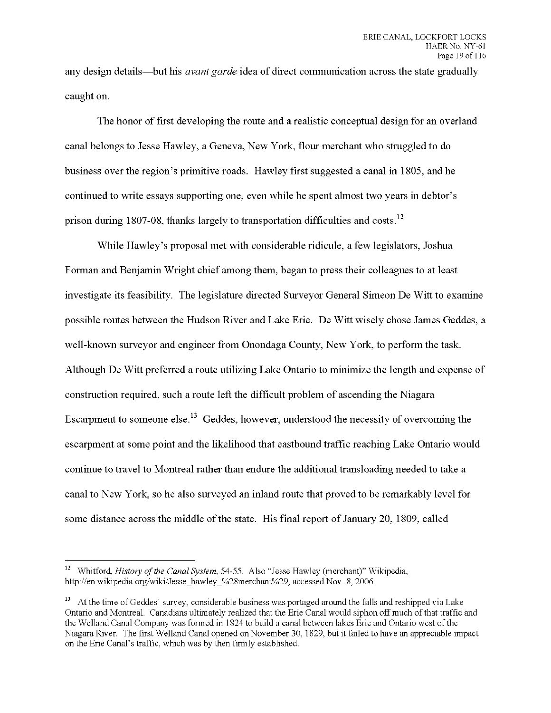any design details—but his *avant garde* idea of direct communication across the state gradually caught on.

The honor of first developing the route and a realistic conceptual design for an overland canal belongs to Jesse Hawley, a Geneva, New York, flour merchant who struggled to do business over the region's primitive roads. Hawley first suggested a canal in 1805, and he continued to write essays supporting one, even while he spent almost two years in debtor's prison during 1807-08, thanks largely to transportation difficulties and costs. $^{12}$ 

While Hawley's proposal met with considerable ridicule, a few legislators, Joshua Forman and Benjamin Wright chief among them, began to press their colleagues to at least investigate its feasibility. The legislature directed Surveyor General Simeon De Witt to examine possible routes between the Hudson River and Lake Erie. De Witt wisely chose James Geddes, a well-known surveyor and engineer from Onondaga County, New York, to perform the task. Although De Witt preferred a route utilizing Lake Ontario to minimize the length and expense of construction required, such a route left the difficult problem of ascending the Niagara Escarpment to someone else.<sup>13</sup> Geddes, however, understood the necessity of overcoming the escarpment at some point and the likelihood that eastbound traffic reaching Lake Ontario would continue to travel to Montreal rather than endure the additional transloading needed to take a canal to New York, so he also surveyed an inland route that proved to be remarkably level for some distance across the middle of the state. His final report of January 20, 1809, called

<sup>&</sup>lt;sup>12</sup> Whitford, *History of the Canal System*, 54-55. Also "Jesse Hawley (merchant)" Wikipedia, http://en.wikipedia.org/wiki/Jesse\_hawley\_%28merchant%29, accessed Nov. 8, 2006.

<sup>&</sup>lt;sup>13</sup> At the time of Geddes' survey, considerable business was portaged around the falls and reshipped via Lake Ontario and Montreal. Canadians ultimately realized that the Erie Canal would siphon off much of that traffic and the Welland Canal Company was formed in 1824 to build a canal between lakes Erie and Ontario west of the Niagara River. The first Welland Canal opened on November 30, 1829, but it failed to have an appreciable impact on the Erie Canal's traffic, which was by then firmly established.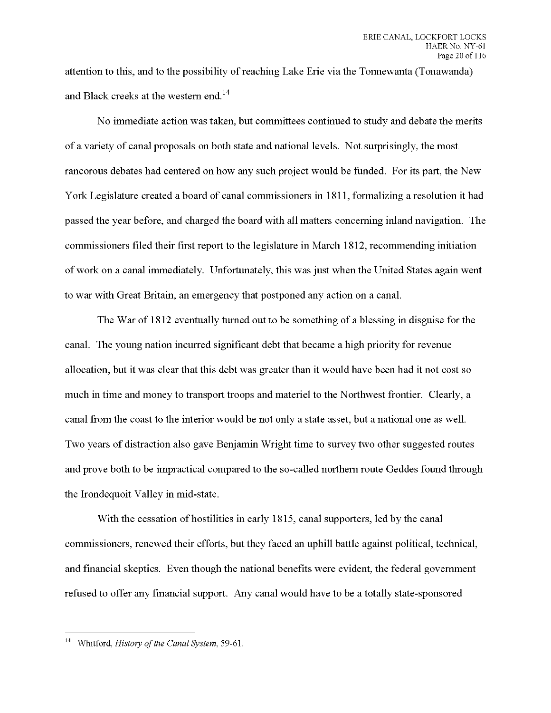attention to this, and to the possibility of reaching Lake Erie via the Tonnewanta (Tonawanda) and Black creeks at the western end.

No immediate action was taken, but committees continued to study and debate the merits of a variety of canal proposals on both state and national levels. Not surprisingly, the most rancorous debates had centered on how any such project would be funded. For its part, the New York Legislature created a board of canal commissioners in 1811, formalizing a resolution it had passed the year before, and charged the board with all matters concerning inland navigation. The commissioners filed their first report to the legislature in March 1812, recommending initiation ofwork on a canal immediately. Unfortunately, this was just when the United States again went to war with Great Britain, an emergency that postponed any action on a canal.

The War of 1812 eventually turned out to be something of a blessing in disguise for the canal. The young nation incurred significant debt that became a high priority for revenue allocation, but it was clear that this debt was greater than it would have been had it not cost so much in time and money to transport troops and materiel to the Northwest frontier. Clearly, a canal from the coast to the interior would be not only a state asset, but a national one as well. Two years of distraction also gave Benjamin Wright time to survey two other suggested routes and prove both to be impractical compared to the so-called northern route Geddes found through the Irondequoit Valley in mid-state.

With the cessation of hostilities in early 1815, canal supporters, led by the canal commissioners, renewed their efforts, but they faced an uphill battle against political, technical, and financial skeptics. Even though the national benefits were evident, the federal government refused to offer any financial support. Any canal would have to be a totally state-sponsored

<sup>&</sup>lt;sup>14</sup> Whitford, *History of the Canal System*, 59-61.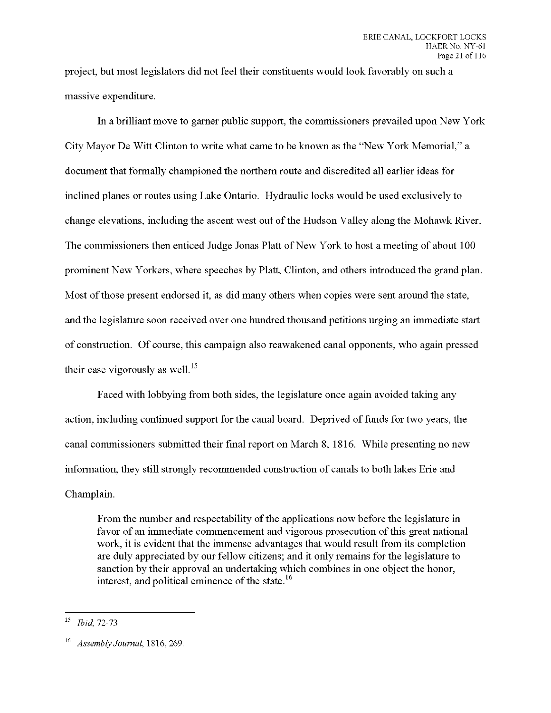project, but most legislators did not feel their constituents would look favorably on such a massive expenditure.

In a brilliant move to garner public support, the commissioners prevailed upon New York City Mayor De Witt Clinton to write what came to be known as the "New York Memorial," a document that formally championed the northern route and discredited all earlier ideas for inclined planes or routes using Lake Ontario. Hydraulic locks would be used exclusively to change elevations, including the ascent west out of the Hudson Valley along the Mohawk River. The commissioners then enticed Judge Jonas Platt of New York to host a meeting of about 100 prominent New Yorkers, where speeches by Platt, Clinton, and others introduced the grand plan. Most of those present endorsed it, as did many others when copies were sent around the state, and the legislature soon received over one hundred thousand petitions urging an immediate start of construction. Of course, this campaign also reawakened canal opponents, who again pressed their case vigorously as well.<sup>15</sup>

Faced with lobbying from both sides, the legislature once again avoided taking any action, including continued support for the canal board. Deprived of funds for two years, the canal commissioners submitted their final report on March 8, 1816. While presenting no new information, they still strongly recommended construction of canals to both lakes Erie and Champlain.

From the number and respectability of the applications now before the legislature in favor of an immediate commencement and vigorous prosecution ofthis great national work, it is evident that the immense advantages that would result from its completion are duly appreciated by our fellow citizens; and it only remains for the legislature to sanction by their approval an undertaking which combines in one object the honor, interest, and political eminence of the state. $^{16}$ 

<sup>15</sup> *Ibid,* 72-73

<sup>16</sup> *Assembly Journal, IS16, 269.*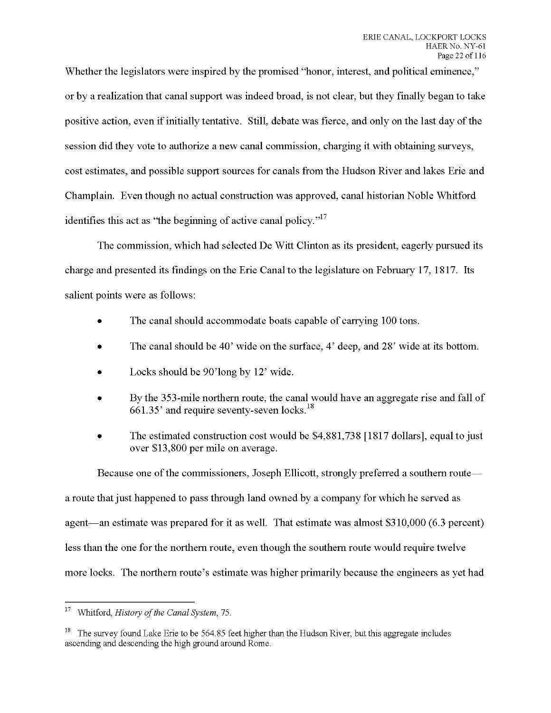Whether the legislators were inspired by the promised "honor, interest, and political eminence," or by a realization that canal support was indeed broad, is not clear, but they finally began to take positive action, even if initially tentative. Still, debate was fierce, and only on the last day of the session did they vote to authorize a new canal commission, charging it with obtaining surveys, cost estimates, and possible support sources for canals from the Hudson River and lakes Erie and Champlain. Even though no actual construction was approved, canal historian Noble Whitford identifies this act as "the beginning of active canal policy." $17$ 

The commission, which had selected De Witt Clinton as its president, eagerly pursued its charge and presented its findings on the Erie Canal to the legislature on February 17, 1817. Its salient points were as follows:

- The canal should accommodate boats capable of carrying 100 tons.
- The canal should be 40' wide on the surface, 4' deep, and 28' wide at its bottom.
- Locks should be 90'long by 12' wide.
- By the 353-mile northern route, the canal would have an aggregate rise and fall of  $661.35'$  and require seventy-seven locks.<sup>18</sup>
- The estimated construction cost would be \$4,881,738 [1817 dollars], equal to just over \$13,800 per mile on average.

Because one of the commissioners, Joseph Ellicott, strongly preferred a southern route a route that just happened to pass through land owned by a company for which he served as agent—an estimate was prepared for it as well. That estimate was almost \$310,000 (6.3 percent) less than the one for the northern route, even though the southern route would require twelve more locks. The northern route's estimate was higher primarily because the engineers as yet had

 $17<sub>17</sub>$ Whitford, *History* of the *Canal System*, 75.

<sup>&</sup>lt;sup>18</sup> The survey found Lake Erie to be 564.85 feet higher than the Hudson River, but this aggregate includes ascending and descending the high ground around Rome.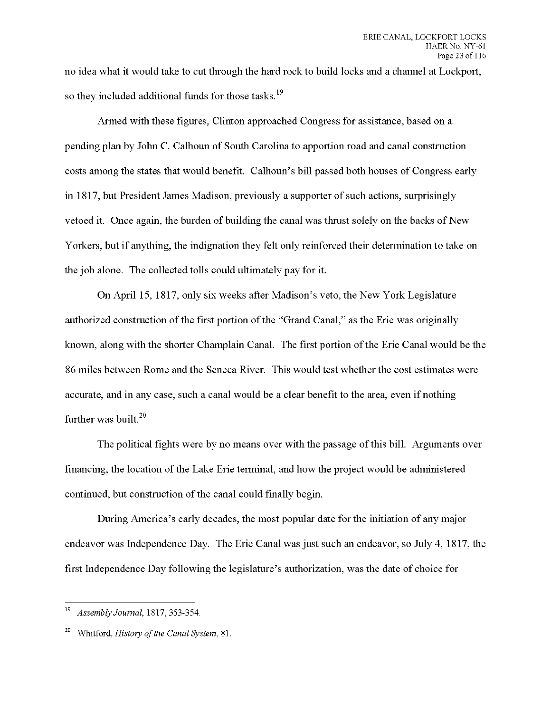no idea what it would take to cut through the hard rock to build locks and a channel at Lockport, so they included additional funds for those tasks.<sup>19</sup>

Armed with these figures, Clinton approached Congress for assistance, based on a pending plan by John C. Calhoun of South Carolina to apportion road and canal construction costs among the states that would benefit. Calhoun's bill passed both houses of Congress early in 1817, but President James Madison, previously a supporter of such actions, surprisingly vetoed it. Once again, the burden of building the canal was thrust solely on the backs of New Yorkers, but if anything, the indignation they felt only reinforced their determination to take on the job alone. The collected tolls could ultimately pay for it.

On April 15, 1817, only six weeks after Madison's veto, the New York Legislature authorized construction of the first portion of the "Grand Canal," as the Erie was originally known, along with the shorter Champlain Canal. The first portion of the Erie Canal would be the 86 miles between Rome and the Seneca River. This would test whether the cost estimates were accurate, and in any case, such a canal would be a clear benefit to the area, even if nothing further was built.<sup>20</sup>

The political fights were by no means over with the passage of this bill. Arguments over financing, the location of the Lake Erie terminal, and how the project would be administered continued, but construction of the canal could finally begin.

During America's early decades, the most popular date for the initiation of any major endeavor was Independence Day. The Erie Canal was just such an endeavor, so July 4, 1817, the first Independence Day following the legislature's authorization, was the date of choice for

<sup>19</sup> *Assembly Journal, 1811, 353-354.*

<sup>20</sup> Whitford, *History ofthe Canal System,* 81.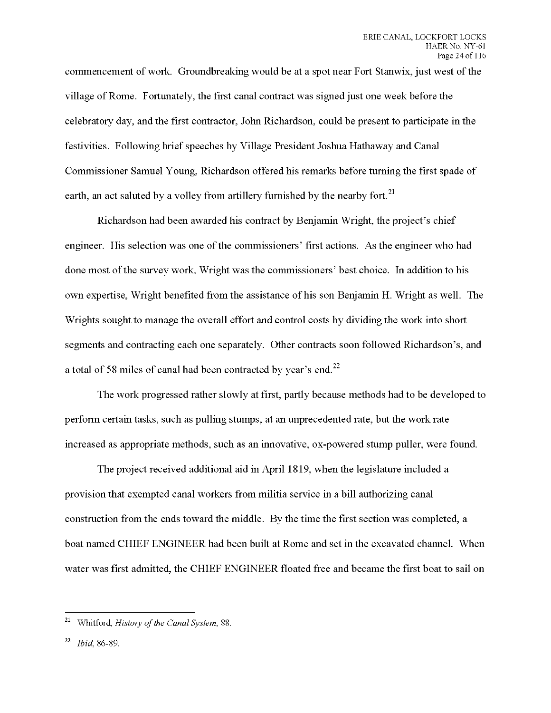commencement of work. Groundbreaking would be at a spot near Fort Stanwix, just west of the village of Rome. Fortunately, the first canal contract was signed just one week before the celebratory day, and the first contractor, John Richardson, could be present to participate in the festivities. Following brief speeches by Village President Joshua Hathaway and Canal Commissioner Samuel Young, Richardson offered his remarks before turning the first spade of earth, an act saluted by a volley from artillery furnished by the nearby fort.<sup>21</sup>

Richardson had been awarded his contract by Benjamin Wright, the project's chief engineer. His selection was one of the commissioners' first actions. As the engineer who had done most of the survey work, Wright was the commissioners' best choice. In addition to his own expertise, Wright benefited from the assistance of his son Benjamin H. Wright as well. The Wrights sought to manage the overall effort and control costs by dividing the work into short segments and contracting each one separately. Other contracts soon followed Richardson's, and atotal of 58 miles of canal had been contracted by year's end.

The work progressed rather slowly at first, partly because methods had to be developed to perform certain tasks, such as pulling stumps, at an unprecedented rate, but the work rate increased as appropriate methods, such as an innovative, ox-powered stump puller, were found.

The project received additional aid in April 1819, when the legislature included a provision that exempted canal workers from militia service in a bill authorizing canal construction from the ends toward the middle. By the time the first section was completed, a boat named CHIEF ENGINEER had been built at Rome and set in the excavated channel. When water was first admitted, the CHIEF ENGINEER floated free and became the first boat to sail on

<sup>&</sup>lt;sup>21</sup> Whitford, *History of the Canal System*, 88.

<sup>&</sup>lt;sup>22</sup> *Ibid*, 86-89.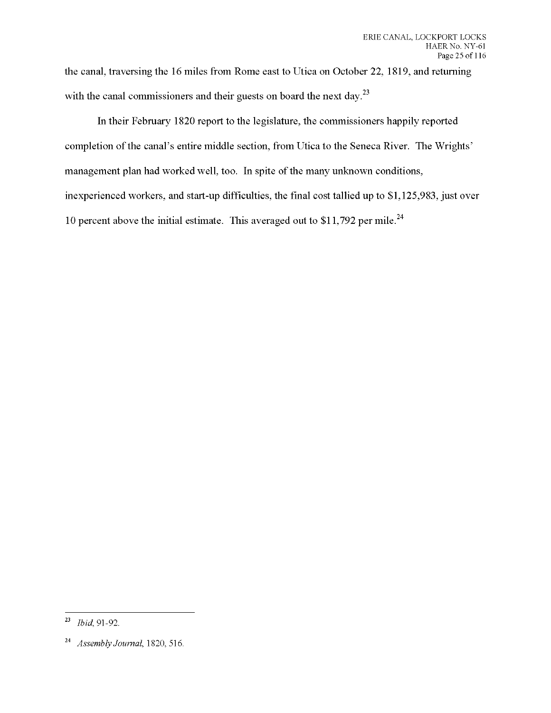the canal, traversing the 16 miles from Rome east to Utica on October 22, 1819, and returning with the canal commissioners and their guests on board the next day.<sup>23</sup>

In their February 1820 report to the legislature, the commissioners happily reported completion of the canal's entire middle section, from Utica to the Seneca River. The Wrights' management plan had worked well, too. In spite of the many unknown conditions, inexperienced workers, and start-up difficulties, the final cost tallied up to \$1,125,983, just over 10 percent above the initial estimate. This averaged out to  $$11,792$  per mile.<sup>24</sup>

<sup>23</sup> *Ibid,* 91-92.

<sup>24</sup> *Assembly Journal,* 1820, 516.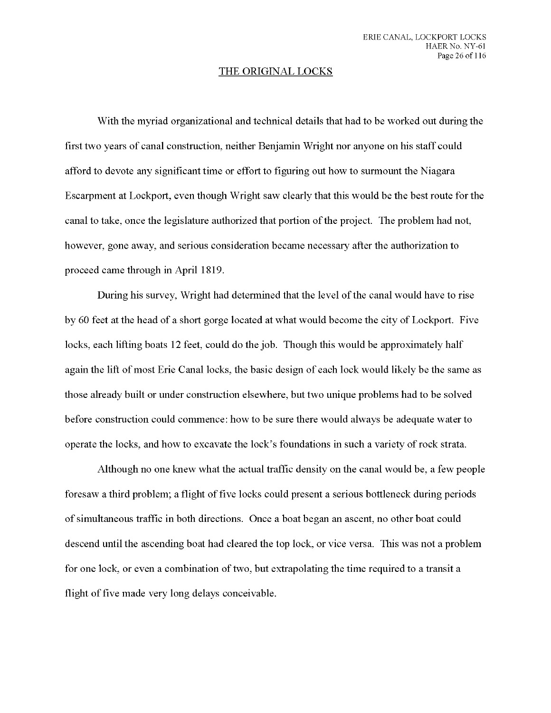#### THE ORIGINAL LOCKS

With the myriad organizational and technical details that had to be worked out during the first two years of canal construction, neither Benjamin Wright nor anyone on his staff could afford to devote any significant time or effort to figuring out how to surmount the Niagara Escarpment at Lockport, even though Wright saw clearly that this would be the best route for the canal to take, once the legislature authorized that portion ofthe project. The problem had not, however, gone away, and serious consideration became necessary after the authorization to proceed came through in April 1819.

During his survey, Wright had determined that the level of the canal would have to rise by 60 feet at the head of a short gorge located at what would become the city of Lockport. Five locks, each lifting boats 12 feet, could do the job. Though this would be approximately half again the lift of most Erie Canal locks, the basic design of each lock would likely be the same as those already built or under construction elsewhere, but two unique problems had to be solved before construction could commence: how to be sure there would always be adequate water to operate the locks, and how to excavate the lock's foundations in such a variety of rock strata.

Although no one knew what the actual traffic density on the canal would be, a few people foresaw a third problem; a flight of five locks could present a serious bottleneck during periods ofsimultaneous traffic in both directions. Once a boat began an ascent, no other boat could descend until the ascending boat had cleared the top lock, or vice versa. This was not a problem for one lock, or even a combination of two, but extrapolating the time required to a transit a flight of five made very long delays conceivable.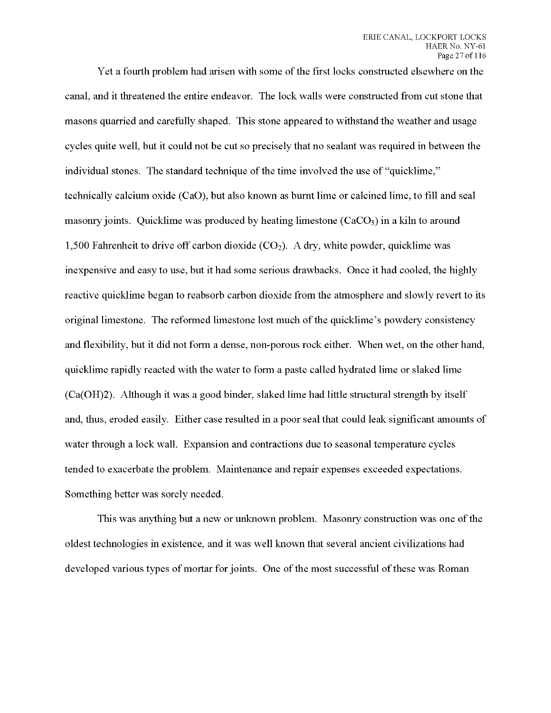Yet a fourth problem had arisen with some of the first locks constructed elsewhere on the canal, and it threatened the entire endeavor. The lock walls were constructed from cut stone that masons quarried and carefully shaped. This stone appeared to withstand the weather and usage cycles quite well, but it could not be cut so precisely that no sealant was required in between the individual stones. The standard technique of the time involved the use of "quicklime," technically calcium oxide (CaO), but also known as burnt lime or calcined lime, to fill and seal masonry joints. Quicklime was produced by heating limestone  $(CaCO<sub>3</sub>)$  in a kiln to around 1,500 Fahrenheit to drive off carbon dioxide  $(CO<sub>2</sub>)$ . A drv, white powder, quicklime was inexpensive and easy to use, but it had some serious drawbacks. Once it had cooled, the highly reactive quicklime began to reabsorb carbon dioxide from the atmosphere and slowly revert to its original limestone. The reformed limestone lost much of the quicklime's powdery consistency and flexibility, but it did not form a dense, non-porous rock either. When wet, on the other hand, quicklime rapidly reacted with the water to form a paste called hydrated lime or slaked lime (Ca(OH)2). Although it was a good binder, slaked lime had little structural strength by itself and, thus, eroded easily. Either case resulted in a poor seal that could leak significant amounts of water through a lock wall. Expansion and contractions due to seasonal temperature cycles tended to exacerbate the problem. Maintenance and repair expenses exceeded expectations. Something better was sorely needed.

This was anything but a new or unknown problem. Masonry construction was one of the oldest technologies in existence, and it was well known that several ancient civilizations had developed various types of mortar for joints. One of the most successful of these was Roman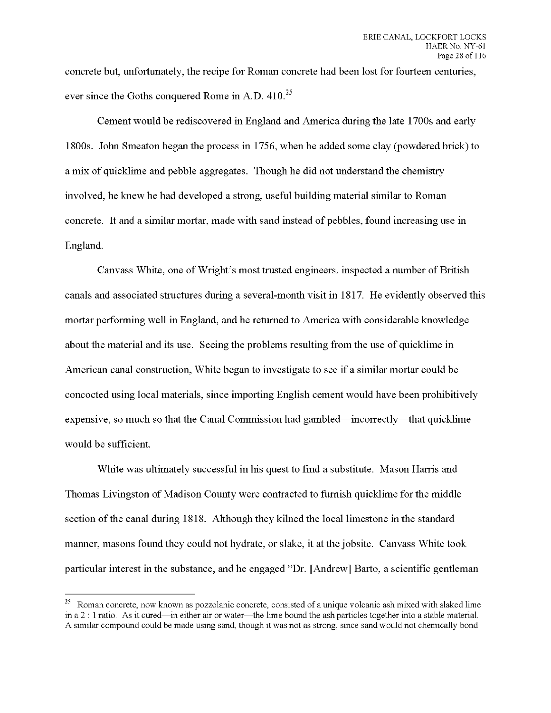concrete but, unfortunately, the recipe for Roman concrete had been lost for fourteen centuries, ever since the Goths conquered Rome in A.D.  $410^{25}$ 

Cement would be rediscovered in England and America during the late 1700s and early 1800s. John Smeaton began the process in 1756, when he added some clay (powdered brick) to a mix of quicklime and pebble aggregates. Though he did not understand the chemistry involved, he knew he had developed a strong, useful building material similar to Roman concrete. It and a similar mortar, made with sand instead of pebbles, found increasing use in England.

Canvass White, one of Wright's most trusted engineers, inspected a number of British canals and associated structures during a several-month visit in 1817. He evidently observed this mortar performing well in England, and he returned to America with considerable knowledge about the material and its use. Seeing the problems resulting from the use of quicklime in American canal construction, White began to investigate to see if a similar mortar could be concocted using local materials, since importing English cement would have been prohibitively expensive, so much so that the Canal Commission had gambled—incorrectly—that quicklime would be sufficient.

White was ultimately successful in his quest to find a substitute. Mason Harris and Thomas Livingston of Madison County were contracted to furnish quicklime for the middle section of the canal during 1818. Although they kilned the local limestone in the standard manner, masons found they could not hydrate, or slake, it at the jobsite. Canvass White took particular interest in the substance, and he engaged "Dr. [Andrew] Barto, a scientific gentleman

<sup>&</sup>lt;sup>25</sup> Roman concrete, now known as pozzolanic concrete, consisted of a unique volcanic ash mixed with slaked lime in a 2 : <sup>1</sup> ratio. As it cured—in either air or water—the lime bound the ash particles together into a stable material. A similar compound could be made using sand, though it was not as strong, since sand would not chemically bond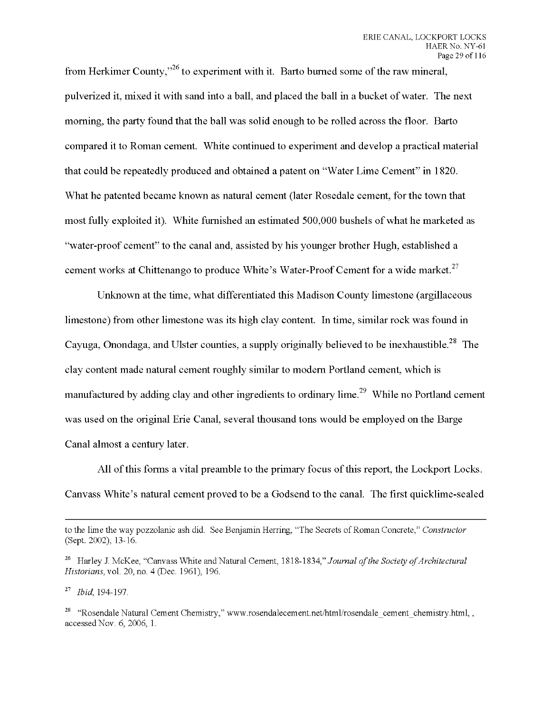**from Herkimer County," to experiment with it. Barto burned some ofthe raw mineral,** pulverized it, mixed it with sand into a ball, and placed the ball in a bucket of water. The next **morning, the party found that the ball was solid enough to be rolled across the floor. Barto compared it to Roman cement. White continued to experiment and develop a practical material that could be repeatedly produced and obtained a patent on "Water Lime Cement" in 1820. What he patented became known as natural cement (later Rosedale cement, for the town that most fully exploited it). White furnished an estimated 500,000 bushels of what he marketed as "water-proof cement" to the canal and, assisted by his younger brother Hugh, established a cement works at Chittenango to produce White's Water-Proof Cement for a wide market.**

**Unknown at the time, what differentiated this Madison County limestone (argillaceous limestone) from other limestone was its high clay content. In time, similar rock was found in Cayuga, Onondaga, and Ulster counties, a supply originally believed to be inexhaustible. The clay content made natural cement roughly similar to modern Portland cement, which is manufactured by adding clay and other ingredients to ordinary lime. While no Portland cement was used on the original Erie Canal, several thousand tons would be employed on the Barge Canal almost a century later.**

**All ofthis forms a vital preamble to the primary focus ofthis report, the Lockport Locks. Canvass White's natural cement proved to be a Godsend to the canal. The first quicklime-sealed**

to the lime the way pozzolanic ash did. See Benjamin Herring, "The Secrets of Roman Concrete," *Constructor* (Sept. 2002), 13-16.

<sup>&</sup>lt;sup>26</sup> Harley J. McKee, "Canvass White and Natural Cement, 1818-1834," *Journal of the Society of Architectural Historians,* vol. 20, no. 4 (Dec. 1961), 196.

<sup>27</sup> *Ibid,* 194-197.

<sup>&</sup>lt;sup>28</sup> "Rosendale Natural Cement Chemistry," www.rosendalecement.net/html/rosendale\_cement\_chemistry.html,, accessed Nov. 6, 2006, 1.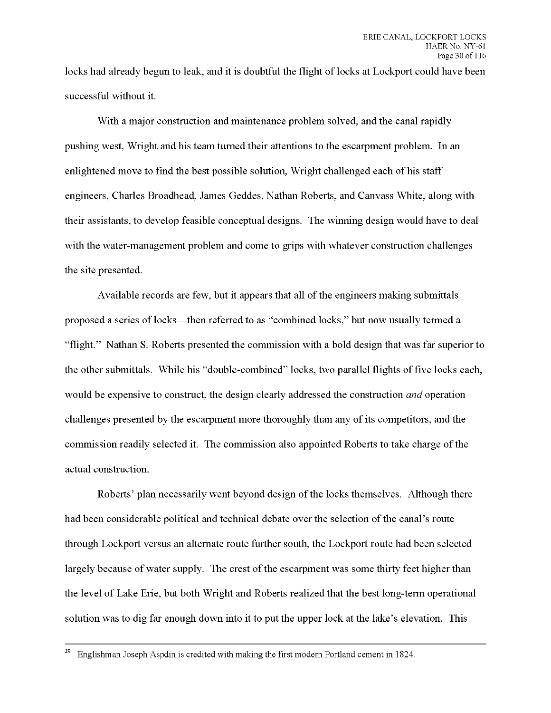locks had already begun to leak, and it is doubtful the flight of locks at Lockport could have been successful without it.

With a major construction and maintenance problem solved, and the canal rapidly pushing west, Wright and his team turned their attentions to the escarpment problem. In an enlightened move to find the best possible solution, Wright challenged each of his staff engineers, Charles Broadhead, James Geddes, Nathan Roberts, and Canvass White, along with their assistants, to develop feasible conceptual designs. The winning design would have to deal with the water-management problem and come to grips with whatever construction challenges the site presented.

Available records are few, but it appears that all of the engineers making submittals proposed a series of locks—then referred to as "combined locks," but now usually termed a "flight." Nathan S. Roberts presented the commission with a bold design that was far superior to the other submittals. While his "double-combined" locks, two parallel flights of five locks each, would be expensive to construct, the design clearly addressed the construction *and* operation challenges presented by the escarpment more thoroughly than any of its competitors, and the commission readily selected it. The commission also appointed Roberts to take charge of the actual construction.

Roberts' plan necessarily went beyond design of the locks themselves. Although there had been considerable political and technical debate over the selection of the canal's route through Lockport versus an alternate route further south, the Lockport route had been selected largely because of water supply. The crest of the escarpment was some thirty feet higher than the level of Lake Erie, but both Wright and Roberts realized that the best long-term operational solution was to dig far enough down into it to put the upper lock at the lake's elevation. This

 $29$  Englishman Joseph Aspdin is credited with making the first modern Portland cement in 1824.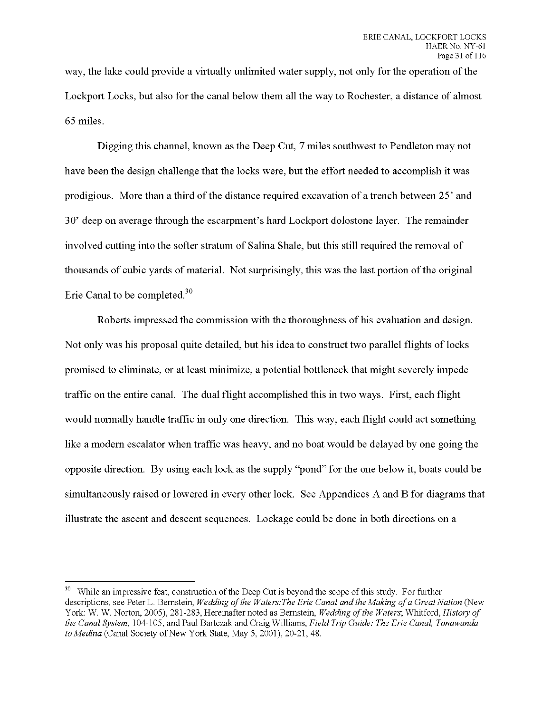**way, the lake could provide a virtually unlimited water supply, not only for the operation ofthe Lockport Locks, but also for the canal below them all the way to Rochester, a distance of almost** *65* **miles.**

**Digging this channel, known as the Deep Cut, 7 miles southwest to Pendleton may not have been the design challenge that the locks were, but the effort needed to accomplish it was prodigious. More than athird ofthe distance required excavation of atrench between 25' and 30' deep on average through the escarpment's hard Lockport dolostone layer. The remainder involved cutting into the softer stratum of Salina Shale, but this still required the removal of thousands of cubic yards of material. Not surprisingly, this was the last portion ofthe original Erie Canal to be completed.**

**Roberts impressed the commission with the thoroughness of his evaluation and design. Not only was his proposal quite detailed, but his idea to construct two parallel flights of locks promised to eliminate, or at least minimize, a potential bottleneck that might severely impede traffic on the entire canal. The dual flight accomplished this in two ways. First, each flight would normally handle traffic in only one direction. This way, each flight could act something like a modern escalator when traffic was heavy, and no boat would be delayed by one going the opposite direction. By using each lock as the supply "pond" for the one below it, boats could be simultaneously raised or lowered in every other lock. See Appendices A and B for diagrams that illustrate the ascent and descent sequences. Lockage could be done in both directions on a**

<sup>&</sup>lt;sup>30</sup> While an impressive feat, construction of the Deep Cut is beyond the scope of this study. For further descriptions, see Peter L. Bernstein, Wedding of the Waters: The Erie Canal and the Making of a Great Nation (New York: W. W. Norton, 2005), 281-283, Hereinafter noted as Bernstein, *Wedding ofthe Waters;* Whitford, *History of the Canal System,* 104-105; and Paul Bartczak and Craig Williams, *Field Trip Guide: The Erie Canal, Tonawanda to Medina* (Canal Society of New York State, May 5, 2001), 20-21, 48.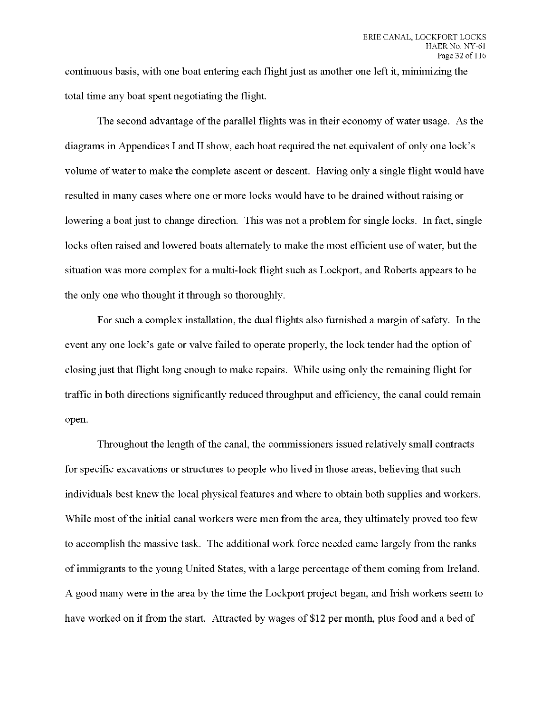continuous basis, with one boat entering each flight just as another one left it, minimizing the total time any boat spent negotiating the flight.

The second advantage ofthe parallel flights was in their economy of water usage. As the diagrams in Appendices I and II show, each boat required the net equivalent of only one lock's volume of water to make the complete ascent or descent. Having only a single flight would have resulted in many cases where one or more locks would have to be drained without raising or lowering a boat just to change direction. This was not a problem for single locks. In fact, single locks often raised and lowered boats alternately to make the most efficient use of water, but the situation was more complex for a multi-lock flight such as Lockport, and Roberts appears to be the only one who thought it through so thoroughly.

For such a complex installation, the dual flights also furnished a margin of safety. In the event any one lock's gate or valve failed to operate properly, the lock tender had the option of closing just that flight long enough to make repairs. While using only the remaining flight for traffic in both directions significantly reduced throughput and efficiency, the canal could remain open.

Throughout the length of the canal, the commissioners issued relatively small contracts for specific excavations or structures to people who lived in those areas, believing that such individuals best knew the local physical features and where to obtain both supplies and workers. While most of the initial canal workers were men from the area, they ultimately proved too few to accomplish the massive task. The additional work force needed came largely from the ranks of immigrants to the young United States, with a large percentage of them coming from Ireland. A good many were in the area by the time the Lockport project began, and Irish workers seem to have worked on it from the start. Attracted by wages of \$12 per month, plus food and a bed of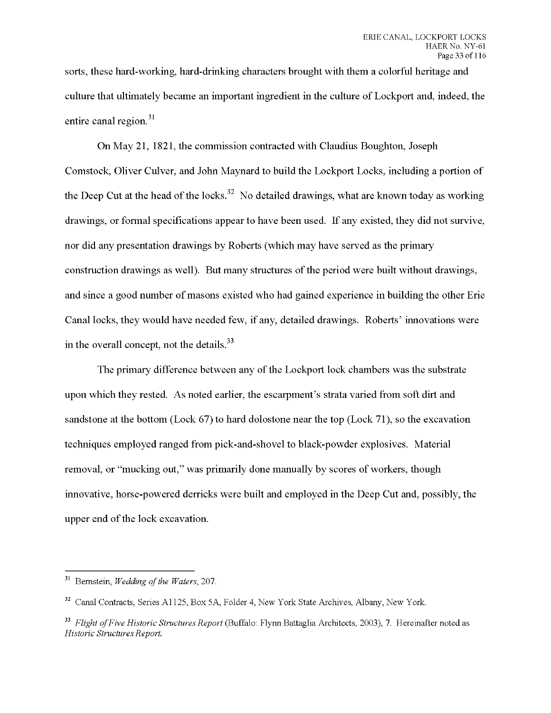sorts, these hard-working, hard-drinking characters brought with them a colorful heritage and culture that ultimately became an important ingredient in the culture of Lockport and, indeed, the entire canal region.<sup>31</sup>

On May 21, 1821, the commission contracted with Claudius Boughton, Joseph Comstock, Oliver Culver, and John Maynard to build the Lockport Locks, including a portion of the Deep Cut at the head of the locks.<sup>32</sup> No detailed drawings, what are known today as working drawings, or formal specifications appear to have been used. If any existed, they did not survive, nor did any presentation drawings by Roberts (which may have served as the primary construction drawings as well). But many structures of the period were built without drawings, and since a good number of masons existed who had gained experience in building the other Erie Canal locks, they would have needed few, if any, detailed drawings. Roberts' innovations were in the overall concept, not the details.<sup>33</sup>

The primary difference between any of the Lockport lock chambers was the substrate upon which they rested. As noted earlier, the escarpment's strata varied from soft dirt and sandstone at the bottom (Lock 67) to hard dolostone near the top (Lock 71), so the excavation techniques employed ranged from pick-and-shovel to black-powder explosives. Material removal, or "mucking out," was primarily done manually by scores of workers, though innovative, horse-powered derricks were built and employed in the Deep Cut and, possibly, the upper end of the lock excavation.

<sup>&</sup>lt;sup>31</sup> Bernstein, *Wedding of the Waters*, 207.

<sup>&</sup>lt;sup>32</sup> Canal Contracts, Series A1125, Box 5A, Folder 4, New York State Archives, Albany, New York.

<sup>33</sup> *Flight ofFive Historic Structures Report* (Buffalo: Flynn Battaglia Architects, 2003), 7. Hereinafter noted as *Historic StructuresReport.*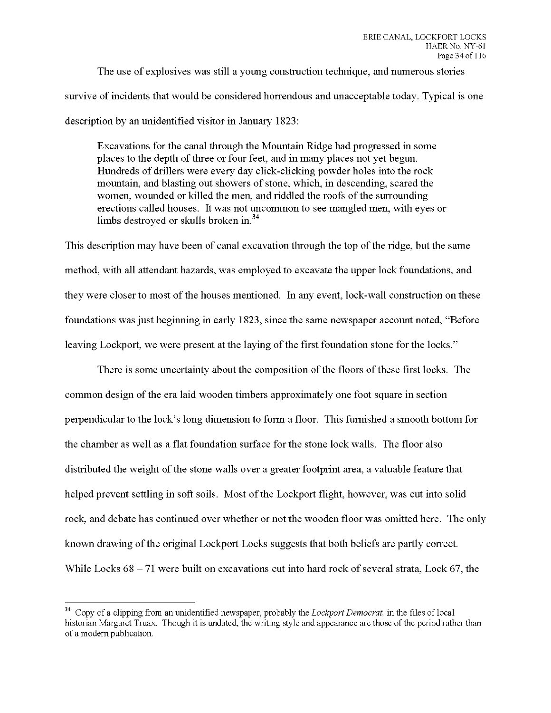The use of explosives was still a young construction technique, and numerous stories survive of incidents that would be considered horrendous and unacceptable today. Typical is one description by an unidentified visitor in January 1823:

Excavations for the canal through the Mountain Ridge had progressed in some places to the depth of three or four feet, and in many places not yet begun. Hundreds of drillers were every day click-clicking powder holes into the rock mountain, and blasting out showers of stone, which, in descending, scared the women, wounded or killed the men, and riddled the roofs of the surrounding erections called houses. It was not uncommon to see mangled men, with eyes or limbs destroyed or skulls broken in.<sup>34</sup>

This description may have been of canal excavation through the top of the ridge, but the same method, with all attendant hazards, was employed to excavate the upper lock foundations, and they were closer to most of the houses mentioned. In any event, lock-wall construction on these foundations was just beginning in early 1823, since the same newspaper account noted, "Before leaving Lockport, we were present at the laying of the first foundation stone for the locks."

There is some uncertainty about the composition of the floors of these first locks. The common design of the era laid wooden timbers approximately one foot square in section perpendicular to the lock's long dimension to form a floor. This furnished a smooth bottom for the chamber as well as a flat foundation surface for the stone lock walls. The floor also distributed the weight of the stone walls over a greater footprint area, a valuable feature that helped prevent settling in soft soils. Most of the Lockport flight, however, was cut into solid rock, and debate has continued over whether or not the wooden floor was omitted here. The only known drawing of the original Lockport Locks suggests that both beliefs are partly correct. While Locks  $68 - 71$  were built on excavations cut into hard rock of several strata, Lock  $67$ , the

<sup>34</sup> Copy of a clipping from an unidentified newspaper, probably the *Lockport Democrat,* in the files of local historian Margaret Truax. Though it is undated, the writing style and appearance are those of the period rather than of a modern publication.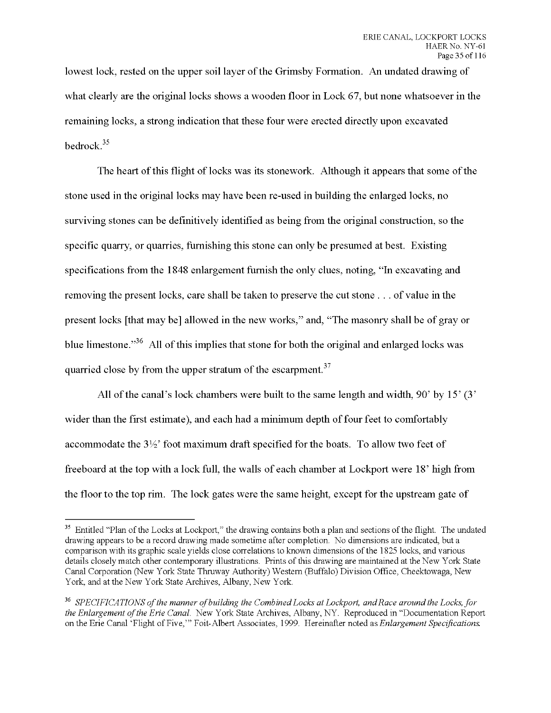lowest lock, rested on the upper soil layer of the Grimsby Formation. An undated drawing of what clearly are the original locks shows a wooden floor in Lock 67, but none whatsoever in the remaining locks, a strong indication that these four were erected directly upon excavated bedrock.

The heart of this flight of locks was its stonework. Although it appears that some of the stone used in the original locks may have been re-used in building the enlarged locks, no surviving stones can be definitively identified as being from the original construction, so the specific quarry, or quarries, furnishing this stone can only be presumed at best. Existing specifications from the 1848 enlargement furnish the only clues, noting, "In excavating and removing the present locks, care shall be taken to preserve the cut stone . . . of value in the present locks [that may be] allowed in the new works," and, "The masonry shall be of gray or blue limestone. $36$  All of this implies that stone for both the original and enlarged locks was quarried close by from the upper stratum of the escarpment.<sup>37</sup>

All of the canal's lock chambers were built to the same length and width,  $90'$  by  $15'$  (3') wider than the first estimate), and each had a minimum depth of four feet to comfortably accommodate the  $3\frac{1}{2}$  foot maximum draft specified for the boats. To allow two feet of freeboard at the top with a lock full, the walls of each chamber at Lockport were 18' high from the floor to the top rim. The lock gates were the same height, except for the upstream gate of

<sup>&</sup>lt;sup>35</sup> Entitled "Plan of the Locks at Lockport," the drawing contains both a plan and sections of the flight. The undated drawing appears to be a record drawing made sometime after completion. No dimensions are indicated, but a comparison with its graphic scale yields close correlations to known dimensions of the 1825 locks, and various details closely match other contemporary illustrations. Prints of this drawing are maintained at the New York State Canal Corporation (New York State Thruway Authority) Western (Buffalo) Division Office, Cheektowaga, New York, and at the New York State Archives, Albany, New York.

<sup>36</sup> *SPECIFICATIONS ofthe manner ofbuilding the Combined Locks at Lockport, andRace around the Locks, for the Enlargement ofthe Erie Canal.* New York State Archives, Albany, NY. Reproduced in "Documentation Report on the Erie Canal 'Flight of Five,'" Foit-Albert Associates, 1999. Hereinafter noted *^Enlargement Specifications.*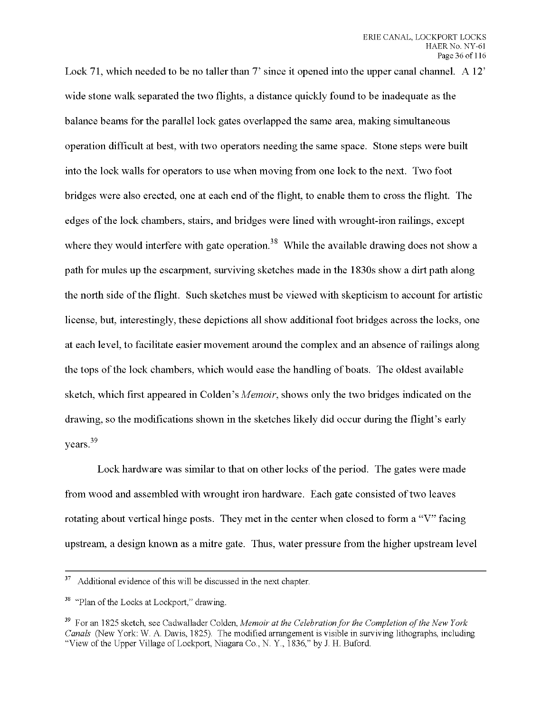Lock 71, which needed to be no taller than 7' since it opened into the upper canal channel. A 12' wide stone walk separated the two flights, a distance quickly found to be inadequate as the balance beams for the parallel lock gates overlapped the same area, making simultaneous operation difficult at best, with two operators needing the same space. Stone steps were built into the lock walls for operators to use when moving from one lock to the next. Two foot bridges were also erected, one at each end of the flight, to enable them to cross the flight. The edges of the lock chambers, stairs, and bridges were lined with wrought-iron railings, except where they would interfere with gate operation.<sup>38</sup> While the available drawing does not show a path for mules up the escarpment, surviving sketches made in the 1830s show a dirt path along the north side ofthe flight. Such sketches must be viewed with skepticism to account for artistic license, but, interestingly, these depictions all show additional foot bridges across the locks, one at each level, to facilitate easier movement around the complex and an absence of railings along the tops of the lock chambers, which would ease the handling of boats. The oldest available sketch, which first appeared in Colden's *Memoir,* shows only the two bridges indicated on the drawing, so the modifications shown in the sketches likely did occur during the flight's early years.<sup>39</sup>

Lock hardware was similar to that on other locks of the period. The gates were made from wood and assembled with wrought iron hardware. Each gate consisted of two leaves rotating about vertical hinge posts. They met in the center when closed to form a "V" facing upstream, a design known as a mitre gate. Thus, water pressure from the higher upstream level

 $37$  Additional evidence of this will be discussed in the next chapter.

<sup>&</sup>lt;sup>38</sup> "Plan of the Locks at Lockport," drawing.

<sup>39</sup> For an 1825 sketch, see Cadwallader Colden, *Memoir at the Celebrationfor the Completion ofthe New York Canals* (New York: W. A. Davis, 1825). The modified arrangement is visible in surviving lithographs, including "View of the Upper Village of Lockport, Niagara Co., N. Y., 1836," by J. H. Buford.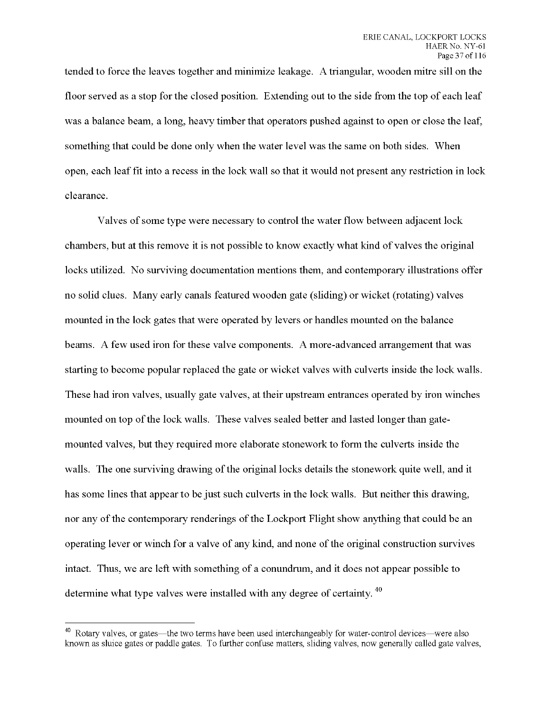tended to force the leaves together and minimize leakage. A triangular, wooden mitre sill on the floor served as a stop for the closed position. Extending out to the side from the top of each leaf was a balance beam, a long, heavy timber that operators pushed against to open or close the leaf, something that could be done only when the water level was the same on both sides. When open, each leaf fit into a recess in the lock wall so that it would not present any restriction in lock clearance.

Valves of some type were necessary to control the water flow between adjacent lock chambers, but at this remove it is not possible to know exactly what kind of valves the original locks utilized. No surviving documentation mentions them, and contemporary illustrations offer no solid clues. Many early canals featured wooden gate (sliding) or wicket (rotating) valves mounted in the lock gates that were operated by levers or handles mounted on the balance beams. A few used iron for these valve components. A more-advanced arrangement that was starting to become popular replaced the gate or wicket valves with culverts inside the lock walls. These had iron valves, usually gate valves, at their upstream entrances operated by iron winches mounted on top of the lock walls. These valves sealed better and lasted longer than gatemounted valves, but they required more elaborate stonework to form the culverts inside the walls. The one surviving drawing of the original locks details the stonework quite well, and it has some lines that appear to be just such culverts in the lock walls. But neither this drawing, nor any of the contemporary renderings of the Lockport Flight show anything that could be an operating lever or winch for a valve of any kind, and none of the original construction survives intact. Thus, we are left with something of a conundrum, and it does not appear possible to determine what type valves were installed with any degree of certainty.

<sup>&</sup>lt;sup>40</sup> Rotary valves, or gates—the two terms have been used interchangeably for water-control devices—were also known as sluice gates or paddle gates. To further confuse matters, sliding valves, now generally called gate valves,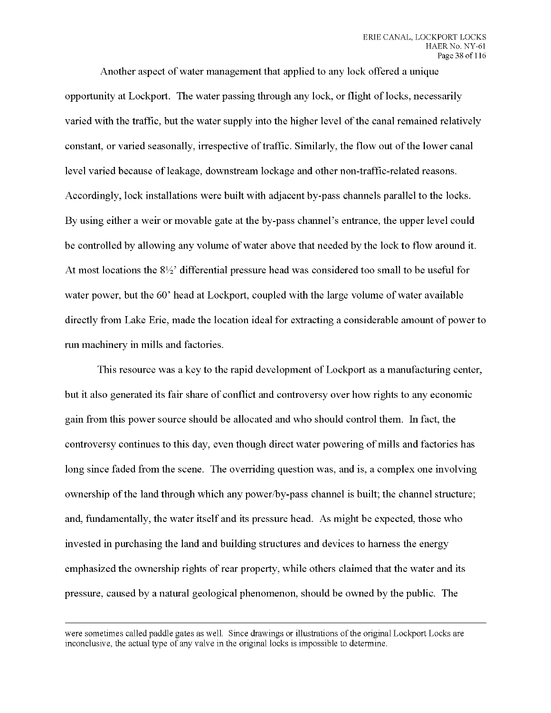Another aspect of water management that applied to any lock offered a unique opportunity at Lockport. The water passing through any lock, or flight of locks, necessarily varied with the traffic, but the water supply into the higher level of the canal remained relatively constant, or varied seasonally, irrespective of traffic. Similarly, the flow out of the lower canal level varied because of leakage, downstream lockage and other non-traffic-related reasons. Accordingly, lock installations were built with adjacent by-pass channels parallel to the locks. By using either a weir or movable gate at the by-pass channel's entrance, the upper level could be controlled by allowing any volume of water above that needed by the lock to flow around it. At most locations the  $8\frac{1}{2}$  differential pressure head was considered too small to be useful for water power, but the 60' head at Lockport, coupled with the large volume of water available directly from Lake Erie, made the location ideal for extracting a considerable amount of power to run machinery in mills and factories.

This resource was a key to the rapid development of Lockport as a manufacturing center, but it also generated its fair share of conflict and controversy over how rights to any economic gain from this power source should be allocated and who should control them. In fact, the controversy continues to this day, even though direct water powering of mills and factories has long since faded from the scene. The overriding question was, and is, a complex one involving ownership of the land through which any power/by-pass channel is built; the channel structure; and, fundamentally, the water itself and its pressure head. As might be expected, those who invested in purchasing the land and building structures and devices to harness the energy emphasized the ownership rights of rear property, while others claimed that the water and its pressure, caused by a natural geological phenomenon, should be owned by the public. The

were sometimes called paddle gates as well. Since drawings or illustrations of the original Lockport Locks are inconclusive, the actual type of any valve in the original locks is impossible to determine.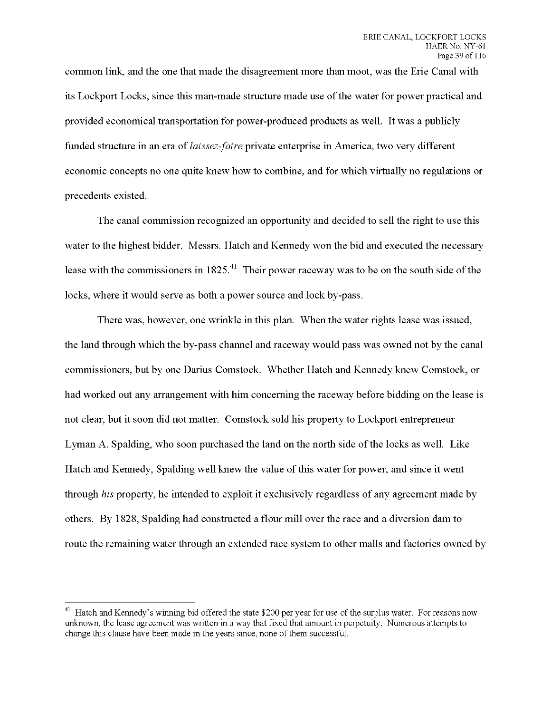common link, and the one that made the disagreement more than moot, was the Erie Canal with its Lockport Locks, since this man-made structure made use ofthe water for power practical and provided economical transportation for power-produced products as well. It was a publicly funded structure in an era of *laissez-faire* private enterprise in America, two very different economic concepts no one quite knew how to combine, and for which virtually no regulations or precedents existed.

The canal commission recognized an opportunity and decided to sell the right to use this water to the highest bidder. Messrs. Hatch and Kennedy won the bid and executed the necessary lease with the commissioners in  $1825<sup>41</sup>$ . Their power raceway was to be on the south side of the locks, where it would serve as both a power source and lock by-pass.

There was, however, one wrinkle in this plan. When the water rights lease was issued, the land through which the by-pass channel and raceway would pass was owned not by the canal commissioners, but by one Darius Comstock. Whether Hatch and Kennedy knew Comstock, or had worked out any arrangement with him concerning the raceway before bidding on the lease is not clear, but it soon did not matter. Comstock sold his property to Lockport entrepreneur Lyman A. Spalding, who soon purchased the land on the north side of the locks as well. Like Hatch and Kennedy, Spalding well knew the value ofthis water for power, and since it went through *his* property, he intended to exploit it exclusively regardless of any agreement made by others. By 1828, Spalding had constructed a flour mill over the race and a diversion dam to route the remaining water through an extended race system to other malls and factories owned by

<sup>&</sup>lt;sup>41</sup> Hatch and Kennedy's winning bid offered the state \$200 per year for use of the surplus water. For reasons now unknown, the lease agreement was written in a way that fixed that amount in perpetuity. Numerous attempts to change this clause have been made in the years since, none of them successful.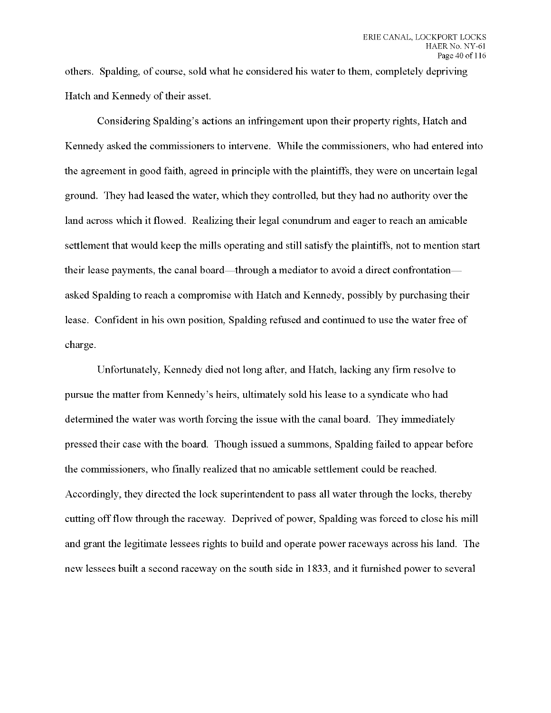others. Spalding, of course, sold what he considered his water to them, completely depriving Hatch and Kennedy of their asset.

Considering Spalding's actions an infringement upon their property rights, Hatch and Kennedy asked the commissioners to intervene. While the commissioners, who had entered into the agreement in good faith, agreed in principle with the plaintiffs, they were on uncertain legal ground. They had leased the water, which they controlled, but they had no authority over the land across which it flowed. Realizing their legal conundrum and eager to reach an amicable settlement that would keep the mills operating and still satisfy the plaintiffs, not to mention start their lease payments, the canal board—through a mediator to avoid a direct confrontation asked Spalding to reach a compromise with Hatch and Kennedy, possibly by purchasing their lease. Confident in his own position, Spalding refused and continued to use the water free of charge.

Unfortunately, Kennedy died not long after, and Hatch, lacking any firm resolve to pursue the matter from Kennedy's heirs, ultimately sold his lease to a syndicate who had determined the water was worth forcing the issue with the canal board. They immediately pressed their case with the board. Though issued a summons, Spalding failed to appear before the commissioners, who finally realized that no amicable settlement could be reached. Accordingly, they directed the lock superintendent to pass all water through the locks, thereby cutting offflow through the raceway. Deprived of power, Spalding was forced to close his mill and grant the legitimate lessees rights to build and operate power raceways across his land. The new lessees built a second raceway on the south side in 1833, and it furnished power to several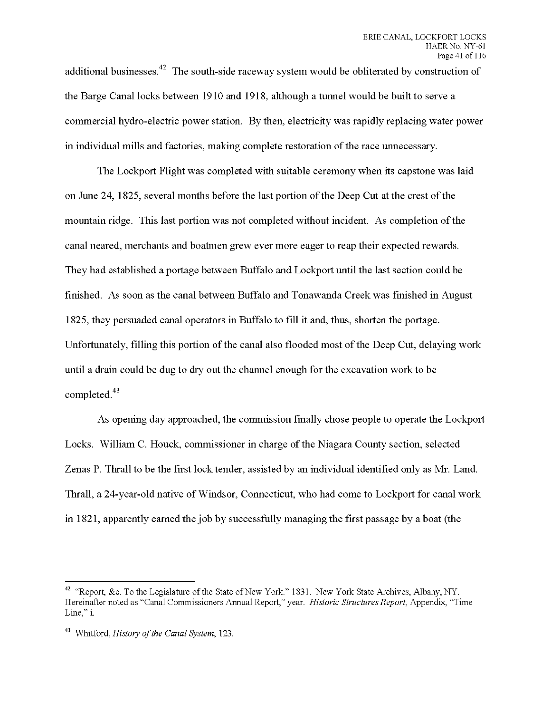additional businesses.<sup>42</sup> The south-side raceway system would be obliterated by construction of the Barge Canal locks between 1910 and 1918, although a tunnel would be built to serve a commercial hydro-electric power station. By then, electricity was rapidly replacing water power in individual mills and factories, making complete restoration of the race unnecessary.

The Lockport Flight was completed with suitable ceremony when its capstone was laid on June 24, 1825, several months before the last portion of the Deep Cut at the crest of the mountain ridge. This last portion was not completed without incident. As completion ofthe canal neared, merchants and boatmen grew ever more eager to reap their expected rewards. They had established a portage between Buffalo and Lockport until the last section could be finished. As soon as the canal between Buffalo and Tonawanda Creek was finished in August 1825, they persuaded canal operators in Buffalo to fill it and, thus, shorten the portage. Unfortunately, filling this portion of the canal also flooded most of the Deep Cut, delaying work until a drain could be dug to dry out the channel enough for the excavation work to be completed.

As opening day approached, the commission finally chose people to operate the Lockport Locks. William C. Houck, commissioner in charge of the Niagara County section, selected Zenas P. Thrall to be the first lock tender, assisted by an individual identified only as Mr. Land. Thrall, a 24-year-old native of Windsor, Connecticut, who had come to Lockport for canal work in 1821, apparently earned the job by successfully managing the first passage by a boat (the

<sup>&</sup>lt;sup>42</sup> "Report, &c. To the Legislature of the State of New York." 1831. New York State Archives, Albany, NY. Hereinafter noted as "Canal Commissioners Annual Report," year. *Historic Structures Report,* Appendix, "Time Line," i.

<sup>&</sup>lt;sup>43</sup> Whitford, *History of the Canal System*, 123.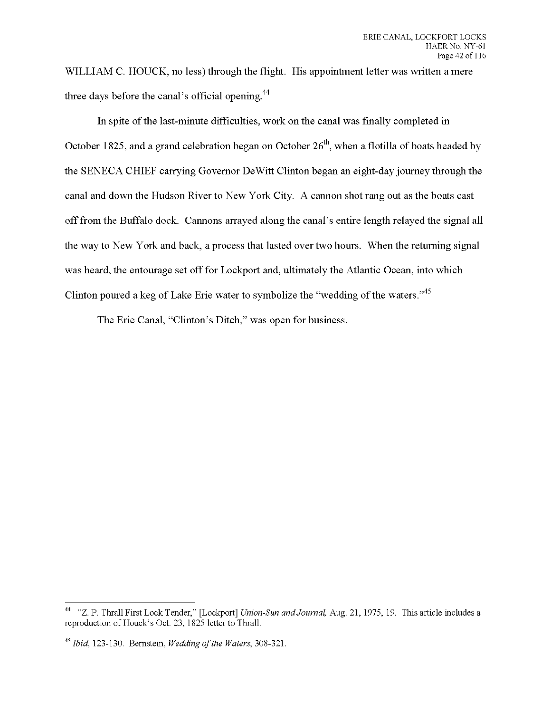**WILLIAM C. HOUCK, no less) through the flight. His appointment letter was written a mere three days before the canal's official opening.**

In spite of the last-minute difficulties, work on the canal was finally completed in **October 1825, and a grand celebration began on October 26 , when a flotilla of boats headed by the SENECA CHIEF carrying Governor DeWitt Clinton began an eight-day journey through the canal and down the Hudson River to New York City. A cannon shot rang out as the boats cast offfrom the Buffalo dock. Cannons arrayed along the canal's entire length relayed the signal all the way to New York and back, a process that lasted over two hours. When the returning signal was heard, the entourage set off for Lockport and, ultimately the Atlantic Ocean, into which Clinton poured a keg of Lake Erie water to symbolize the "wedding ofthe waters."**

**The Erie Canal, "Clinton's Ditch," was open for business.**

<sup>44</sup> "Z. P. Thrall First Lock Tender," [Lockport] *Union-Sun andJournal* Aug. 21, 1975, 19. This article includes a reproduction of Houck's Oct. 23, 1825 letter to Thrall.

*<sup>45</sup> Ibid,* 123-130. Bernstein, *Weddingofthe Waters,* 308-321.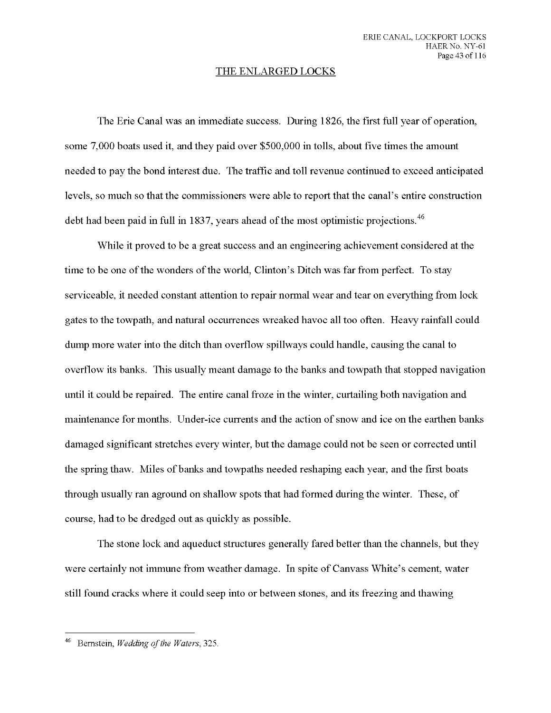## THE ENLARGED LOCKS

The Erie Canal was an immediate success. During 1826, the first full year of operation, some 7,000 boats used it, and they paid over \$500,000 in tolls, about five times the amount needed to pay the bond interest due. The traffic and toll revenue continued to exceed anticipated levels, so much so that the commissioners were able to report that the canal's entire construction debt had been paid in full in 1837, years ahead of the most optimistic projections.  $46$ 

While it proved to be a great success and an engineering achievement considered at the time to be one of the wonders of the world, Clinton's Ditch was far from perfect. To stay serviceable, it needed constant attention to repair normal wear and tear on everything from lock gates to the towpath, and natural occurrences wreaked havoc all too often. Heavy rainfall could dump more water into the ditch than overflow spillways could handle, causing the canal to overflow its banks. This usually meant damage to the banks and towpath that stopped navigation until it could be repaired. The entire canal froze in the winter, curtailing both navigation and maintenance for months. Under-ice currents and the action of snow and ice on the earthen banks damaged significant stretches every winter, but the damage could not be seen or corrected until the spring thaw. Miles of banks and towpaths needed reshaping each year, and the first boats through usually ran aground on shallow spots that had formed during the winter. These, of course, had to be dredged out as quickly as possible.

The stone lock and aqueduct structures generally fared better than the channels, but they were certainly not immune from weather damage. In spite of Canvass White's cement, water still found cracks where it could seep into or between stones, and its freezing and thawing

Bernstein, *Wedding of the Waters*, 325.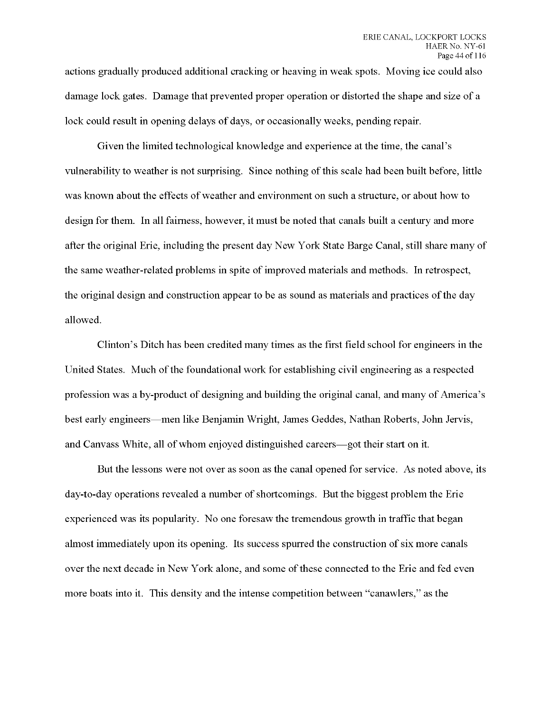actions gradually produced additional cracking or heaving in weak spots. Moving ice could also damage lock gates. Damage that prevented proper operation or distorted the shape and size of a lock could result in opening delays of days, or occasionally weeks, pending repair.

Given the limited technological knowledge and experience at the time, the canal's vulnerability to weather is not surprising. Since nothing of this scale had been built before, little was known about the effects of weather and environment on such a structure, or about how to design for them. In all fairness, however, it must be noted that canals built a century and more after the original Erie, including the present day New York State Barge Canal, still share many of the same weather-related problems in spite of improved materials and methods. In retrospect, the original design and construction appear to be as sound as materials and practices ofthe day allowed.

Clinton's Ditch has been credited many times as the first field school for engineers in the United States. Much of the foundational work for establishing civil engineering as a respected profession was a by-product of designing and building the original canal, and many of America's best early engineers—men like Benjamin Wright, James Geddes, Nathan Roberts, John Jervis, and Canvass White, all of whom enjoyed distinguished careers—got their start on it.

But the lessons were not over as soon as the canal opened for service. As noted above, its day-to-day operations revealed a number of shortcomings. But the biggest problem the Erie experienced was its popularity. No one foresaw the tremendous growth in traffic that began almost immediately upon its opening. Its success spurred the construction of six more canals over the next decade in New York alone, and some of these connected to the Erie and fed even more boats into it. This density and the intense competition between "canawlers," as the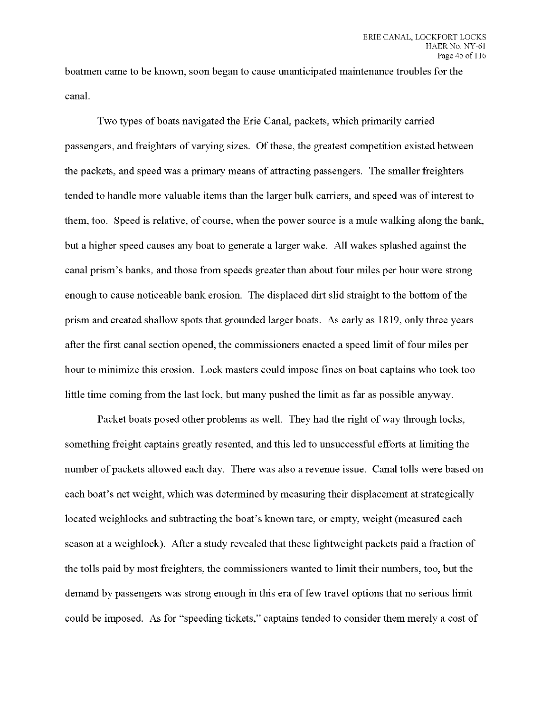boatmen came to be known, soon began to cause unanticipated maintenance troubles for the canal.

Two types of boats navigated the Erie Canal, packets, which primarily carried passengers, and freighters of varying sizes. Of these, the greatest competition existed between the packets, and speed was a primary means of attracting passengers. The smaller freighters tended to handle more valuable items than the larger bulk carriers, and speed was of interest to them, too. Speed is relative, of course, when the power source is a mule walking along the bank, but a higher speed causes any boat to generate a larger wake. All wakes splashed against the canal prism's banks, and those from speeds greater than about four miles per hour were strong enough to cause noticeable bank erosion. The displaced dirt slid straight to the bottom of the prism and created shallow spots that grounded larger boats. As early as 1819, only three years after the first canal section opened, the commissioners enacted a speed limit of four miles per hour to minimize this erosion. Lock masters could impose fines on boat captains who took too little time coming from the last lock, but many pushed the limit as far as possible anyway.

Packet boats posed other problems as well. They had the right of way through locks, something freight captains greatly resented, and this led to unsuccessful efforts at limiting the number of packets allowed each day. There was also a revenue issue. Canal tolls were based on each boat's net weight, which was determined by measuring their displacement at strategically located weighlocks and subtracting the boat's known tare, or empty, weight (measured each season at a weighlock). After a study revealed that these lightweight packets paid a fraction of the tolls paid by most freighters, the commissioners wanted to limit their numbers, too, but the demand by passengers was strong enough in this era of few travel options that no serious limit could be imposed. As for "speeding tickets," captains tended to consider them merely a cost of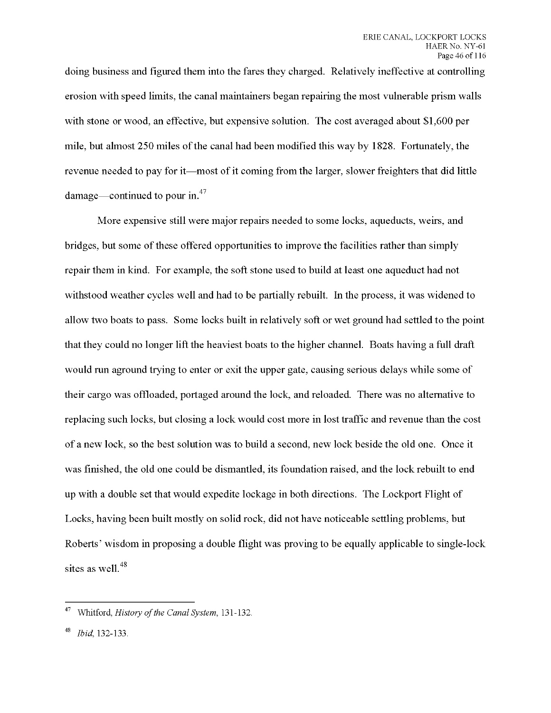doing business and figured them into the fares they charged. Relatively ineffective at controlling erosion with speed limits, the canal maintainers began repairing the most vulnerable prism walls with stone or wood, an effective, but expensive solution. The cost averaged about \$1,600 per mile, but almost 250 miles ofthe canal had been modified this way by 1828. Fortunately, the revenue needed to pay for it—most of it coming from the larger, slower freighters that did little damage—continued to pour in. $47$ 

More expensive still were major repairs needed to some locks, aqueducts, weirs, and bridges, but some ofthese offered opportunities to improve the facilities rather than simply repair them in kind. For example, the soft stone used to build at least one aqueduct had not withstood weather cycles well and had to be partially rebuilt. In the process, it was widened to allow two boats to pass. Some locks built in relatively soft or wet ground had settled to the point that they could no longer lift the heaviest boats to the higher channel. Boats having a full draft would run aground trying to enter or exit the upper gate, causing serious delays while some of their cargo was offloaded, portaged around the lock, and reloaded. There was no alternative to replacing such locks, but closing a lock would cost more in lost traffic and revenue than the cost of a new lock, so the best solution was to build a second, new lock beside the old one. Once it was finished, the old one could be dismantled, its foundation raised, and the lock rebuilt to end up with a double set that would expedite lockage in both directions. The Lockport Flight of Locks, having been built mostly on solid rock, did not have noticeable settling problems, but Roberts' wisdom in proposing a double flight was proving to be equally applicable to single-lock sites as well.<sup>48</sup>

Whitford, *History of the Canal System*, 131-132.

*Ibid* 132-133.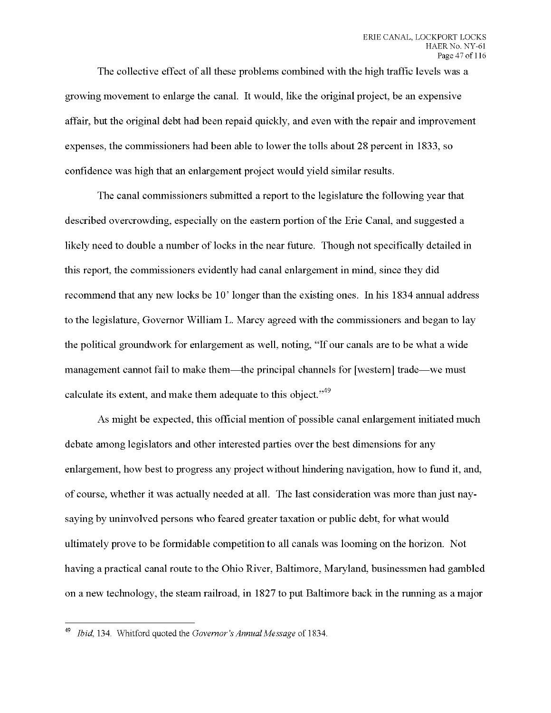The collective effect of all these problems combined with the high traffic levels was a growing movement to enlarge the canal. It would, like the original project, be an expensive affair, but the original debt had been repaid quickly, and even with the repair and improvement expenses, the commissioners had been able to lower the tolls about 28 percent in 1833, so confidence was high that an enlargement project would yield similar results.

The canal commissioners submitted a report to the legislature the following year that described overcrowding, especially on the eastern portion of the Erie Canal, and suggested a likely need to double a number of locks in the near future. Though not specifically detailed in this report, the commissioners evidently had canal enlargement in mind, since they did recommend that any new locks be 10' longer than the existing ones. In his 1834 annual address to the legislature, Governor William L. Marcy agreed with the commissioners and began to lay the political groundwork for enlargement as well, noting, "If our canals are to be what a wide management cannot fail to make them—the principal channels for [western] trade—we must calculate its extent, and make them adequate to this object."<sup>49</sup>

As might be expected, this official mention of possible canal enlargement initiated much debate among legislators and other interested parties over the best dimensions for any enlargement, how best to progress any project without hindering navigation, how to fund it, and, of course, whether it was actually needed at all. The last consideration was more than just naysaying by uninvolved persons who feared greater taxation or public debt, for what would ultimately prove to be formidable competition to all canals was looming on the horizon. Not having a practical canal route to the Ohio River, Baltimore, Maryland, businessmen had gambled on a new technology, the steam railroad, in 1827 to put Baltimore back in the running as a major

*Ibid,* 134. Whitford quoted the *Governor's Annual Message* of 1834.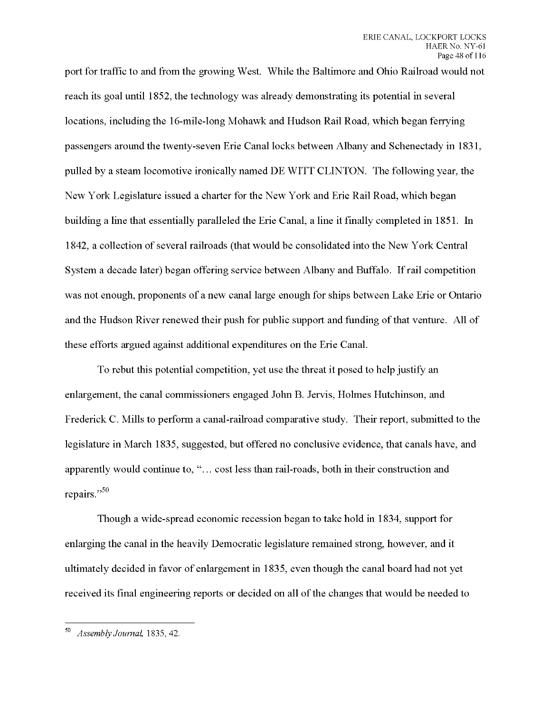port for traffic to and from the growing West. While the Baltimore and Ohio Railroad would not reach its goal until 1852, the technology was already demonstrating its potential in several locations, including the 16-mile-long Mohawk and Hudson Rail Road, which began ferrying passengers around the twenty-seven Erie Canal locks between Albany and Schenectady in 1831, pulled by a steam locomotive ironically named DE WITT CLINTON. The following year, the New York Legislature issued a charter for the New York and Erie Rail Road, which began building a line that essentially paralleled the Erie Canal, a line it finally completed in 1851. In 1842, a collection of several railroads (that would be consolidated into the New York Central System a decade later) began offering service between Albany and Buffalo. If rail competition was not enough, proponents of a new canal large enough for ships between Lake Erie or Ontario and the Hudson River renewed their push for public support and funding of that venture. All of these efforts argued against additional expenditures on the Erie Canal.

To rebut this potential competition, yet use the threat it posed to help justify an enlargement, the canal commissioners engaged John B. Jervis, Holmes Hutchinson, and Frederick C. Mills to perform a canal-railroad comparative study. Their report, submitted to the legislature in March 1835, suggested, but offered no conclusive evidence, that canals have, and apparently would continue to, "... cost less than rail-roads, both in their construction and repairs."<sup>50</sup>

Though a wide-spread economic recession began to take hold in 1834, support for enlarging the canal in the heavily Democratic legislature remained strong, however, and it ultimately decided in favor of enlargement in 1835, even though the canal board had not yet received its final engineering reports or decided on all of the changes that would be needed to

<sup>50</sup> *Assembly Journal* 1835,42.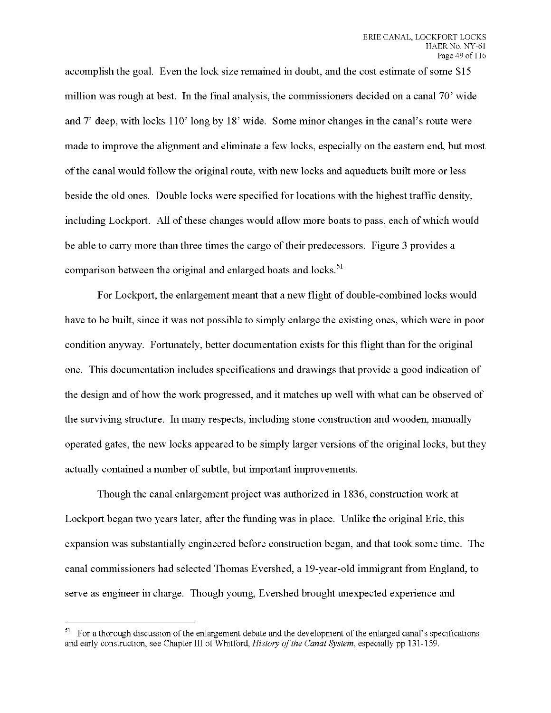accomplish the goal. Even the lock size remained in doubt, and the cost estimate of some \$15 million was rough at best. In the final analysis, the commissioners decided on a canal 70' wide and 7' deep, with locks 110' long by 18' wide. Some minor changes in the canal's route were made to improve the alignment and eliminate a few locks, especially on the eastern end, but most ofthe canal would follow the original route, with new locks and aqueducts built more or less beside the old ones. Double locks were specified for locations with the highest traffic density, including Lockport. All of these changes would allow more boats to pass, each of which would be able to carry more than three times the cargo oftheir predecessors. Figure 3 provides a comparison between the original and enlarged boats and locks.<sup>51</sup>

For Lockport, the enlargement meant that a new flight of double-combined locks would have to be built, since it was not possible to simply enlarge the existing ones, which were in poor condition anyway. Fortunately, better documentation exists for this flight than for the original one. This documentation includes specifications and drawings that provide a good indication of the design and of how the work progressed, and it matches up well with what can be observed of the surviving structure. In many respects, including stone construction and wooden, manually operated gates, the new locks appeared to be simply larger versions of the original locks, but they actually contained a number of subtle, but important improvements.

Though the canal enlargement project was authorized in 1836, construction work at Lockport began two years later, after the funding was in place. Unlike the original Erie, this expansion was substantially engineered before construction began, and that took some time. The canal commissioners had selected Thomas Evershed, a 19-year-old immigrant from England, to serve as engineer in charge. Though young, Evershed brought unexpected experience and

<sup>&</sup>lt;sup>51</sup> For a thorough discussion of the enlargement debate and the development of the enlarged canal's specifications and early construction, see Chapter III of Whitford, *History ofthe Canal System,* especially pp 131-159.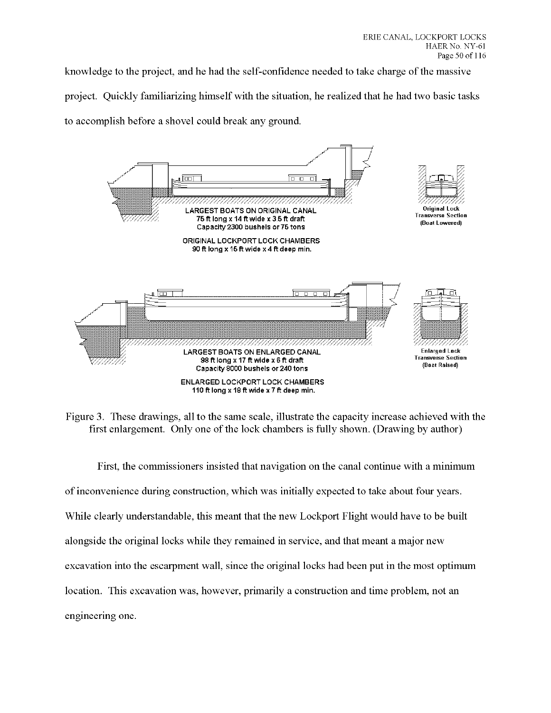knowledge to the project, and he had the self-confidence needed to take charge of the massive project. Quickly familiarizing himself with the situation, he realized that he had two basic tasks to accomplish before a shovel could break any ground.



Figure 3. These drawings, all to the same scale, illustrate the capacity increase achieved with the first enlargement. Only one of the lock chambers is fully shown. (Drawing by author)

First, the commissioners insisted that navigation on the canal continue with a minimum of inconvenience during construction, which was initially expected to take about four years. While clearly understandable, this meant that the new Lockport Flight would have to be built alongside the original locks while they remained in service, and that meant a major new excavation into the escarpment wall, since the original locks had been put in the most optimum location. This excavation was, however, primarily a construction and time problem, not an engineering one.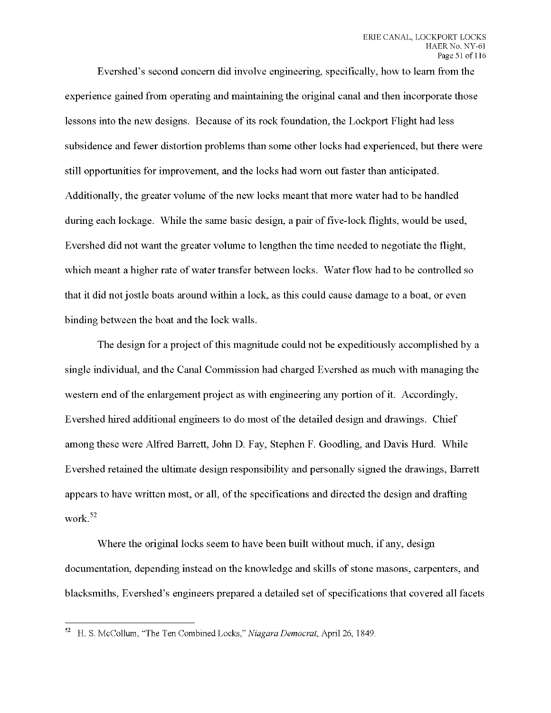Evershed's second concern did involve engineering, specifically, how to learn from the experience gained from operating and maintaining the original canal and then incorporate those lessons into the new designs. Because of its rock foundation, the Lockport Flight had less subsidence and fewer distortion problems than some other locks had experienced, but there were still opportunities for improvement, and the locks had worn out faster than anticipated. Additionally, the greater volume of the new locks meant that more water had to be handled during each lockage. While the same basic design, a pair of five-lock flights, would be used, Evershed did not want the greater volume to lengthen the time needed to negotiate the flight, which meant a higher rate of water transfer between locks. Water flow had to be controlled so that it did not jostle boats around within a lock, as this could cause damage to a boat, or even binding between the boat and the lock walls.

The design for a project of this magnitude could not be expeditiously accomplished by a single individual, and the Canal Commission had charged Evershed as much with managing the western end of the enlargement project as with engineering any portion of it. Accordingly, Evershed hired additional engineers to do most of the detailed design and drawings. Chief among these were Alfred Barrett, John D. Fay, Stephen F. Goodling, and Davis Hurd. While Evershed retained the ultimate design responsibility and personally signed the drawings, Barrett appears to have written most, or all, of the specifications and directed the design and drafting work.<sup>52</sup>

Where the original locks seem to have been built without much, if any, design documentation, depending instead on the knowledge and skills of stone masons, carpenters, and blacksmiths, Evershed's engineers prepared a detailed set of specifications that covered all facets

H. S. McCollum, "The Ten Combined Locks," *Niagara Democrat,* April 26, 1849.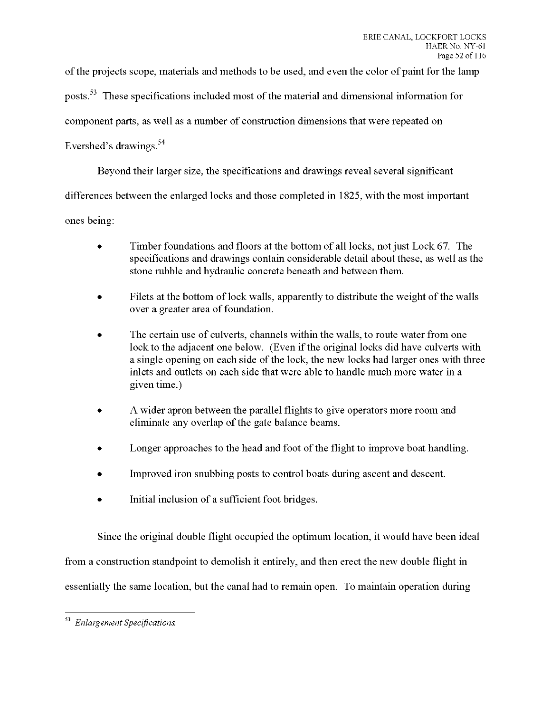ofthe projects scope, materials and methods to be used, and even the color of paint for the lamp

posts.<sup>53</sup> These specifications included most of the material and dimensional information for

component parts, as well as a number of construction dimensions that were repeated on

## Evershed's drawings.

Beyond their larger size, the specifications and drawings reveal several significant

differences between the enlarged locks and those completed in 1825, with the most important

ones being:

- Timber foundations and floors at the bottom of all locks, not just Lock 67. The specifications and drawings contain considerable detail about these, as well as the stone rubble and hydraulic concrete beneath and between them.
- Filets at the bottom of lock walls, apparently to distribute the weight of the walls over a greater area of foundation.
- The certain use of culverts, channels within the walls, to route water from one lock to the adjacent one below. (Even if the original locks did have culverts with a single opening on each side of the lock, the new locks had larger ones with three inlets and outlets on each side that were able to handle much more water in a given time.)
- A wider apron between the parallel flights to give operators more room and eliminate any overlap of the gate balance beams.
- Longer approaches to the head and foot of the flight to improve boat handling.
- Improved iron snubbing posts to control boats during ascent and descent.
- Initial inclusion of a sufficient foot bridges.

Since the original double flight occupied the optimum location, it would have been ideal

from a construction standpoint to demolish it entirely, and then erect the new double flight in

essentially the same location, but the canal had to remain open. To maintain operation during

*Enlargement Specifications.*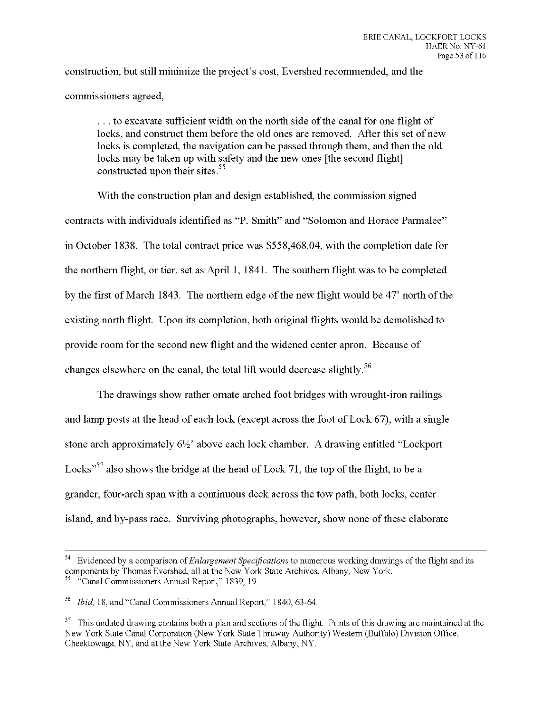construction, but still minimize the project's cost, Evershed recommended, and the commissioners agreed,

... to excavate sufficient width on the north side of the canal for one flight of locks, and construct them before the old ones are removed. After this set of new locks is completed, the navigation can be passed through them, and then the old locks may be taken up with safety and the new ones [the second flight] constructed upon their sites.<sup>55</sup>

With the construction plan and design established, the commission signed contracts with individuals identified as "P. Smith" and "Solomon and Horace Parmalee" in October 1838. The total contract price was \$558,468.04, with the completion date for the northern flight, or tier, set as April 1, 1841. The southern flight was to be completed by the first of March 1843. The northern edge of the new flight would be 47<sup>*'*</sup> north of the existing north flight. Upon its completion, both original flights would be demolished to provide room for the second new flight and the widened center apron. Because of changes elsewhere on the canal, the total lift would decrease slightly.

The drawings show rather ornate arched foot bridges with wrought-iron railings and lamp posts at the head of each lock (except across the foot of Lock 67), with a single stone arch approximately  $6\frac{1}{2}$  above each lock chamber. A drawing entitled "Lockport" Locks"<sup>57</sup> also shows the bridge at the head of Lock 71, the top of the flight, to be a grander, four-arch span with a continuous deck across the tow path, both locks, center island, and by-pass race. Surviving photographs, however, show none of these elaborate

<sup>54</sup> Evidenced by a comparison *ofEnlargement Specifications* to numerous working drawings of the flight and its components by Thomas Evershed, all at the New York State Archives, Albany, New York.<br><sup>55</sup> "Canal Commissioners Annual Depaper" 2000. <sup>55</sup> "Canal Commissioners Annual Report," 1839, 19.

*Ibid,* 18, and "Canal Commissioners Annual Report," 1840, 63-64.

<sup>&</sup>lt;sup>57</sup> This undated drawing contains both a plan and sections of the flight. Prints of this drawing are maintained at the New York State Canal Corporation (New York State Thruway Authority) Western (Buffalo) Division Office, Cheektowaga, NY, and at the New York State Archives, Albany, NY.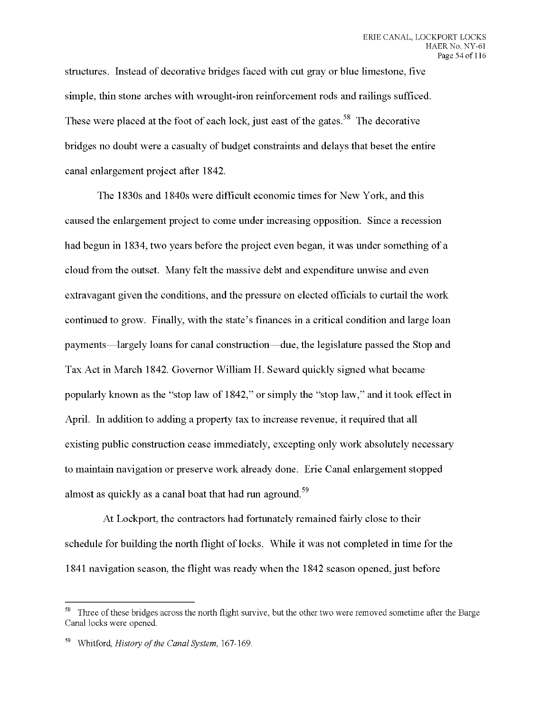structures. Instead of decorative bridges faced with cut gray or blue limestone, five simple, thin stone arches with wrought-iron reinforcement rods and railings sufficed. These were placed at the foot of each lock, just east of the gates.<sup>58</sup> The decorative bridges no doubt were a casualty of budget constraints and delays that beset the entire canal enlargement project after 1842.

The 1830s and 1840s were difficult economic times for New York, and this caused the enlargement project to come under increasing opposition. Since a recession had begun in 1834, two years before the project even began, it was under something of a cloud from the outset. Many felt the massive debt and expenditure unwise and even extravagant given the conditions, and the pressure on elected officials to curtail the work continued to grow. Finally, with the state's finances in a critical condition and large loan payments—largely loans for canal construction—due, the legislature passed the Stop and Tax Act in March 1842. Governor William H. Seward quickly signed what became popularly known as the "stop law of 1842," or simply the "stop law," and it took effect in April. In addition to adding a property tax to increase revenue, it required that all existing public construction cease immediately, excepting only work absolutely necessary to maintain navigation or preserve work already done. Erie Canal enlargement stopped almost as quickly as a canal boat that had run aground.<sup>59</sup>

At Lockport, the contractors had fortunately remained fairly close to their schedule for building the north flight of locks. While it was not completed in time for the 1841 navigation season, the flight was ready when the 1842 season opened, just before

<sup>&</sup>lt;sup>58</sup> Three of these bridges across the north flight survive, but the other two were removed sometime after the Barge Canal locks were opened.

<sup>&</sup>lt;sup>59</sup> Whitford, *History of the Canal System*, 167-169.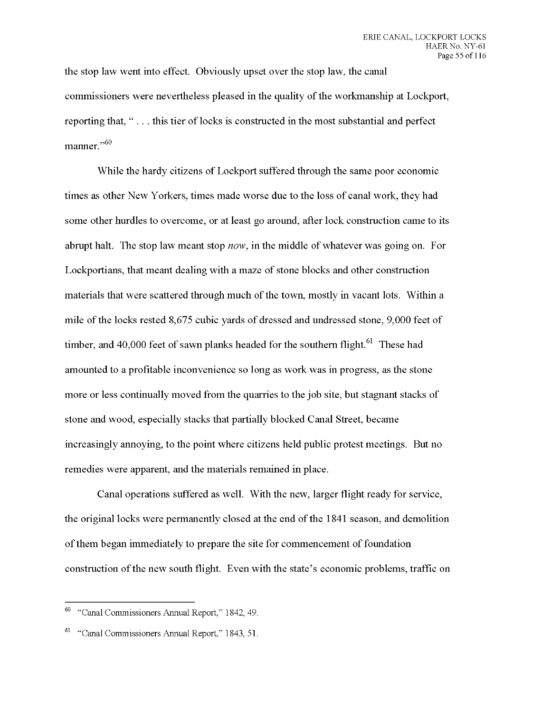the stop law went into effect. Obviously upset over the stop law, the canal commissioners were nevertheless pleased in the quality of the workmanship at Lockport, reporting that, "... this tier of locks is constructed in the most substantial and perfect manner."<sup>60</sup>

While the hardy citizens of Lockport suffered through the same poor economic times as other New Yorkers, times made worse due to the loss of canal work, they had some other hurdles to overcome, or at least go around, after lock construction came to its abrupt halt. The stop law meant stop *now,* in the middle of whatever was going on. For Lockportians, that meant dealing with a maze of stone blocks and other construction materials that were scattered through much of the town, mostly in vacant lots. Within a mile of the locks rested 8,675 cubic yards of dressed and undressed stone, 9,000 feet of timber, and 40,000 feet of sawn planks headed for the southern flight.<sup>61</sup> These had amounted to a profitable inconvenience so long as work was in progress, as the stone more or less continually moved from the quarries to the job site, but stagnant stacks of stone and wood, especially stacks that partially blocked Canal Street, became increasingly annoying, to the point where citizens held public protest meetings. But no remedies were apparent, and the materials remained in place.

Canal operations suffered as well. With the new, larger flight ready for service, the original locks were permanently closed at the end of the 1841 season, and demolition of them began immediately to prepare the site for commencement of foundation construction of the new south flight. Even with the state's economic problems, traffic on

<sup>60</sup> "Canal Commissioners Annual Report," 1842, 49.

<sup>&</sup>lt;sup>61</sup> "Canal Commissioners Annual Report," 1843, 51.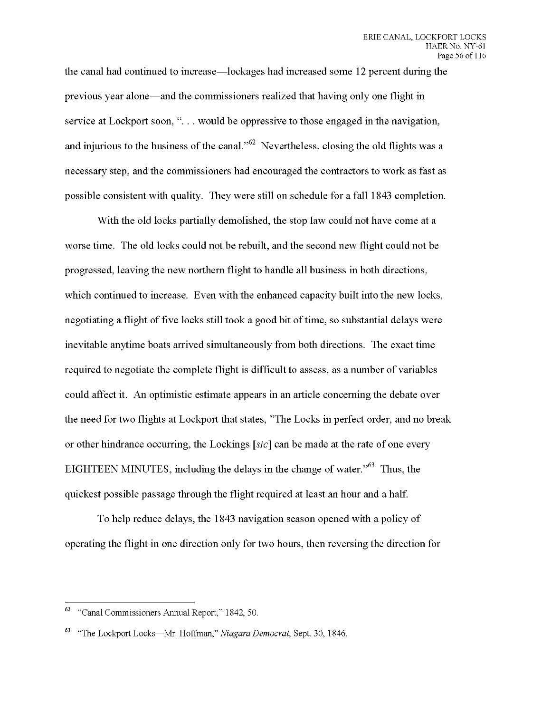the canal had continued to increase—lockages had increased some 12 percent during the previous year alone—and the commissioners realized that having only one flight in service at Lockport soon, "... would be oppressive to those engaged in the navigation, and injurious to the business of the canal."  $62$  Nevertheless, closing the old flights was a necessary step, and the commissioners had encouraged the contractors to work as fast as possible consistent with quality. They were still on schedule for a fall 1843 completion.

With the old locks partially demolished, the stop law could not have come at a worse time. The old locks could not be rebuilt, and the second new flight could not be progressed, leaving the new northern flight to handle all business in both directions, which continued to increase. Even with the enhanced capacity built into the new locks, negotiating a flight of five locks still took a good bit of time, so substantial delays were inevitable anytime boats arrived simultaneously from both directions. The exact time required to negotiate the complete flight is difficult to assess, as a number of variables could affect it. An optimistic estimate appears in an article concerning the debate over the need for two flights at Lockport that states, "The Locks in perfect order, and no break or other hindrance occurring, the Lockings *[sic]* can be made at the rate of one every EIGHTEEN MINUTES, including the delays in the change of water."<sup>63</sup> Thus, the quickest possible passage through the flight required at least an hour and a half.

To help reduce delays, the 1843 navigation season opened with a policy of operating the flight in one direction only for two hours, then reversing the direction for

<sup>&</sup>lt;sup>62</sup> "Canal Commissioners Annual Report," 1842, 50.

<sup>63</sup> "The Lockport Locks—Mr. Hoffman," *Niagara Democrat,* Sept. 30, 1846.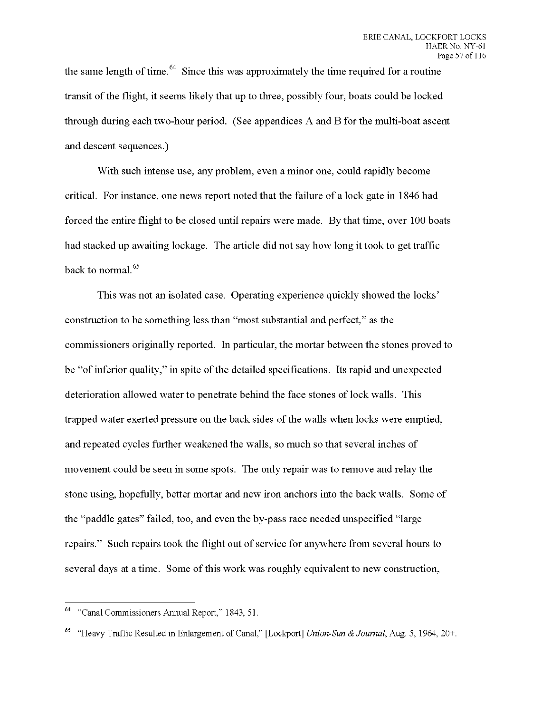the same length of time.  $^{64}$  Since this was approximately the time required for a routine transit of the flight, it seems likely that up to three, possibly four, boats could be locked through during each two-hour period. (See appendices A and B for the multi-boat ascent and descent sequences.)

With such intense use, any problem, even a minor one, could rapidly become critical. For instance, one news report noted that the failure of a lock gate in 1846 had forced the entire flight to be closed until repairs were made. By that time, over 100 boats had stacked up awaiting lockage. The article did not say how long it took to get traffic back to normal.<sup>65</sup>

This was not an isolated case. Operating experience quickly showed the locks' construction to be something less than "most substantial and perfect," as the commissioners originally reported. In particular, the mortar between the stones proved to be "of inferior quality," in spite of the detailed specifications. Its rapid and unexpected deterioration allowed water to penetrate behind the face stones of lock walls. This trapped water exerted pressure on the back sides of the walls when locks were emptied, and repeated cycles further weakened the walls, so much so that several inches of movement could be seen in some spots. The only repair was to remove and relay the stone using, hopefully, better mortar and new iron anchors into the back walls. Some of the "paddle gates" failed, too, and even the by-pass race needed unspecified "large repairs." Such repairs took the flight out of service for anywhere from several hours to several days at a time. Some of this work was roughly equivalent to new construction,

<sup>64</sup> "Canal Commissioners Annual Report," 1843, 51.

<sup>65</sup> "Heavy Traffic Resulted in Enlargement of Canal," [Lockport] *Union-Sun & Journal,* Aug. 5, 1964, 20+.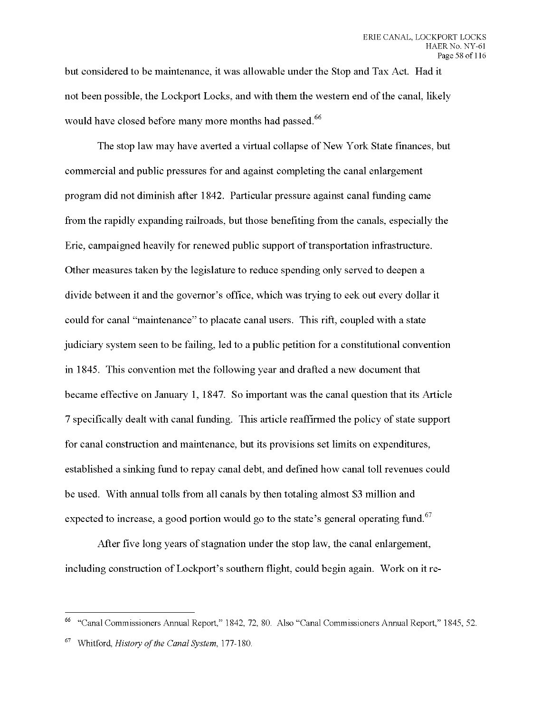but considered to be maintenance, it was allowable under the Stop and Tax Act. Had it not been possible, the Lockport Locks, and with them the western end of the canal, likely would have closed before many more months had passed.<sup>66</sup>

The stop law may have averted a virtual collapse of New York State finances, but commercial and public pressures for and against completing the canal enlargement program did not diminish after 1842. Particular pressure against canal funding came from the rapidly expanding railroads, but those benefiting from the canals, especially the Erie, campaigned heavily for renewed public support of transportation infrastructure. Other measures taken by the legislature to reduce spending only served to deepen a divide between it and the governor's office, which was trying to eek out every dollar it could for canal "maintenance" to placate canal users. This rift, coupled with a state judiciary system seen to be failing, led to a public petition for a constitutional convention in 1845. This convention met the following year and drafted a new document that became effective on January 1, 1847. So important was the canal question that its Article 7 specifically dealt with canal funding. This article reaffirmed the policy of state support for canal construction and maintenance, but its provisions set limits on expenditures, established a sinking fund to repay canal debt, and defined how canal toll revenues could be used. With annual tolls from all canals by then totaling almost \$3 million and expected to increase, a good portion would go to the state's general operating fund.<sup>67</sup>

After five long years of stagnation under the stop law, the canal enlargement, including construction of Lockport's southern flight, could begin again. Work on it re-

<sup>&</sup>quot;Canal Commissioners Annual Report," 1842, 72, 80. Also "Canal Commissioners Annual Report," 1845, 52.

<sup>67</sup> Whitford, *History ofthe Canal System,* 177-180.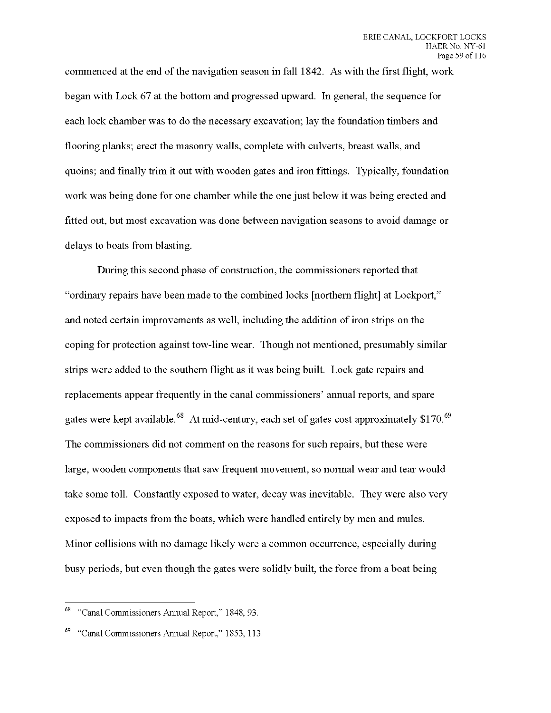commenced at the end of the navigation season in fall 1842. As with the first flight, work began with Lock 67 at the bottom and progressed upward. In general, the sequence for each lock chamber was to do the necessary excavation; lay the foundation timbers and flooring planks; erect the masonry walls, complete with culverts, breast walls, and quoins; and finally trim it out with wooden gates and iron fittings. Typically, foundation work was being done for one chamber while the one just below it was being erected and fitted out, but most excavation was done between navigation seasons to avoid damage or delays to boats from blasting.

During this second phase of construction, the commissioners reported that "ordinary repairs have been made to the combined locks [northern flight] at Lockport," and noted certain improvements as well, including the addition of iron strips on the coping for protection against tow-line wear. Though not mentioned, presumably similar strips were added to the southern flight as it was being built. Lock gate repairs and replacements appear frequently in the canal commissioners' annual reports, and spare gates were kept available.<sup>68</sup> At mid-century, each set of gates cost approximately  $$170$ .<sup>69</sup> The commissioners did not comment on the reasons for such repairs, but these were large, wooden components that saw frequent movement, so normal wear and tear would take some toll. Constantly exposed to water, decay was inevitable. They were also very exposed to impacts from the boats, which were handled entirely by men and mules. Minor collisions with no damage likely were a common occurrence, especially during busy periods, but even though the gates were solidly built, the force from a boat being

<sup>68</sup> "Canal Commissioners Annual Report," 1848, 93.

<sup>&</sup>quot;Canal Commissioners Annual Report," 1853, 113.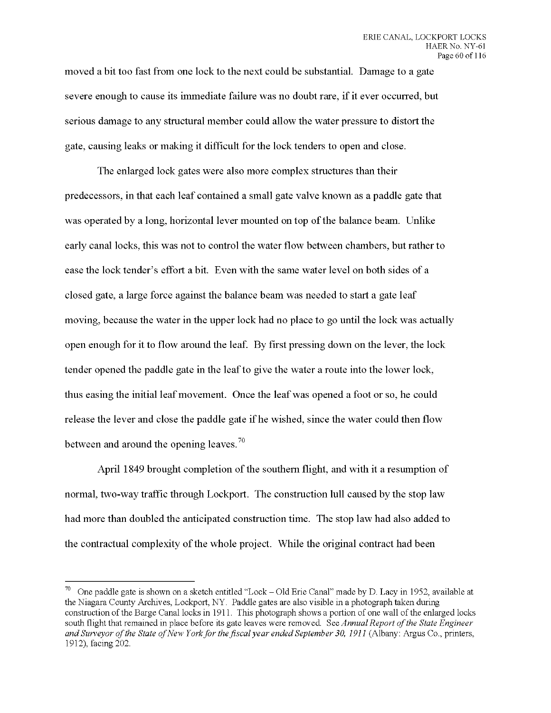**moved a bit too fast from one lock to the next could be substantial. Damage to a gate severe enough to cause its immediate failure was no doubt rare, if it ever occurred, but serious damage to any structural member could allow the water pressure to distort the gate, causing leaks or making it difficult for the lock tenders to open and close.**

**The enlarged lock gates were also more complex structures than their predecessors, in that each leaf contained a small gate valve known as a paddle gate that was operated by a long, horizontal lever mounted on top ofthe balance beam. Unlike early canal locks, this was not to control the water flow between chambers, but rather to ease the lock tender's effort a bit. Even with the same water level on both sides of a closed gate, a large force against the balance beam was needed to start a gate leaf moving, because the water in the upper lock had no place to go until the lock was actually open enough for it to flow around the leaf. By first pressing down on the lever, the lock tender opened the paddle gate in the leafto give the water a route into the lower lock, thus easing the initial leaf movement. Once the leaf was opened a foot or so, he could release the lever and close the paddle gate if he wished, since the water could then flow between and around the opening leaves.**

April 1849 brought completion of the southern flight, and with it a resumption of **normal, two-way traffic through Lockport. The construction lull caused by the stop law had more than doubled the anticipated construction time. The stop law had also added to the** contractual complexity of the whole project. While the original contract had been

<sup>&</sup>lt;sup>70</sup> One paddle gate is shown on a sketch entitled "Lock – Old Erie Canal" made by D. Lacy in 1952, available at the Niagara County Archives, Lockport, NY. Paddle gates are also visible in a photograph taken during construction of the Barge Canal locks in 1911. This photograph shows a portion of one wall of the enlarged locks south flight that remained in place before its gate leaves were removed. *See Annual Report ofthe State Engineer and Surveyor ofthe State ofNew Yorkfor the fiscal year ended September 30, 1911* (Albany: Argus Co., printers, 1912), facing 202.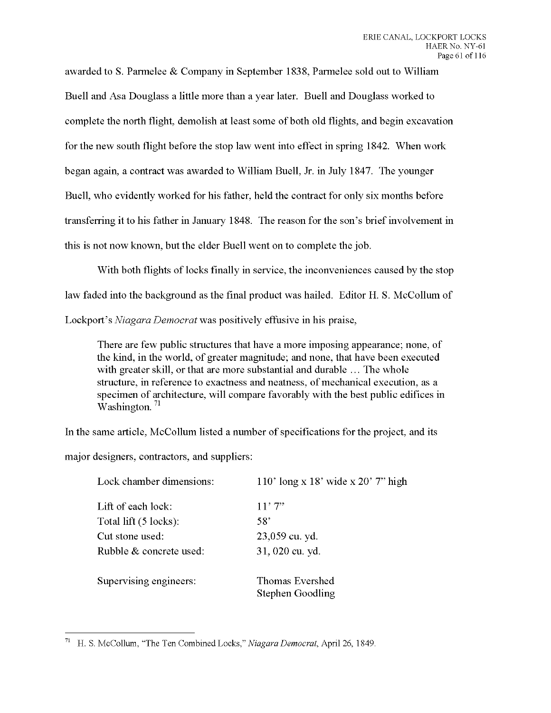awarded to S. Parmelee & Company in September 1838, Parmelee sold out to William Buell and Asa Douglass a little more than a year later. Buell and Douglass worked to complete the north flight, demolish at least some of both old flights, and begin excavation for the new south flight before the stop law went into effect in spring 1842. When work began again, a contract was awarded to William Buell, Jr. in July 1847. The younger Buell, who evidently worked for his father, held the contract for only six months before transferring it to his father in January 1848. The reason for the son's brief involvement in this is not now known, but the elder Buell went on to complete the job.

With both flights of locks finally in service, the inconveniences caused by the stop law faded into the background as the final product was hailed. Editor H. S. McCollum of Lockport's *Niagara Democrat* was positively effusive in his praise,

There are few public structures that have a more imposing appearance; none, of the kind, in the world, of greater magnitude; and none, that have been executed with greater skill, or that are more substantial and durable ... The whole structure, in reference to exactness and neatness, of mechanical execution, as a specimen of architecture, will compare favorably with the best public edifices in Washington.<sup>71</sup>

In the same article, McCollum listed a number of specifications for the project, and its

major designers, contractors, and suppliers:

| Lock chamber dimensions: | 110' long x 18' wide x 20' 7" high         |
|--------------------------|--------------------------------------------|
| Lift of each lock:       | 11'7''                                     |
| Total lift (5 locks):    | $58^\circ$                                 |
| Cut stone used:          | 23,059 cu. yd.                             |
| Rubble & concrete used:  | 31, 020 cu. yd.                            |
| Supervising engineers:   | Thomas Evershed<br><b>Stephen Goodling</b> |

H. S. McCollum, "The Ten Combined Locks," *Niagara Democrat,* April 26, 1849.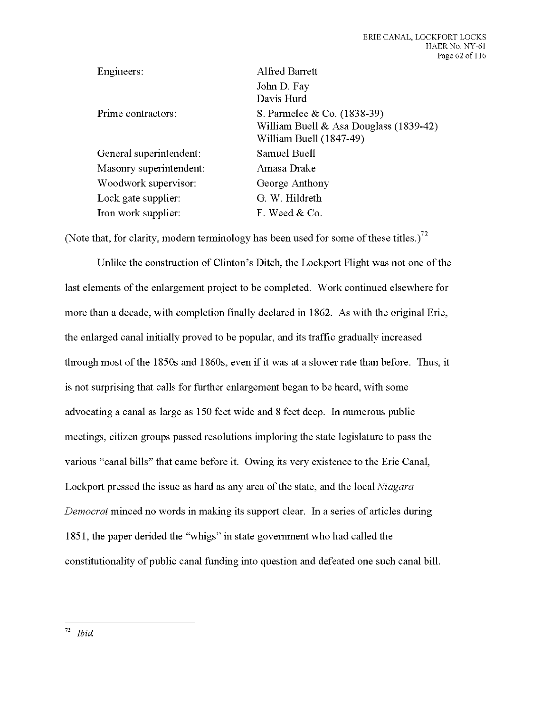| Engineers:              | Alfred Barrett                                                                                   |
|-------------------------|--------------------------------------------------------------------------------------------------|
|                         | John D. Fay<br>Davis Hurd                                                                        |
| Prime contractors:      | S. Parmelee & Co. (1838-39)<br>William Buell & Asa Douglass (1839-42)<br>William Buell (1847-49) |
| General superintendent: | Samuel Buell                                                                                     |
| Masonry superintendent: | Amasa Drake                                                                                      |
| Woodwork supervisor:    | George Anthony                                                                                   |
| Lock gate supplier:     | G. W. Hildreth                                                                                   |
| Iron work supplier:     | F. Weed & Co.                                                                                    |

(Note that, for clarity, modern terminology has been used for some of these titles.)<sup>72</sup>

Unlike the construction of Clinton's Ditch, the Lockport Flight was not one of the last elements of the enlargement project to be completed. Work continued elsewhere for more than a decade, with completion finally declared in 1862. As with the original Erie, the enlarged canal initially proved to be popular, and its traffic gradually increased through most of the 1850s and 1860s, even if it was at a slower rate than before. Thus, it is not surprising that calls for further enlargement began to be heard, with some advocating a canal as large as 150 feet wide and 8 feet deep. In numerous public meetings, citizen groups passed resolutions imploring the state legislature to pass the various "canal bills" that came before it. Owing its very existence to the Erie Canal, Lockport pressed the issue as hard as any area of the state, and the local *Niagara Democrat* minced no words in making its support clear. In a series of articles during 1851, the paper derided the "whigs" in state government who had called the constitutionality of public canal funding into question and defeated one such canal bill.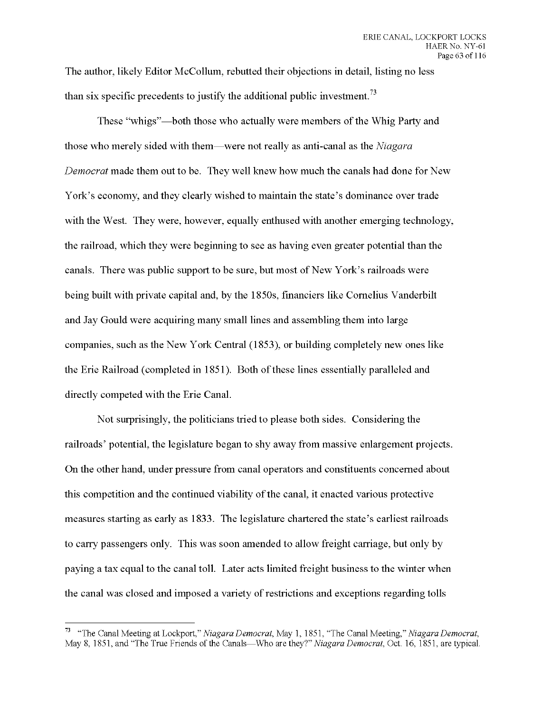The author, likely Editor McCollum, rebutted their objections in detail, listing no less than six specific precedents to justify the additional public investment.<sup>73</sup>

These "whigs"—both those who actually were members of the Whig Party and those who merely sided with them—were not really as anti-canal as the *Niagara Democrat* made them out to be. They well knew how much the canals had done for New York's economy, and they clearly wished to maintain the state's dominance over trade with the West. They were, however, equally enthused with another emerging technology, the railroad, which they were beginning to see as having even greater potential than the canals. There was public support to be sure, but most of New York's railroads were being built with private capital and, by the 1850s, financiers like Cornelius Vanderbilt and Jay Gould were acquiring many small lines and assembling them into large companies, such as the New York Central (1853), or building completely new ones like the Erie Railroad (completed in 1851). Both of these lines essentially paralleled and directly competed with the Erie Canal.

Not surprisingly, the politicians tried to please both sides. Considering the railroads' potential, the legislature began to shy away from massive enlargement projects. On the other hand, under pressure from canal operators and constituents concerned about this competition and the continued viability of the canal, it enacted various protective measures starting as early as 1833. The legislature chartered the state's earliest railroads to carry passengers only. This was soon amended to allow freight carriage, but only by paying a tax equal to the canal toll. Later acts limited freight business to the winter when the canal was closed and imposed a variety of restrictions and exceptions regarding tolls

<sup>73</sup> "The Canal Meeting *at Lockport" Niagara Democrat,* May 1, 1851, "The Canal Meeting," *Niagara Democrat,* May 8, 1851, and "The True Friends of the Canals—Who are they?" *Niagara Democrat,* Oct. 16, 1851, are typical.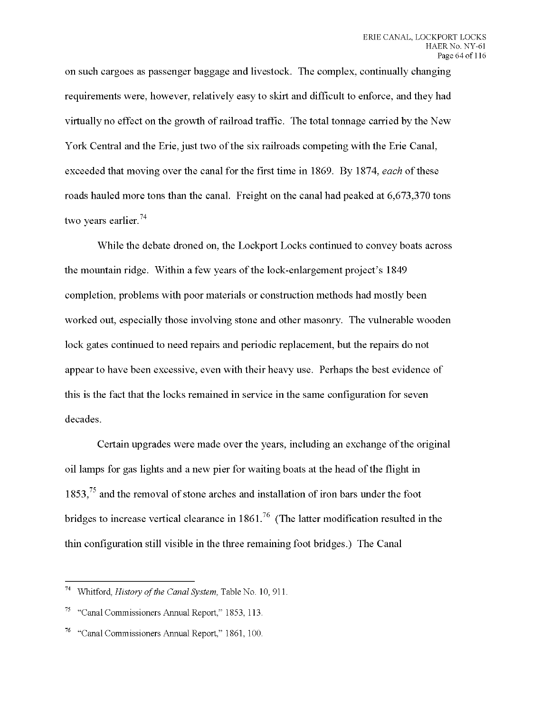on such cargoes as passenger baggage and livestock. The complex, continually changing requirements were, however, relatively easy to skirt and difficult to enforce, and they had virtually no effect on the growth of railroad traffic. The total tonnage carried by the New York Central and the Erie, just two of the six railroads competing with the Erie Canal, exceeded that moving over the canal for the first time in 1869. By 1874, *each* of these roads hauled more tons than the canal. Freight on the canal had peaked at 6,673,370 tons two years earlier.<sup>74</sup>

While the debate droned on, the Lockport Locks continued to convey boats across the mountain ridge. Within a few years of the lock-enlargement project's 1849 completion, problems with poor materials or construction methods had mostly been worked out, especially those involving stone and other masonry. The vulnerable wooden lock gates continued to need repairs and periodic replacement, but the repairs do not appear to have been excessive, even with their heavy use. Perhaps the best evidence of this is the fact that the locks remained in service in the same configuration for seven decades.

Certain upgrades were made over the years, including an exchange of the original oil lamps for gas lights and a new pier for waiting boats at the head ofthe flight in  $1853<sup>75</sup>$  and the removal of stone arches and installation of iron bars under the foot bridges to increase vertical clearance in  $1861<sup>76</sup>$  (The latter modification resulted in the thin configuration still visible in the three remaining foot bridges.) The Canal

Whitford, *History of the Canal System*, Table No. 10, 911.

<sup>75</sup> "Canal Commissioners Annual Report," 1853, 113.

<sup>&</sup>quot;Canal Commissioners Annual Report," 1861, 100.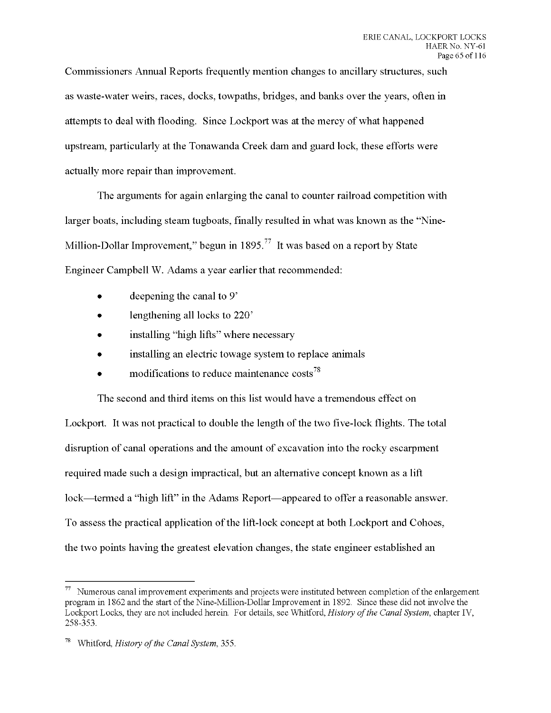Commissioners Annual Reports frequently mention changes to ancillary structures, such as waste-water weirs, races, docks, towpaths, bridges, and banks over the years, often in attempts to deal with flooding. Since Lockport was at the mercy of what happened upstream, particularly at the Tonawanda Creek dam and guard lock, these efforts were actually more repair than improvement.

The arguments for again enlarging the canal to counter railroad competition with larger boats, including steam tugboats, finally resulted in what was known as the "Nine-Million-Dollar Improvement," begun in  $1895<sup>77</sup>$  It was based on a report by State Engineer Campbell W. Adams a year earlier that recommended:

- deepening the canal to 9'
- lengthening all locks to 220'
- installing "high lifts" where necessary
- installing an electric towage system to replace animals
- modifications to reduce maintenance costs<sup>78</sup>

The second and third items on this list would have a tremendous effect on Lockport. It was not practical to double the length of the two five-lock flights. The total disruption of canal operations and the amount of excavation into the rocky escarpment required made such a design impractical, but an alternative concept known as a lift lock—termed a "high lift" in the Adams Report—appeared to offer a reasonable answer. To assess the practical application of the lift-lock concept at both Lockport and Cohoes, the two points having the greatest elevation changes, the state engineer established an

 $77$  Numerous canal improvement experiments and projects were instituted between completion of the enlargement program in 1862 and the start of the Nine-Million-Dollar Improvement in 1892. Since these did not involve the Lockport Locks, they are not included herein. For details, see Whitford, *History ofthe Canal System,* chapter IV, 258-353.

<sup>78</sup> Whitford, *History ofthe Canal System,* 355.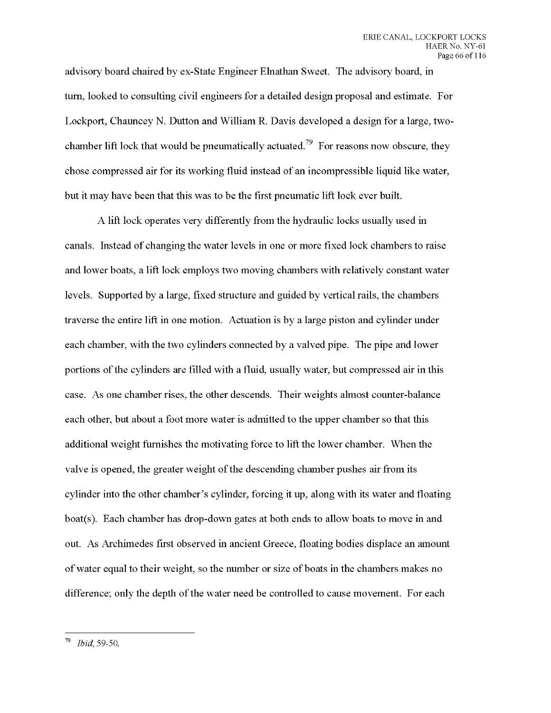advisory board chaired by ex-State Engineer Elnathan Sweet. The advisory board, in turn, looked to consulting civil engineers for a detailed design proposal and estimate. For Lockport, Chauncey N. Dutton and William R. Davis developed a design for a large, twochamber lift lock that would be pneumatically actuated.<sup>79</sup> For reasons now obscure, they chose compressed air for its working fluid instead of an incompressible liquid like water, but it may have been that this was to be the first pneumatic lift lock ever built.

A lift lock operates very differently from the hydraulic locks usually used in canals. Instead of changing the water levels in one or more fixed lock chambers to raise and lower boats, a lift lock employs two moving chambers with relatively constant water levels. Supported by a large, fixed structure and guided by vertical rails, the chambers traverse the entire lift in one motion. Actuation is by a large piston and cylinder under each chamber, with the two cylinders connected by a valved pipe. The pipe and lower portions of the cylinders are filled with a fluid, usually water, but compressed air in this case. As one chamber rises, the other descends. Their weights almost counter-balance each other, but about a foot more water is admitted to the upper chamber so that this additional weight furnishes the motivating force to lift the lower chamber. When the valve is opened, the greater weight of the descending chamber pushes air from its cylinder into the other chamber's cylinder, forcing it up, along with its water and floating boat(s). Each chamber has drop-down gates at both ends to allow boats to move in and out. As Archimedes first observed in ancient Greece, floating bodies displace an amount ofwater equal to their weight, so the number or size of boats in the chambers makes no difference; only the depth of the water need be controlled to cause movement. For each

<sup>79</sup> *Ibid* 59-50.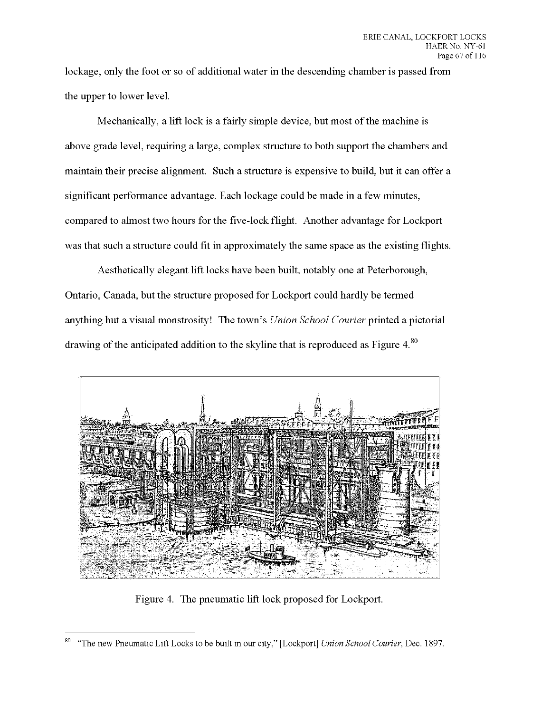lockage, only the foot or so of additional water in the descending chamber is passed from the upper to lower level.

Mechanically, a lift lock is a fairly simple device, but most of the machine is above grade level, requiring a large, complex structure to both support the chambers and maintain their precise alignment. Such a structure is expensive to build, but it can offer a significant performance advantage. Each lockage could be made in a few minutes, compared to almost two hours for the five-lock flight. Another advantage for Lockport was that such a structure could fit in approximately the same space as the existing flights.

Aesthetically elegant lift locks have been built, notably one at Peterborough, Ontario, Canada, but the structure proposed for Lockport could hardly be termed anything but a visual monstrosity! The town's *Union School Courier* printed a pictorial drawing of the anticipated addition to the skyline that is reproduced as Figure  $4.8^\circ$ 



Figure 4. The pneumatic lift lock proposed for Lockport.

 $80\,$ "The new Pneumatic Lift Locks to be built in our city," [Lockport] *Union School Courier,* Dec. 1897.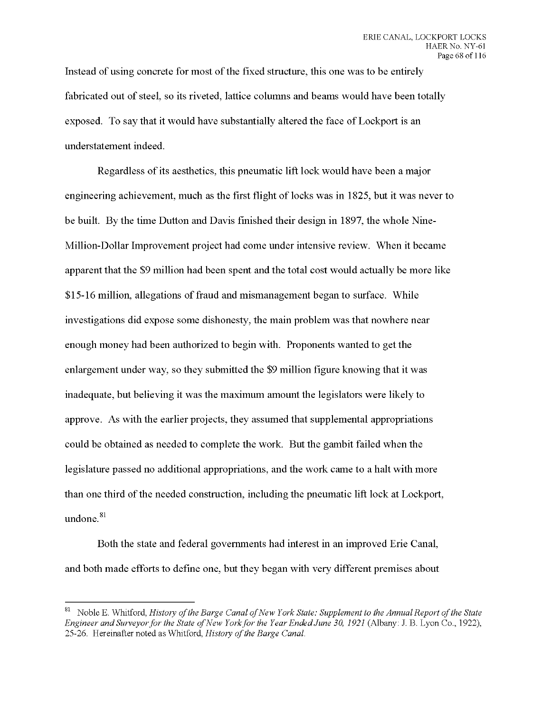Instead of using concrete for most of the fixed structure, this one was to be entirely fabricated out of steel, so its riveted, lattice columns and beams would have been totally exposed. To say that it would have substantially altered the face of Lockport is an understatement indeed.

Regardless of its aesthetics, this pneumatic lift lock would have been a major engineering achievement, much as the first flight of locks was in 1825, but it was never to be built. By the time Dutton and Davis finished their design in 1897, the whole Nine-Million-Dollar Improvement project had come under intensive review. When it became apparent that the \$9 million had been spent and the total cost would actually be more like \$15-16 million, allegations of fraud and mismanagement began to surface. While investigations did expose some dishonesty, the main problem was that nowhere near enough money had been authorized to begin with. Proponents wanted to get the enlargement under way, so they submitted the \$9 million figure knowing that it was inadequate, but believing it was the maximum amount the legislators were likely to approve. As with the earlier projects, they assumed that supplemental appropriations could be obtained as needed to complete the work. But the gambit failed when the legislature passed no additional appropriations, and the work came to a halt with more than one third of the needed construction, including the pneumatic lift lock at Lockport, undone.<sup>81</sup>

Both the state and federal governments had interest in an improved Erie Canal, and both made efforts to define one, but they began with very different premises about

<sup>81</sup> Noble E. Whitford, *History ofthe Barge Canal ofNew York State: Supplement to the Annual Report ofthe State Engineer and Surveyorfor the State ofNew Yorkfor the Year EndedJune 30, 1921* (Albany: J. B. Lyon Co., 1922), 25-26. Hereinafter noted as Whitford, *History of the Barge Canal*.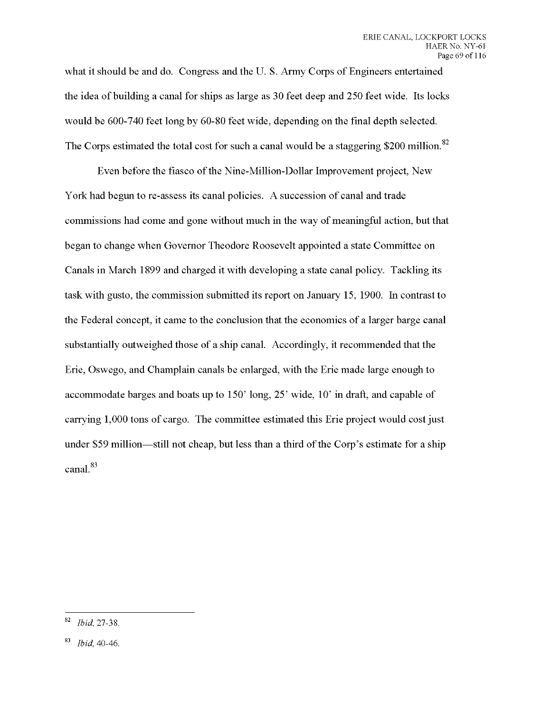what it should be and do. Congress and the U. S. Army Corps of Engineers entertained the idea of building a canal for ships as large as 30 feet deep and 250 feet wide. Its locks would be 600-740 feet long by 60-80 feet wide, depending on the final depth selected. The Corps estimated the total cost for such a canal would be a staggering \$200 million.<sup>82</sup>

Even before the fiasco of the Nine-Million-Dollar Improvement project, New York had begun to re-assess its canal policies. A succession of canal and trade commissions had come and gone without much in the way of meaningful action, but that began to change when Governor Theodore Roosevelt appointed a state Committee on Canals in March 1899 and charged it with developing a state canal policy. Tackling its task with gusto, the commission submitted its report on January 15, 1900. In contrast to the Federal concept, it came to the conclusion that the economics of a larger barge canal substantially outweighed those of a ship canal. Accordingly, it recommended that the Erie, Oswego, and Champlain canals be enlarged, with the Erie made large enough to accommodate barges and boats up to 150' long, 25' wide, 10' in draft, and capable of carrying 1,000 tons of cargo. The committee estimated this Erie project would cost just under \$59 million—still not cheap, but less than a third of the Corp's estimate for a ship canal.

<sup>82</sup> *Ibid,* 27-38.

<sup>83</sup> *Ibid* 40-46.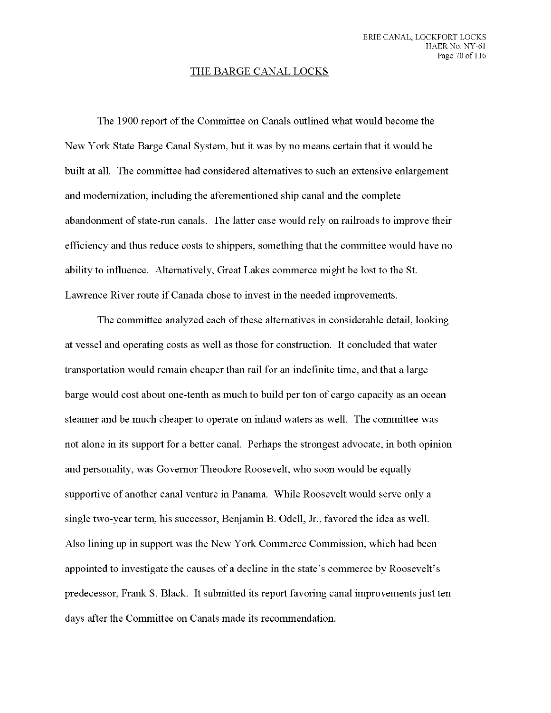## THE BARGE CANAL LOCKS

The 1900 report of the Committee on Canals outlined what would become the New York State Barge Canal System, but it was by no means certain that it would be built at all. The committee had considered alternatives to such an extensive enlargement and modernization, including the aforementioned ship canal and the complete abandonment ofstate-run canals. The latter case would rely on railroads to improve their efficiency and thus reduce costs to shippers, something that the committee would have no ability to influence. Alternatively, Great Lakes commerce might be lost to the St. Lawrence River route if Canada chose to invest in the needed improvements.

The committee analyzed each of these alternatives in considerable detail, looking at vessel and operating costs as well as those for construction. It concluded that water transportation would remain cheaper than rail for an indefinite time, and that a large barge would cost about one-tenth as much to build per ton of cargo capacity as an ocean steamer and be much cheaper to operate on inland waters as well. The committee was not alone in its support for a better canal. Perhaps the strongest advocate, in both opinion and personality, was Governor Theodore Roosevelt, who soon would be equally supportive of another canal venture in Panama. While Roosevelt would serve only a single two-year term, his successor, Benjamin B. Odell, Jr., favored the idea as well. Also lining up in support was the New York Commerce Commission, which had been appointed to investigate the causes of a decline in the state's commerce by Roosevelt's predecessor, Frank S. Black. It submitted its report favoring canal improvements just ten days after the Committee on Canals made its recommendation.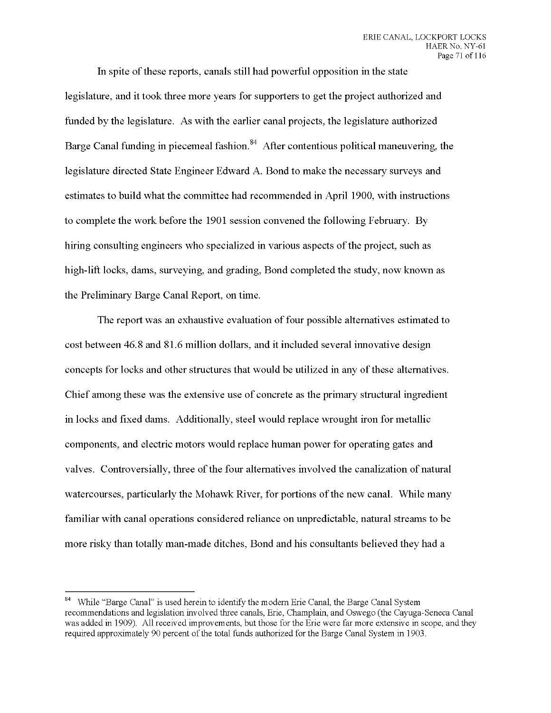In spite of these reports, canals still had powerful opposition in the state legislature, and it took three more years for supporters to get the project authorized and funded by the legislature. As with the earlier canal projects, the legislature authorized Barge Canal funding in piecemeal fashion.  $84$  After contentious political maneuvering, the legislature directed State Engineer Edward A. Bond to make the necessary surveys and estimates to build what the committee had recommended in April 1900, with instructions to complete the work before the 1901 session convened the following February. By hiring consulting engineers who specialized in various aspects ofthe project, such as high-lift locks, dams, surveying, and grading, Bond completed the study, now known as the Preliminary Barge Canal Report, on time.

The report was an exhaustive evaluation of four possible alternatives estimated to cost between 46.8 and 81.6 million dollars, and it included several innovative design concepts for locks and other structures that would be utilized in any of these alternatives. Chief among these was the extensive use of concrete as the primary structural ingredient in locks and fixed dams. Additionally, steel would replace wrought iron for metallic components, and electric motors would replace human power for operating gates and valves. Controversially, three of the four alternatives involved the canalization of natural watercourses, particularly the Mohawk River, for portions of the new canal. While many familiar with canal operations considered reliance on unpredictable, natural streams to be more risky than totally man-made ditches, Bond and his consultants believed they had a

<sup>&</sup>lt;sup>84</sup> While "Barge Canal" is used herein to identify the modern Erie Canal, the Barge Canal System recommendations and legislation involved three canals, Erie, Champlain, and Oswego (the Cayuga-Seneca Canal was added in 1909). All received improvements, but those for the Erie were far more extensive in scope, and they required approximately 90 percent of the total funds authorized for the Barge Canal System in 1903.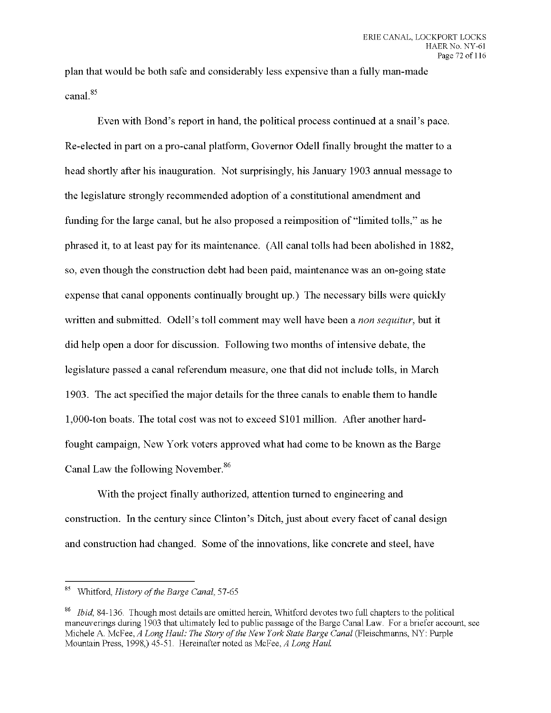**plan that would be both safe and considerably less expensive than a fully man-made canal.**

**Even with Bond's report in hand, the political process continued at a snail's pace. Re-elected in part on a pro-canal platform, Governor Odell finally brought the matter to a head shortly after his inauguration. Not surprisingly, his January 1903 annual message to the legislature strongly recommended adoption of a constitutional amendment and funding for the large canal, but he also proposed a reimposition of "limited tolls," as he phrased it, to at least pay for its maintenance. (All canal tolls had been abolished in 1882, so, even though the construction debt had been paid, maintenance was an on-going state expense that canal opponents continually brought up.) The necessary bills were quickly written and submitted. Odell's toll comment may well have been a** *non sequitur,* **but it did help open a door for discussion. Following two months of intensive debate, the legislature passed a canal referendum measure, one that did not include tolls, in March 1903. The act specified the major details for the three canals to enable them to handle 1,000-ton boats. The total cost was not to exceed \$101 million. After another hardfought campaign, New York voters approved what had come to be known as the Barge Canal Law the following November.**

**With the project finally authorized, attention turned to engineering and construction. In the century since Clinton's Ditch, just about every facet of canal design and** construction had changed. Some of the innovations, like concrete and steel, have

Whitford, *History ofthe Barge Canal,* 57-65

<sup>86</sup> *Ibid,* 84-136. Though most details are omitted herein, Whitford devotes two full chapters to the political maneuverings during 1903 that ultimately led to public passage of the Barge Canal Law. For a briefer account, see Michele A. McFee, *A Long Haul: The Story ofthe New York State Barge Canal* (Fleischmanns, NY: Purple Mountain Press, 1998,) 45-51. Hereinafter noted as McFee, *A Long Haul*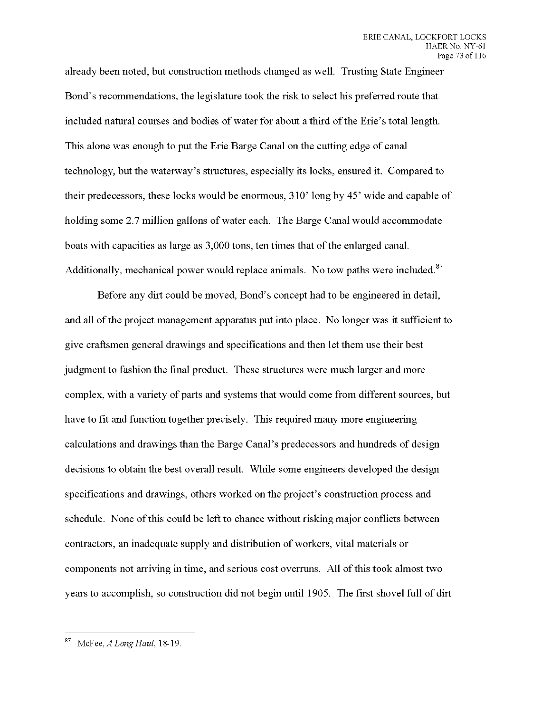already been noted, but construction methods changed as well. Trusting State Engineer Bond's recommendations, the legislature took the risk to select his preferred route that included natural courses and bodies of water for about a third of the Erie's total length. This alone was enough to put the Erie Barge Canal on the cutting edge of canal technology, but the waterway's structures, especially its locks, ensured it. Compared to their predecessors, these locks would be enormous, 310' long by 45' wide and capable of holding some 2.7 million gallons of water each. The Barge Canal would accommodate boats with capacities as large as 3,000 tons, ten times that of the enlarged canal. Additionally, mechanical power would replace animals. No tow paths were included.<sup>87</sup>

Before any dirt could be moved, Bond's concept had to be engineered in detail, and all of the project management apparatus put into place. No longer was it sufficient to give craftsmen general drawings and specifications and then let them use their best judgment to fashion the final product. These structures were much larger and more complex, with a variety of parts and systems that would come from different sources, but have to fit and function together precisely. This required many more engineering calculations and drawings than the Barge Canal's predecessors and hundreds of design decisions to obtain the best overall result. While some engineers developed the design specifications and drawings, others worked on the project's construction process and schedule. None of this could be left to chance without risking major conflicts between contractors, an inadequate supply and distribution of workers, vital materials or components not arriving in time, and serious cost overruns. All of this took almost two years to accomplish, so construction did not begin until 1905. The first shovel full of dirt

 $87\,$ McFee, *A Long Haul,* 18-19.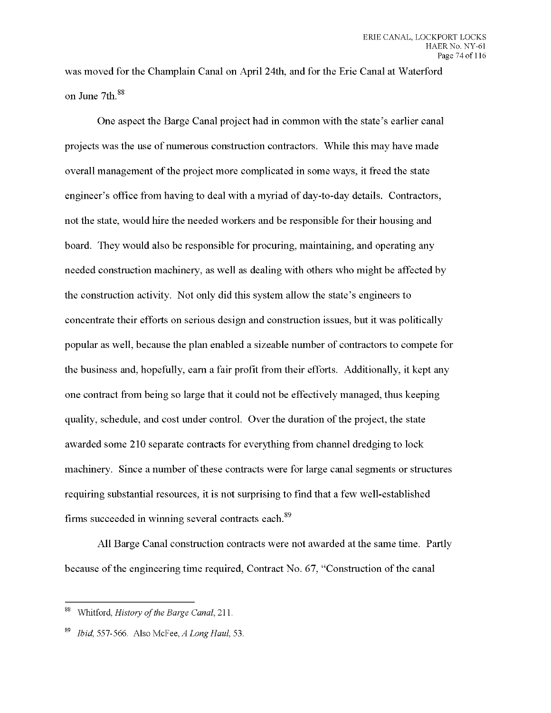was moved for the Champlain Canal on April 24th, and for the Erie Canal at Waterford on June 7th.

One aspect the Barge Canal project had in common with the state's earlier canal projects was the use of numerous construction contractors. While this may have made overall management ofthe project more complicated in some ways, it freed the state engineer's office from having to deal with a myriad of day-to-day details. Contractors, not the state, would hire the needed workers and be responsible for their housing and board. They would also be responsible for procuring, maintaining, and operating any needed construction machinery, as well as dealing with others who might be affected by the construction activity. Not only did this system allow the state's engineers to concentrate their efforts on serious design and construction issues, but it was politically popular as well, because the plan enabled a sizeable number of contractors to compete for the business and, hopefully, earn a fair profit from their efforts. Additionally, it kept any one contract from being so large that it could not be effectively managed, thus keeping quality, schedule, and cost under control. Over the duration of the project, the state awarded some 210 separate contracts for everything from channel dredging to lock machinery. Since a number of these contracts were for large canal segments or structures requiring substantial resources, it is not surprising to find that a few well-established firms succeeded in winning several contracts each.

All Barge Canal construction contracts were not awarded at the same time. Partly because of the engineering time required, Contract No. 67, "Construction of the canal

<sup>88</sup> Whitford, *History of the Barge Canal*, 211.

*Ibid,* 557-566. Also McFee, *A Long Haul,* 53.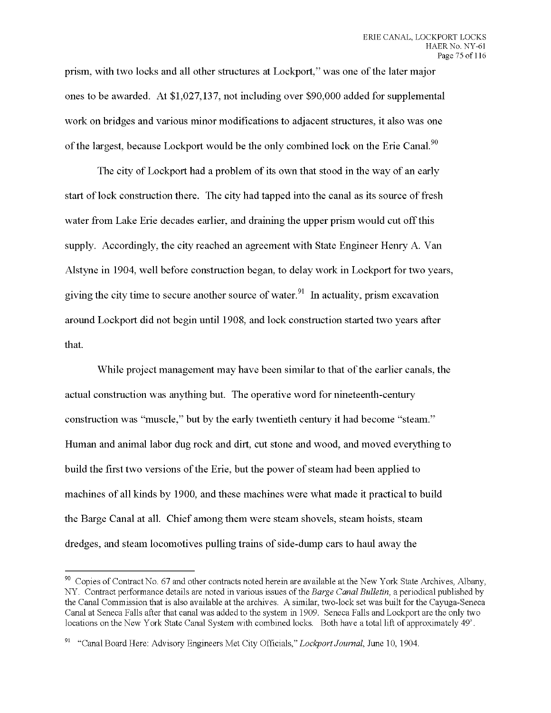prism, with two locks and all other structures at Lockport," was one ofthe later major ones to be awarded. At \$1,027,137, not including over \$90,000 added for supplemental work on bridges and various minor modifications to adjacent structures, it also was one of the largest, because Lockport would be the only combined lock on the Erie Canal.<sup>90</sup>

The city of Lockport had a problem of its own that stood in the way of an early start of lock construction there. The city had tapped into the canal as its source of fresh water from Lake Erie decades earlier, and draining the upper prism would cut offthis supply. Accordingly, the city reached an agreement with State Engineer Henry A. Van Alstyne in 1904, well before construction began, to delay work in Lockport for two years, giving the city time to secure another source of water.<sup>91</sup> In actuality, prism excavation around Lockport did not begin until 1908, and lock construction started two years after that.

While project management may have been similar to that of the earlier canals, the actual construction was anything but. The operative word for nineteenth-century construction was "muscle," but by the early twentieth century it had become "steam." Human and animal labor dug rock and dirt, cut stone and wood, and moved everything to build the first two versions of the Erie, but the power of steam had been applied to machines of all kinds by 1900, and these machines were what made it practical to build the Barge Canal at all. Chief among them were steam shovels, steam hoists, steam dredges, and steam locomotives pulling trains of side-dump cars to haul away the

<sup>&</sup>lt;sup>90</sup> Copies of Contract No. 67 and other contracts noted herein are available at the New York State Archives, Albany, NY. Contract performance details are noted in various issues of the *Barge Canal Bulletin,* a periodical published by the Canal Commission that is also available at the archives. A similar, two-lock set was built for the Cayuga-Seneca Canal at Seneca Falls after that canal was added to the system in 1909. Seneca Falls and Lockport are the only two locations on the New York State Canal System with combined locks. Both have a total lift of approximately 49'.

<sup>91</sup> "Canal Board Here: Advisory Engineers Met City Officials," *Lockport Journal,* June 10, 1904.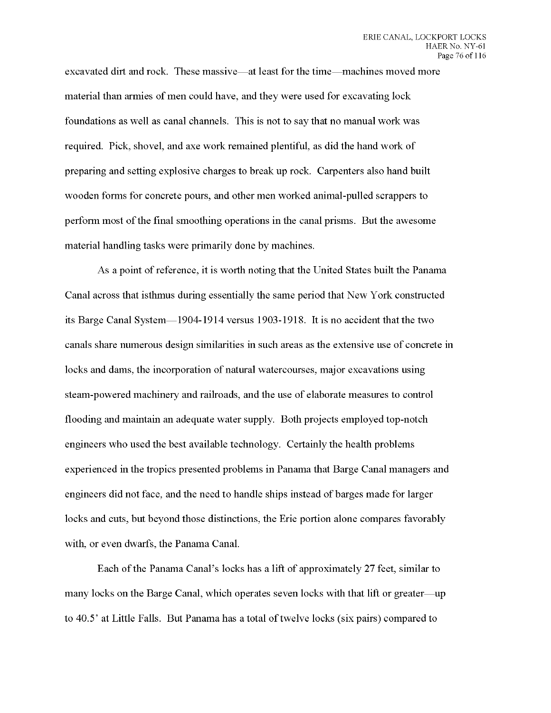excavated dirt and rock. These massive—at least for the time—machines moved more material than armies of men could have, and they were used for excavating lock foundations as well as canal channels. This is not to say that no manual work was required. Pick, shovel, and axe work remained plentiful, as did the hand work of preparing and setting explosive charges to break up rock. Carpenters also hand built wooden forms for concrete pours, and other men worked animal-pulled scrappers to perform most ofthe final smoothing operations in the canal prisms. But the awesome material handling tasks were primarily done by machines.

As a point of reference, it is worth noting that the United States built the Panama Canal across that isthmus during essentially the same period that New York constructed its Barge Canal System—1904-1914 versus 1903-1918. It is no accident that the two canals share numerous design similarities in such areas as the extensive use of concrete in locks and dams, the incorporation of natural watercourses, major excavations using steam-powered machinery and railroads, and the use of elaborate measures to control flooding and maintain an adequate water supply. Both projects employed top-notch engineers who used the best available technology. Certainly the health problems experienced in the tropics presented problems in Panama that Barge Canal managers and engineers did not face, and the need to handle ships instead of barges made for larger locks and cuts, but beyond those distinctions, the Erie portion alone compares favorably with, or even dwarfs, the Panama Canal.

Each of the Panama Canal's locks has a lift of approximately 27 feet, similar to many locks on the Barge Canal, which operates seven locks with that lift or greater—up to 40.5' at Little Falls. But Panama has a total of twelve locks (six pairs) compared to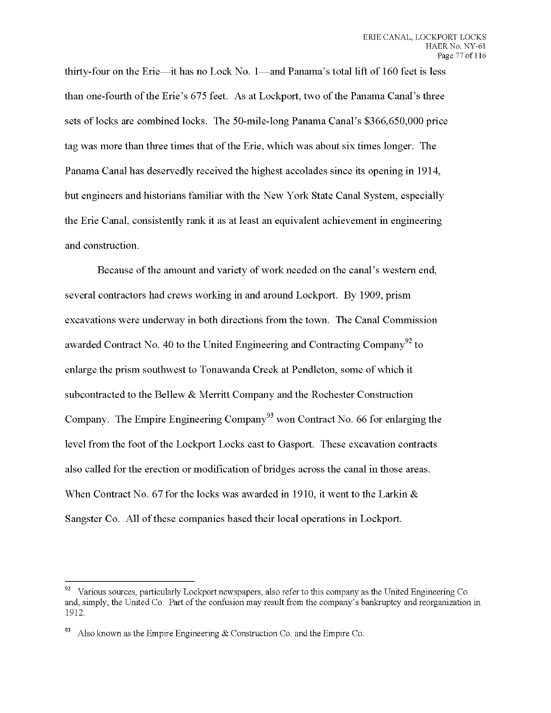thirty-four on the Erie—it has no Lock No. 1—and Panama's total lift of 160 feet is less than one-fourth of the Erie's 675 feet. As at Lockport, two of the Panama Canal's three sets of locks are combined locks. The 50-mile-long Panama Canal's \$366,650,000 price tag was more than three times that ofthe Erie, which was about six times longer. The Panama Canal has deservedly received the highest accolades since its opening in 1914, but engineers and historians familiar with the New York State Canal System, especially the Erie Canal, consistently rank it as at least an equivalent achievement in engineering and construction.

Because of the amount and variety of work needed on the canal's western end, several contractors had crews working in and around Lockport. By 1909, prism excavations were underway in both directions from the town. The Canal Commission awarded Contract No. 40 to the United Engineering and Contracting Company<sup>92</sup> to enlarge the prism southwest to Tonawanda Creek at Pendleton, some of which it subcontracted to the Bellew & Merritt Company and the Rochester Construction Company. The Empire Engineering Company<sup>93</sup> won Contract No. 66 for enlarging the level from the foot of the Lockport Locks east to Gasport. These excavation contracts also called for the erection or modification of bridges across the canal in those areas. When Contract No. 67 for the locks was awarded in 1910, it went to the Larkin & Sangster Co. All of these companies based their local operations in Lockport.

 $92$  Various sources, particularly Lockport newspapers, also refer to this company as the United Engineering Co. and, simply, the United Co. Part of the confusion may result from the company's bankruptcy and reorganization in 1912.

Also known as the Empire Engineering  $&$  Construction Co. and the Empire Co.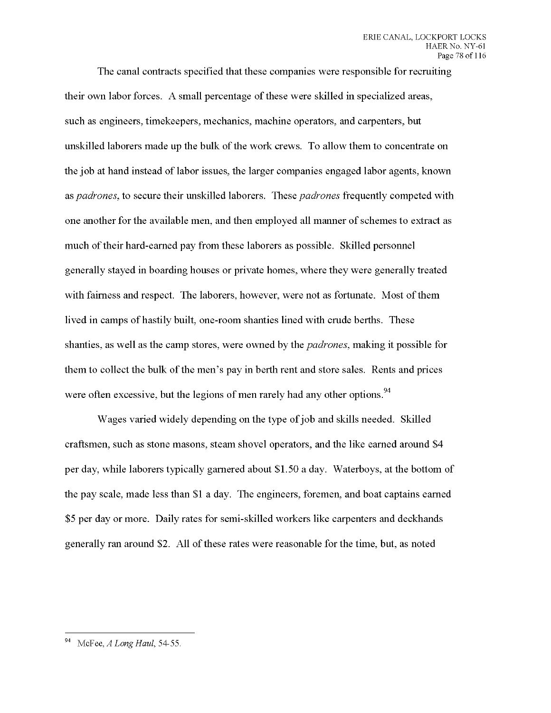The canal contracts specified that these companies were responsible for recruiting their own labor forces. A small percentage of these were skilled in specialized areas, such as engineers, timekeepers, mechanics, machine operators, and carpenters, but unskilled laborers made up the bulk ofthe work crews. To allow them to concentrate on the job at hand instead of labor issues, the larger companies engaged labor agents, known as *padrones,* to secure their unskilled laborers. These *padrones* frequently competed with one another for the available men, and then employed all manner ofschemes to extract as much of their hard-earned pay from these laborers as possible. Skilled personnel generally stayed in boarding houses or private homes, where they were generally treated with fairness and respect. The laborers, however, were not as fortunate. Most of them lived in camps of hastily built, one-room shanties lined with crude berths. These shanties, as well as the camp stores, were owned by the *padrones,* making it possible for them to collect the bulk of the men's pay in berth rent and store sales. Rents and prices were often excessive, but the legions of men rarely had any other options.<sup>94</sup>

Wages varied widely depending on the type of job and skills needed. Skilled craftsmen, such as stone masons, steam shovel operators, and the like earned around \$4 per day, while laborers typically garnered about \$1.50 a day. Waterboys, at the bottom of the pay scale, made less than \$1 a day. The engineers, foremen, and boat captains earned \$5 per day or more. Daily rates for semi-skilled workers like carpenters and deckhands generally ran around \$2. All of these rates were reasonable for the time, but, as noted

<sup>94</sup> McFee, *A Long Haul*, 54-55.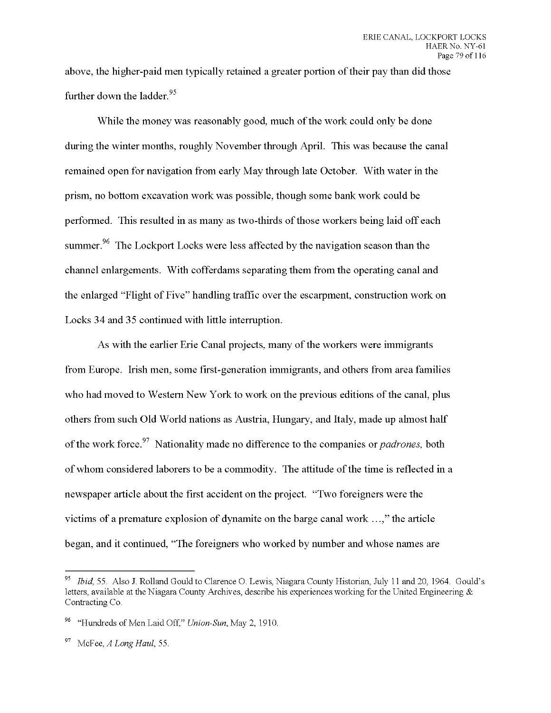above, the higher-paid men typically retained a greater portion of their pay than did those further down the ladder.<sup>95</sup>

While the money was reasonably good, much of the work could only be done during the winter months, roughly November through April. This was because the canal remained open for navigation from early May through late October. With water in the prism, no bottom excavation work was possible, though some bank work could be performed. This resulted in as many as two-thirds of those workers being laid off each summer.<sup>96</sup> The Lockport Locks were less affected by the navigation season than the channel enlargements. With cofferdams separating them from the operating canal and the enlarged "Flight of Five" handling traffic over the escarpment, construction work on Locks 34 and 35 continued with little interruption.

As with the earlier Erie Canal projects, many of the workers were immigrants from Europe. Irish men, some first-generation immigrants, and others from area families who had moved to Western New York to work on the previous editions of the canal, plus others from such Old World nations as Austria, Hungary, and Italy, made up almost half of the work force.<sup>97</sup> Nationality made no difference to the companies or *padrones*, both of whom considered laborers to be a commodity. The attitude of the time is reflected in a newspaper article about the first accident on the project. "Two foreigners were the victims of a premature explosion of dynamite on the barge canal work ...," the article began, and it continued, "The foreigners who worked by number and whose names are

<sup>95</sup> *Ibid,* 55. Also J. Rolland Gould to Clarence O. Lewis, Niagara County Historian, July <sup>11</sup> and 20, 1964. Gould's letters, available at the Niagara County Archives, describe his experiences working for the United Engineering & Contracting Co.

<sup>96</sup> "Hundreds of Men Laid Off," *Union-Sun,* May 2, 1910.

<sup>97</sup> McFee, *A long Haul,* 55.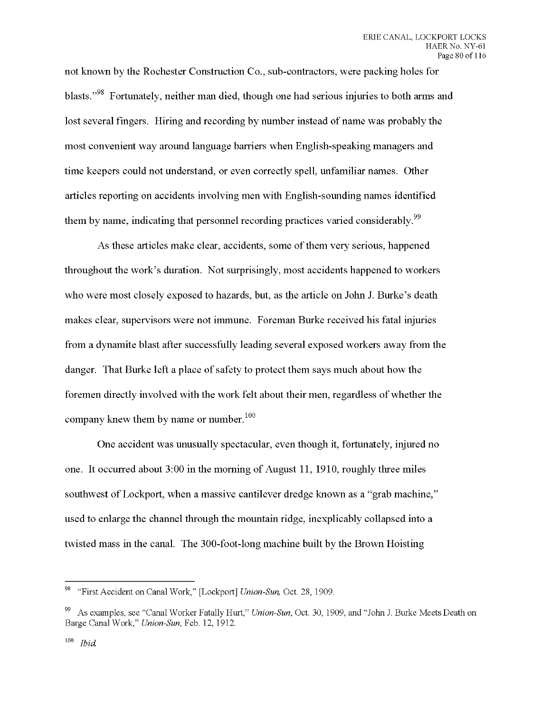not known by the Rochester Construction Co., sub-contractors, were packing holes for blasts."<sup>98</sup> Fortunately, neither man died, though one had serious injuries to both arms and lost several fingers. Hiring and recording by number instead of name was probably the most convenient way around language barriers when English-speaking managers and time keepers could not understand, or even correctly spell, unfamiliar names. Other articles reporting on accidents involving men with English-sounding names identified them by name, indicating that personnel recording practices varied considerably.<sup>99</sup>

As these articles make clear, accidents, some of them very serious, happened throughout the work's duration. Not surprisingly, most accidents happened to workers who were most closely exposed to hazards, but, as the article on John J. Burke's death makes clear, supervisors were not immune. Foreman Burke received his fatal injuries from a dynamite blast after successfully leading several exposed workers away from the danger. That Burke left a place of safety to protect them says much about how the foremen directly involved with the work felt about their men, regardless of whether the company knew them by name or number.<sup>100</sup>

One accident was unusually spectacular, even though it, fortunately, injured no one. It occurred about 3:00 in the morning of August 11, 1910, roughly three miles southwest of Lockport, when a massive cantilever dredge known as a "grab machine," used to enlarge the channel through the mountain ridge, inexplicably collapsed into a twisted mass in the canal. The 300-foot-long machine built by the Brown Hoisting

ys "First Accident on Canal Work," [Lockport] *Union-Sun,* Oct. 28, 1909.

<sup>99</sup> As examples, see "Canal Worker Fatally Hurt," *Union-Sun,* Oct. 30, 1909, and "John J. Burke Meets Death on Barge Canal Work," *Union-Sun,* Feb. 12, 1912.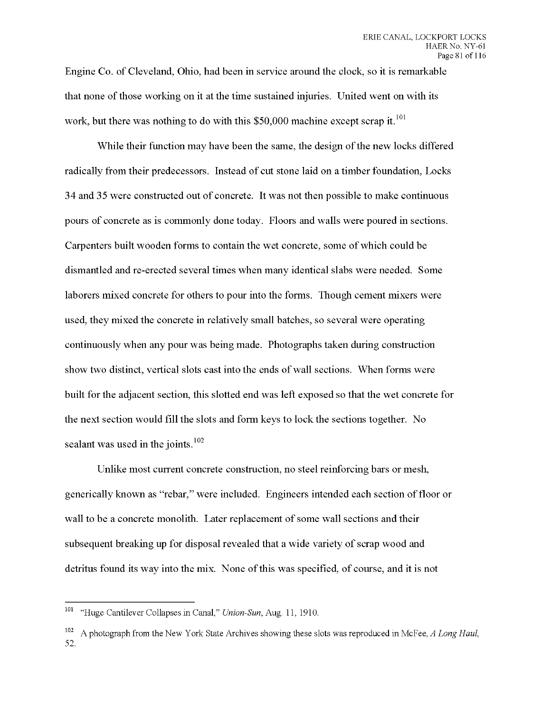Engine Co. of Cleveland, Ohio, had been in service around the clock, so it is remarkable that none of those working on it at the time sustained injuries. United went on with its work, but there was nothing to do with this \$50,000 machine except scrap it.<sup>101</sup>

While their function may have been the same, the design of the new locks differed radically from their predecessors. Instead of cut stone laid on a timber foundation, Locks 34 and 35 were constructed out of concrete. It was not then possible to make continuous pours of concrete as is commonly done today. Floors and walls were poured in sections. Carpenters built wooden forms to contain the wet concrete, some of which could be dismantled and re-erected several times when many identical slabs were needed. Some laborers mixed concrete for others to pour into the forms. Though cement mixers were used, they mixed the concrete in relatively small batches, so several were operating continuously when any pour was being made. Photographs taken during construction show two distinct, vertical slots cast into the ends of wall sections. When forms were built for the adjacent section, this slotted end was left exposed so that the wet concrete for the next section would fill the slots and form keys to lock the sections together. No sealant was used in the joints. $102$ 

Unlike most current concrete construction, no steel reinforcing bars or mesh, generically known as "rebar," were included. Engineers intended each section offloor or wall to be a concrete monolith. Later replacement of some wall sections and their subsequent breaking up for disposal revealed that a wide variety of scrap wood and detritus found its way into the mix. None of this was specified, of course, and it is not

 $101$ "Huge Cantilever Collapses in Canal," *Union-Sun,* Aug. 11, 1910.

<sup>102</sup> A photograph from the New York State Archives showing these slots was reproduced in McFee, *A Long Haul,* **52.**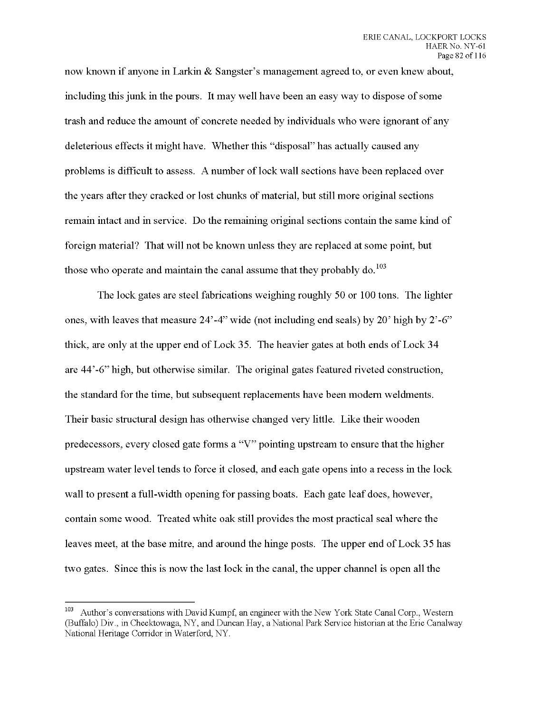now known if anyone in Larkin & Sangster's management agreed to, or even knew about, including this junk in the pours. It may well have been an easy way to dispose ofsome trash and reduce the amount of concrete needed by individuals who were ignorant of any deleterious effects it might have. Whether this "disposal" has actually caused any problems is difficult to assess. A number of lock wall sections have been replaced over the years after they cracked or lost chunks of material, but still more original sections remain intact and in service. Do the remaining original sections contain the same kind of foreign material? That will not be known unless they are replaced at some point, but those who operate and maintain the canal assume that they probably do.<sup>103</sup>

The lock gates are steel fabrications weighing roughly 50 or 100 tons. The lighter ones, with leaves that measure 24'-4" wide (not including end seals) by 20' high by 2'-6" thick, are only at the upper end of Lock 35. The heavier gates at both ends of Lock 34 are 44'-6" high, but otherwise similar. The original gates featured riveted construction, the standard for the time, but subsequent replacements have been modern weldments. Their basic structural design has otherwise changed very little. Like their wooden predecessors, every closed gate forms a "V" pointing upstream to ensure that the higher upstream water level tends to force it closed, and each gate opens into a recess in the lock wall to present a full-width opening for passing boats. Each gate leaf does, however, contain some wood. Treated white oak still provides the most practical seal where the leaves meet, at the base mitre, and around the hinge posts. The upper end of Lock 35 has two gates. Since this is now the last lock in the canal, the upper channel is open all the

<sup>&</sup>lt;sup>103</sup> Author's conversations with David Kumpf, an engineer with the New York State Canal Corp., Western (Buffalo) Div., in Cheektowaga, NY, and Duncan Hay, a National Park Service historian at the Erie Canalway National Heritage Corridor in Waterford, NY.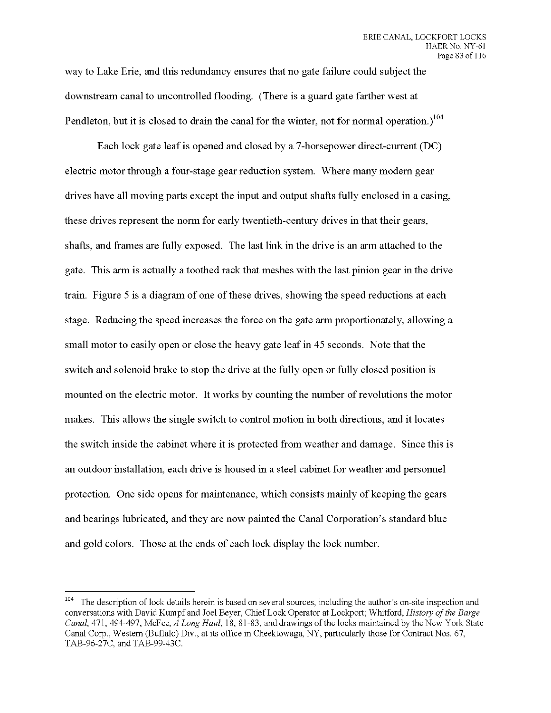**way to Lake Erie, and this redundancy ensures that no gate failure could subject the downstream canal to uncontrolled flooding. (There is a guard gate farther west at Pendleton, but it is closed to drain the canal for the winter, not for normal operation.)**

**Each lock gate leaf is opened and closed by a 7-horsepower direct-current (DC) electric motor through a four-stage gear reduction system. Where many modern gear drives have all moving parts except the input and output shafts fully enclosed in a casing, these drives represent the norm for early twentieth-century drives in that their gears, shafts, and frames are fully exposed. The last link in the drive is an arm attached to the gate. This arm is actually a toothed rack that meshes with the last pinion gear in the drive train. Figure <sup>5</sup> is a diagram of one ofthese drives, showing the speed reductions at each stage. Reducing the speed increases the force on the gate arm proportionately, allowing a small motor to easily open or close the heavy gate leaf in 45 seconds. Note that the switch and solenoid brake to stop the drive at the fully open or fully closed position is mounted on the electric motor. It works by counting the number of revolutions the motor makes. This allows the single switch to control motion in both directions, and it locates the switch inside the cabinet where it is protected from weather and damage. Since this is an outdoor installation, each drive is housed in a steel cabinet for weather and personnel protection. One side opens for maintenance, which consists mainly of keeping the gears and bearings lubricated, and they are now painted the Canal Corporation's standard blue and gold colors. Those at the ends of each lock display the lock number.**

<sup>&</sup>lt;sup>104</sup> The description of lock details herein is based on several sources, including the author's on-site inspection and conversations with David Kumpf and Joel Beyer, Chief Lock Operator at Lockport; Whitford, *History ofthe Barge Canal* 471, 494-497; McFee, *A Long Haul* 18, 81-83; and drawings of the locks maintained by the New York State Canal Corp., Western (Buffalo) Div., at its office in Cheektowaga, NY, particularly those for ContractNos. 67, TAB-96-27C, and TAB-99-43C.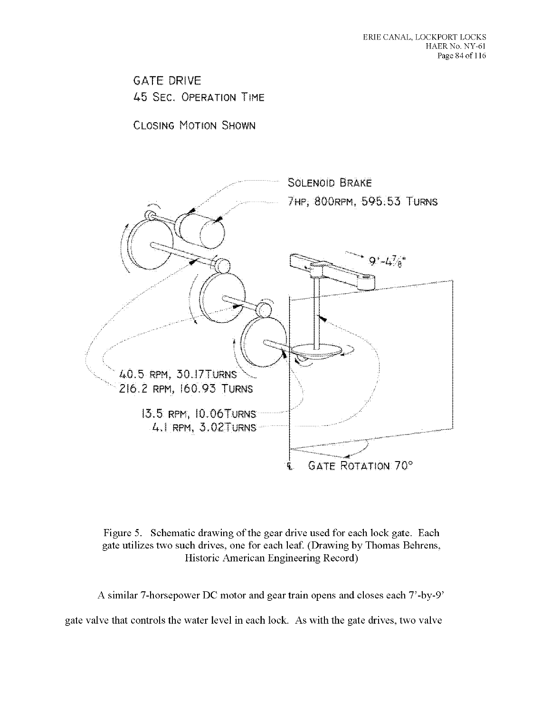## **GATE DRIVE** 45 SEC. OPERATION TIME

**CLOSING MOTION SHOWN** 





A similar 7-horsepower DC motor and gear train opens and closes each 7'-by-9'

gate valve that controls the water level in each lock. As with the gate drives, two valve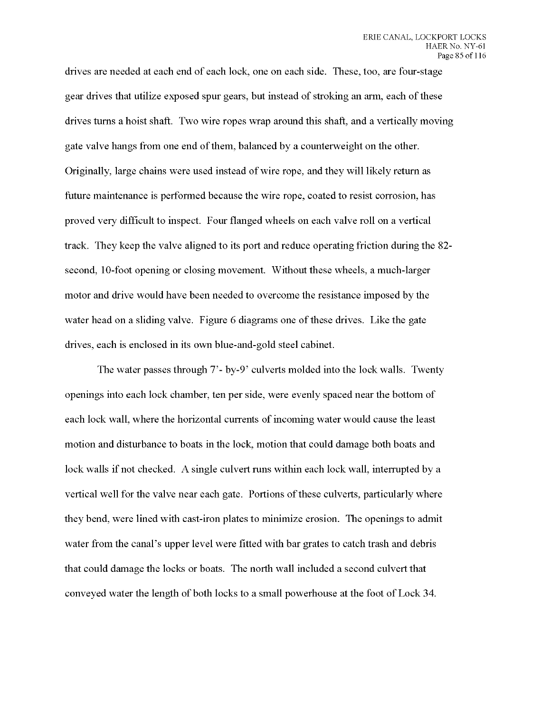drives are needed at each end of each lock, one on each side. These, too, are four-stage gear drives that utilize exposed spur gears, but instead of stroking an arm, each of these drives turns a hoist shaft. Two wire ropes wrap around this shaft, and a vertically moving gate valve hangs from one end ofthem, balanced by a counterweight on the other. Originally, large chains were used instead of wire rope, and they will likely return as future maintenance is performed because the wire rope, coated to resist corrosion, has proved very difficult to inspect. Four flanged wheels on each valve roll on a vertical track. They keep the valve aligned to its port and reduce operating friction during the 82 second, 10-foot opening or closing movement. Without these wheels, a much-larger motor and drive would have been needed to overcome the resistance imposed by the water head on a sliding valve. Figure 6 diagrams one of these drives. Like the gate drives, each is enclosed in its own blue-and-gold steel cabinet.

The water passes through 7'- by-9' culverts molded into the lock walls. Twenty openings into each lock chamber, ten per side, were evenly spaced near the bottom of each lock wall, where the horizontal currents of incoming water would cause the least motion and disturbance to boats in the lock, motion that could damage both boats and lock walls if not checked. A single culvert runs within each lock wall, interrupted by a vertical well for the valve near each gate. Portions of these culverts, particularly where they bend, were lined with cast-iron plates to minimize erosion. The openings to admit water from the canal's upper level were fitted with bar grates to catch trash and debris that could damage the locks or boats. The north wall included a second culvert that conveyed water the length of both locks to a small powerhouse at the foot of Lock 34.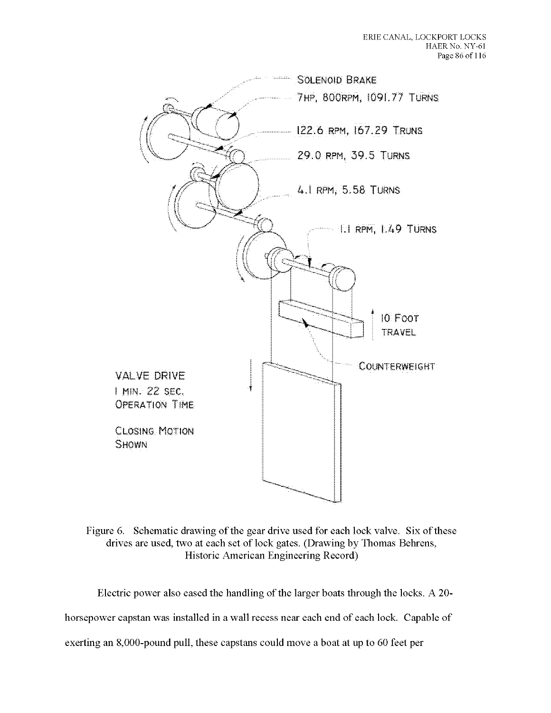

Figure 6. Schematic drawing of the gear drive used for each lock valve. Six of these drives are used, two at each set of lock gates. (Drawing by Thomas Behrens, Historic American Engineering Record)

Electric power also eased the handling of the larger boats through the locks. A 20-

horsepower capstan was installed in a wall recess near each end of each lock. Capable of

exerting an 8,000-pound pull, these capstans could move a boat at up to 60 feet per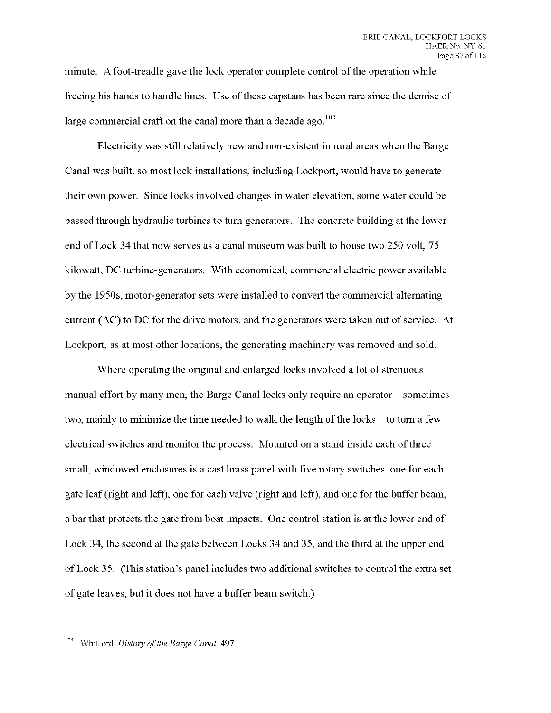minute. A foot-treadle gave the lock operator complete control ofthe operation while freeing his hands to handle lines. Use of these capstans has been rare since the demise of large commercial craft on the canal more than a decade ago.  $105$ 

Electricity was still relatively new and non-existent in rural areas when the Barge Canal was built, so most lock installations, including Lockport, would have to generate their own power. Since locks involved changes in water elevation, some water could be passed through hydraulic turbines to turn generators. The concrete building at the lower end of Lock 34 that now serves as a canal museum was built to house two 250 volt, *15* kilowatt, DC turbine-generators. With economical, commercial electric power available by the 1950s, motor-generator sets were installed to convert the commercial alternating current (AC) to DC for the drive motors, and the generators were taken out of service. At Lockport, as at most other locations, the generating machinery was removed and sold.

Where operating the original and enlarged locks involved a lot of strenuous manual effort by many men, the Barge Canal locks only require an operator—sometimes two, mainly to minimize the time needed to walk the length of the locks—to turn a few electrical switches and monitor the process. Mounted on a stand inside each of three small, windowed enclosures is a cast brass panel with five rotary switches, one for each gate leaf (right and left), one for each valve (right and left), and one for the buffer beam, a bar that protects the gate from boat impacts. One control station is at the lower end of Lock 34, the second at the gate between Locks 34 and 35, and the third at the upper end of Lock 35. (This station's panel includes two additional switches to control the extra set of gate leaves, but it does not have a buffer beam switch.)

<sup>&</sup>lt;sup>105</sup> Whitford, *History of the Barge Canal*, 497.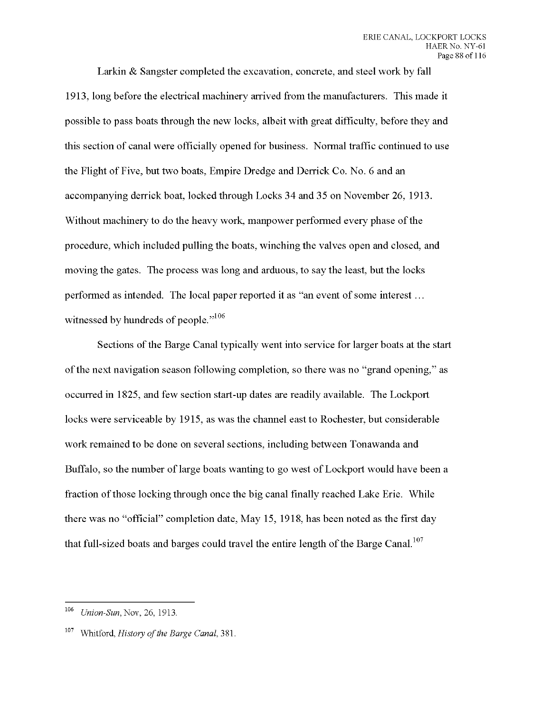Larkin & Sangster completed the excavation, concrete, and steel work by fall 1913, long before the electrical machinery arrived from the manufacturers. This made it possible to pass boats through the new locks, albeit with great difficulty, before they and this section of canal were officially opened for business. Normal traffic continued to use the Flight of Five, but two boats, Empire Dredge and Derrick Co. No. 6 and an accompanying derrick boat, locked through Locks 34 and 35 on November 26, 1913. Without machinery to do the heavy work, manpower performed every phase of the procedure, which included pulling the boats, winching the valves open and closed, and moving the gates. The process was long and arduous, to say the least, but the locks performed as intended. The local paper reported it as "an event ofsome interest... witnessed by hundreds of people."<sup>106</sup>

Sections of the Barge Canal typically went into service for larger boats at the start of the next navigation season following completion, so there was no "grand opening," as occurred in 1825, and few section start-up dates are readily available. The Lockport locks were serviceable by 1915, as was the channel east to Rochester, but considerable work remained to be done on several sections, including between Tonawanda and Buffalo, so the number of large boats wanting to go west of Lockport would have been a fraction of those locking through once the big canal finally reached Lake Erie. While there was no "official" completion date, May 15, 1918, has been noted as the first day that full-sized boats and barges could travel the entire length of the Barge Canal.<sup>107</sup>

<sup>106</sup> *Union-Sun,* Nov, 26, 1913.

<sup>&</sup>lt;sup>107</sup> Whitford, *History of the Barge Canal*, 381.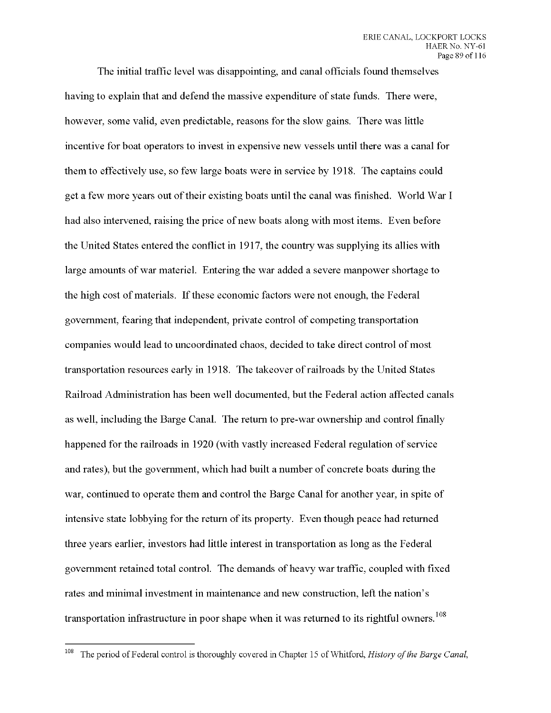The initial traffic level was disappointing, and canal officials found themselves having to explain that and defend the massive expenditure of state funds. There were, however, some valid, even predictable, reasons for the slow gains. There was little incentive for boat operators to invest in expensive new vessels until there was a canal for them to effectively use, so few large boats were in service by 1918. The captains could get a few more years out of their existing boats until the canal was finished. World War I had also intervened, raising the price of new boats along with most items. Even before the United States entered the conflict in 1917, the country was supplying its allies with large amounts of war materiel. Entering the war added a severe manpower shortage to the high cost ofmaterials. Ifthese economic factors were not enough, the Federal government, fearing that independent, private control of competing transportation companies would lead to uncoordinated chaos, decided to take direct control of most transportation resources early in 1918. The takeover ofrailroads by the United States Railroad Administration has been well documented, but the Federal action affected canals as well, including the Barge Canal. The return to pre-war ownership and control finally happened for the railroads in 1920 (with vastly increased Federal regulation of service and rates), but the government, which had built a number of concrete boats during the war, continued to operate them and control the Barge Canal for another year, in spite of intensive state lobbying for the return of its property. Even though peace had returned three years earlier, investors had little interest in transportation as long as the Federal government retained total control. The demands of heavy war traffic, coupled with fixed rates and minimal investment in maintenance and new construction, left the nation's transportation infrastructure in poor shape when it was returned to its rightful owners.<sup>108</sup>

<sup>108</sup> The period of Federal control is thoroughly covered in Chapter <sup>15</sup> of Whitford, *History ofthe Barge Canal,*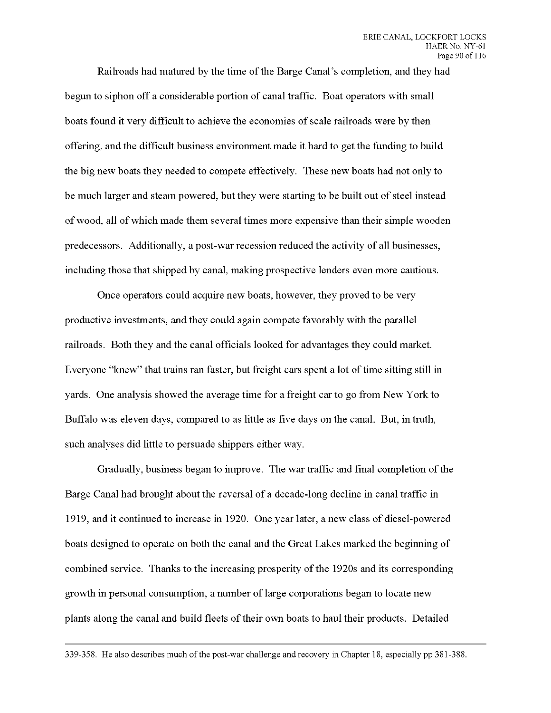Railroads had matured by the time of the Barge Canal's completion, and they had begun to siphon off a considerable portion of canal traffic. Boat operators with small boats found it very difficult to achieve the economies of scale railroads were by then offering, and the difficult business environment made it hard to get the funding to build the big new boats they needed to compete effectively. These new boats had not only to be much larger and steam powered, but they were starting to be built out of steel instead of wood, all ofwhich made them several times more expensive than their simple wooden predecessors. Additionally, a post-war recession reduced the activity of all businesses, including those that shipped by canal, making prospective lenders even more cautious.

Once operators could acquire new boats, however, they proved to be very productive investments, and they could again compete favorably with the parallel railroads. Both they and the canal officials looked for advantages they could market. Everyone "knew" that trains ran faster, but freight cars spent a lot of time sitting still in yards. One analysis showed the average time for a freight car to go from New York to Buffalo was eleven days, compared to as little as five days on the canal. But, in truth, such analyses did little to persuade shippers either way.

Gradually, business began to improve. The war traffic and final completion of the Barge Canal had brought about the reversal of a decade-long decline in canal traffic in 1919, and it continued to increase in 1920. One year later, anew class of diesel-powered boats designed to operate on both the canal and the Great Lakes marked the beginning of combined service. Thanks to the increasing prosperity of the 1920s and its corresponding growth in personal consumption, a number of large corporations began to locate new plants along the canal and build fleets of their own boats to haul their products. Detailed

339-358. He also describes much of the post-war challenge and recovery in Chapter 18, especially pp 381-388.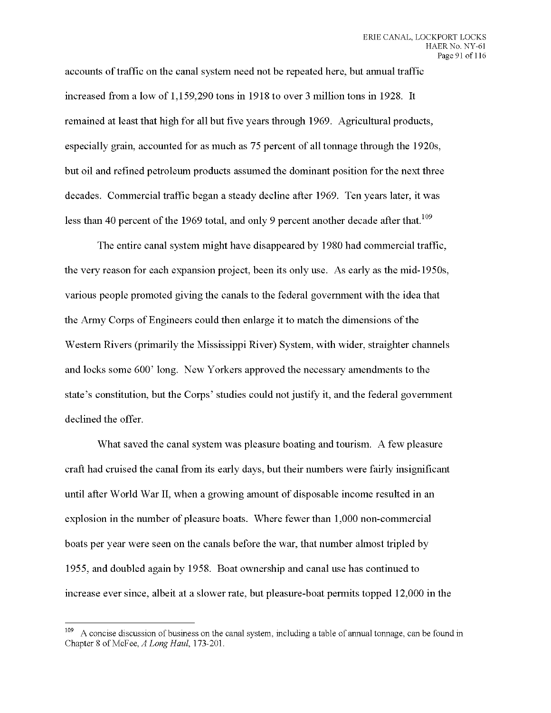accounts oftraffic on the canal system need not be repeated here, but annual traffic increased from a low of 1,159,290 tons in 1918 to over 3 million tons in 1928. It remained at least that high for all but five years through 1969. Agricultural products, especially grain, accounted for as much as *15* percent of all tonnage through the 1920s, but oil and refined petroleum products assumed the dominant position for the next three decades. Commercial traffic began a steady decline after 1969. Ten years later, it was less than 40 percent of the 1969 total, and only 9 percent another decade after that.<sup>109</sup>

The entire canal system might have disappeared by 1980 had commercial traffic, the very reason for each expansion project, been its only use. As early as the mid- 1950s, various people promoted giving the canals to the federal government with the idea that the Army Corps of Engineers could then enlarge it to match the dimensions of the Western Rivers (primarily the Mississippi River) System, with wider, straighter channels and locks some 600' long. New Yorkers approved the necessary amendments to the state's constitution, but the Corps' studies could not justify it, and the federal government declined the offer.

What saved the canal system was pleasure boating and tourism. A few pleasure craft had cruised the canal from its early days, but their numbers were fairly insignificant until after World War II, when a growing amount of disposable income resulted in an explosion in the number of pleasure boats. Where fewer than 1,000 non-commercial boats per year were seen on the canals before the war, that number almost tripled by 1955, and doubled again by 1958. Boat ownership and canal use has continued to increase ever since, albeit at a slower rate, but pleasure-boat permits topped 12,000 in the

A concise discussion of business on the canal system, including a table of annual tonnage, can be found in Chapter <sup>8</sup> of McFee, *A Long Haul,* 173-201.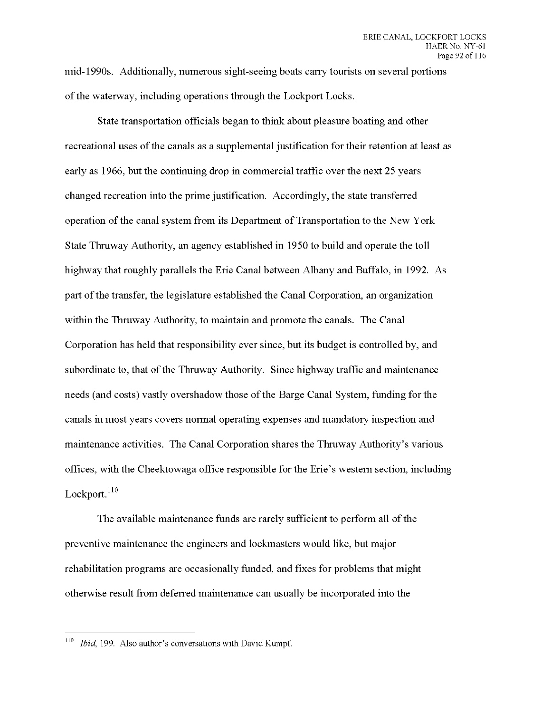mid-1990s. Additionally, numerous sight-seeing boats carry tourists on several portions of the waterway, including operations through the Lockport Locks.

State transportation officials began to think about pleasure boating and other recreational uses ofthe canals as a supplemental justification for their retention at least as early as 1966, but the continuing drop in commercial traffic over the next 25 years changed recreation into the prime justification. Accordingly, the state transferred operation of the canal system from its Department of Transportation to the New York State Thruway Authority, an agency established in 1950 to build and operate the toll highway that roughly parallels the Erie Canal between Albany and Buffalo, in 1992. As part ofthe transfer, the legislature established the Canal Corporation, an organization within the Thruway Authority, to maintain and promote the canals. The Canal Corporation has held that responsibility ever since, but its budget is controlled by, and subordinate to, that of the Thruway Authority. Since highway traffic and maintenance needs (and costs) vastly overshadow those of the Barge Canal System, funding for the canals in most years covers normal operating expenses and mandatory inspection and maintenance activities. The Canal Corporation shares the Thruway Authority's various offices, with the Cheektowaga office responsible for the Erie's western section, including Lockport.<sup>110</sup>

The available maintenance funds are rarely sufficient to perform all of the preventive maintenance the engineers and lockmasters would like, but major rehabilitation programs are occasionally funded, and fixes for problems that might otherwise result from deferred maintenance can usually be incorporated into the

*Ibid,* 199. Also author's conversations with David Kumpf.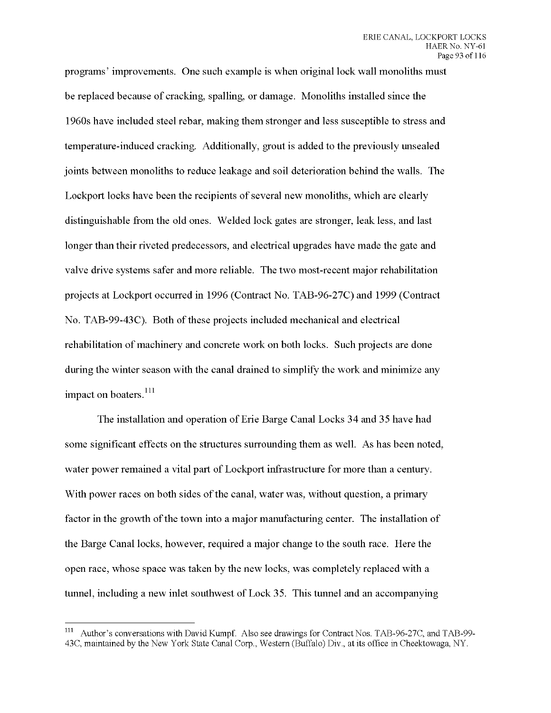programs' improvements. One such example is when original lock wall monoliths must be replaced because of cracking, spalling, or damage. Monoliths installed since the 1960s have included steel rebar, making them stronger and less susceptible to stress and temperature-induced cracking. Additionally, grout is added to the previously unsealed joints between monoliths to reduce leakage and soil deterioration behind the walls. The Lockport locks have been the recipients of several new monoliths, which are clearly distinguishable from the old ones. Welded lock gates are stronger, leak less, and last longer than their riveted predecessors, and electrical upgrades have made the gate and valve drive systems safer and more reliable. The two most-recent major rehabilitation projects at Lockport occurred in 1996 (Contract No. TAB-96-27C) and 1999 (Contract No. TAB-99-43C). Both of these projects included mechanical and electrical rehabilitation of machinery and concrete work on both locks. Such projects are done during the winter season with the canal drained to simplify the work and minimize any impact on boaters.<sup>111</sup>

The installation and operation of Erie Barge Canal Locks 34 and 35 have had some significant effects on the structures surrounding them as well. As has been noted, water power remained a vital part of Lockport infrastructure for more than a century. With power races on both sides of the canal, water was, without question, a primary factor in the growth of the town into a major manufacturing center. The installation of the Barge Canal locks, however, required a major change to the south race. Here the open race, whose space was taken by the new locks, was completely replaced with a tunnel, including a new inlet southwest of Lock 35. This tunnel and an accompanying

Author's conversations with David Kumpf. Also see drawings for Contract Nos. TAB-96-27C, and TAB-99-43C, maintained by the New York State Canal Corp., Western (Buffalo) Div., at its office in Cheektowaga, NY.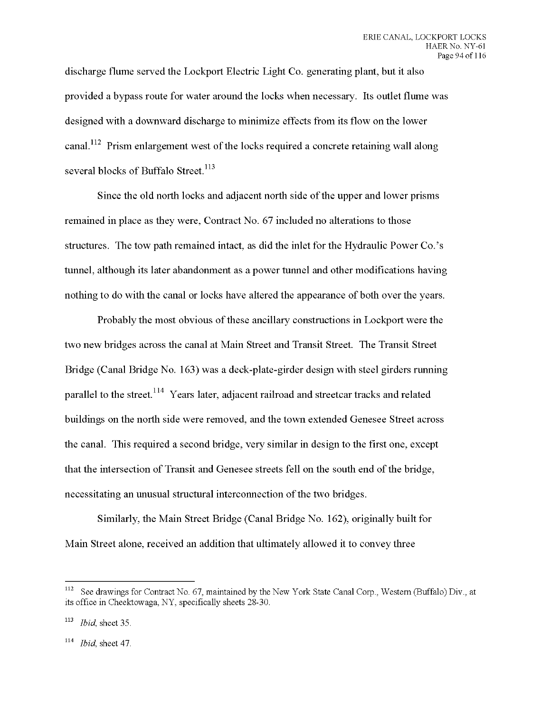discharge flume served the Lockport Electric Light Co. generating plant, but it also provided a bypass route for water around the locks when necessary. Its outlet flume was designed with a downward discharge to minimize effects from its flow on the lower canal.<sup>112</sup> Prism enlargement west of the locks required a concrete retaining wall along several blocks of Buffalo Street.<sup>113</sup>

Since the old north locks and adjacent north side of the upper and lower prisms remained in place as they were, Contract No. 67 included no alterations to those structures. The tow path remained intact, as did the inlet for the Hydraulic Power Co.'s tunnel, although its later abandonment as a power tunnel and other modifications having nothing to do with the canal or locks have altered the appearance of both over the years.

Probably the most obvious of these ancillary constructions in Lockport were the two new bridges across the canal at Main Street and Transit Street. The Transit Street Bridge (Canal Bridge No. 163) was a deck-plate-girder design with steel girders running parallel to the street.<sup>114</sup> Years later, adjacent railroad and streetcar tracks and related buildings on the north side were removed, and the town extended Genesee Street across the canal. This required a second bridge, very similar in design to the first one, except that the intersection of Transit and Genesee streets fell on the south end of the bridge, necessitating an unusual structural interconnection of the two bridges.

Similarly, the Main Street Bridge (Canal Bridge No. 162), originally built for Main Street alone, received an addition that ultimately allowed it to convey three

<sup>112</sup> See drawings for Contract No. 67, maintained by the New York State Canal Corp., Western (Buffalo) Div., at its office in Cheektowaga, NY, specifically sheets 28-30.

<sup>&</sup>lt;sup>113</sup> *Ibid*, sheet 35.

<sup>114</sup> *Ibid,* sheet 47.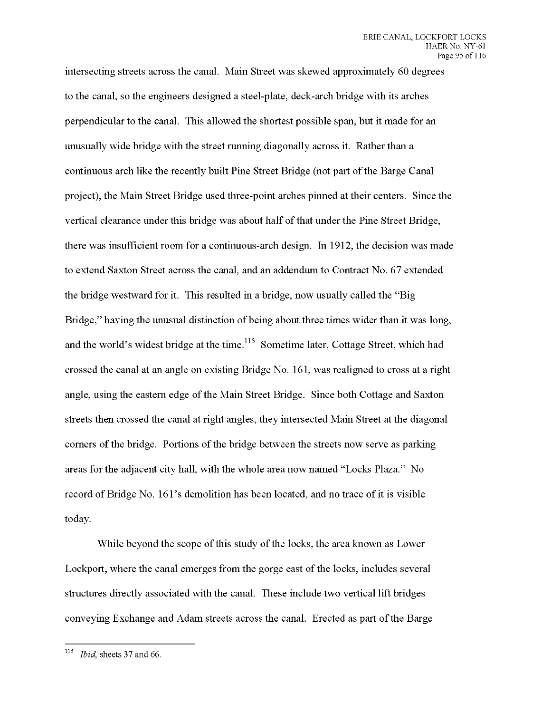intersecting streets across the canal. Main Street was skewed approximately 60 degrees to the canal, so the engineers designed a steel-plate, deck-arch bridge with its arches perpendicular to the canal. This allowed the shortest possible span, but it made for an unusually wide bridge with the street running diagonally across it. Rather than a continuous arch like the recently built Pine Street Bridge (not part of the Barge Canal project), the Main Street Bridge used three-point arches pinned at their centers. Since the vertical clearance under this bridge was about half of that under the Pine Street Bridge, there was insufficient room for a continuous-arch design. In 1912, the decision was made to extend Saxton Street across the canal, and an addendum to Contract No. 67 extended the bridge westward for it. This resulted in a bridge, now usually called the "Big Bridge," having the unusual distinction of being about three times wider than it was long, and the world's widest bridge at the time.  $^{115}$  Sometime later, Cottage Street, which had crossed the canal at an angle on existing Bridge No. 161, was realigned to cross at a right angle, using the eastern edge of the Main Street Bridge. Since both Cottage and Saxton streets then crossed the canal at right angles, they intersected Main Street at the diagonal corners of the bridge. Portions of the bridge between the streets now serve as parking areas for the adjacent city hall, with the whole area now named "Locks Plaza." No record of Bridge No. 161's demolition has been located, and no trace of it is visible today.

While beyond the scope of this study of the locks, the area known as Lower Lockport, where the canal emerges from the gorge east of the locks, includes several structures directly associated with the canal. These include two vertical lift bridges conveying Exchange and Adam streets across the canal. Erected as part ofthe Barge

*Ibid,* sheets 37 and *66.*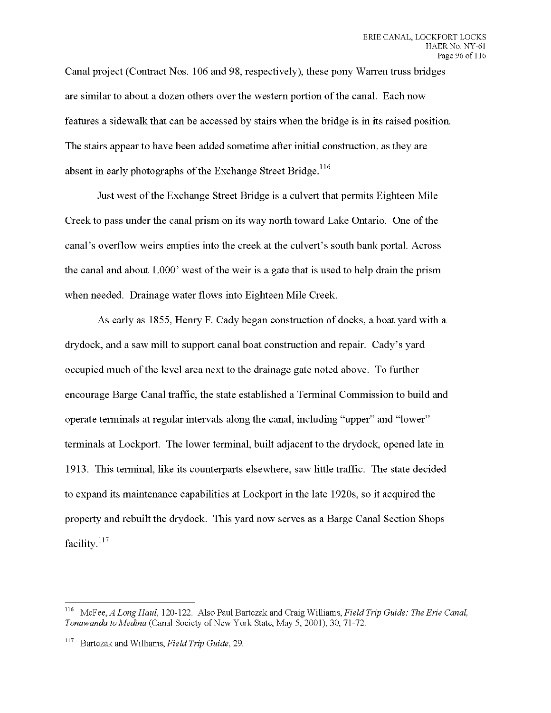Canal project (Contract Nos. 106 and 98, respectively), these pony Warren truss bridges are similar to about a dozen others over the western portion of the canal. Each now features a sidewalk that can be accessed by stairs when the bridge is in its raised position. The stairs appear to have been added sometime after initial construction, as they are absent in early photographs of the Exchange Street Bridge.<sup>116</sup>

Just west of the Exchange Street Bridge is a culvert that permits Eighteen Mile Creek to pass under the canal prism on its way north toward Lake Ontario. One of the canal's overflow weirs empties into the creek at the culvert's south bank portal. Across the canal and about  $1,000$ ' west of the weir is a gate that is used to help drain the prism when needed. Drainage water flows into Eighteen Mile Creek.

As early as 1855, Henry F. Cady began construction of docks, a boat yard with a drydock, and a saw mill to support canal boat construction and repair. Cady's yard occupied much of the level area next to the drainage gate noted above. To further encourage Barge Canal traffic, the state established a Terminal Commission to build and operate terminals at regular intervals along the canal, including "upper" and "lower" terminals at Lockport. The lower terminal, built adjacent to the drydock, opened late in 1913. This terminal, like its counterparts elsewhere, saw little traffic. The state decided to expand its maintenance capabilities at Lockport in the late 1920s, so it acquired the property and rebuilt the drydock. This yard now serves as a Barge Canal Section Shops facility.<sup>117</sup>

<sup>116</sup> McFee, *A Long Haul,* 120-122. Also Paul Bartczak and Craig Williams, *FieldTrip Guide: The Erie Canal, Tonawanda to Medina* (Canal Society of New York State, May 5, 2001), 30, 71-72.

<sup>117</sup> Bartczak and Williams, *Field Trip Guide,* 29.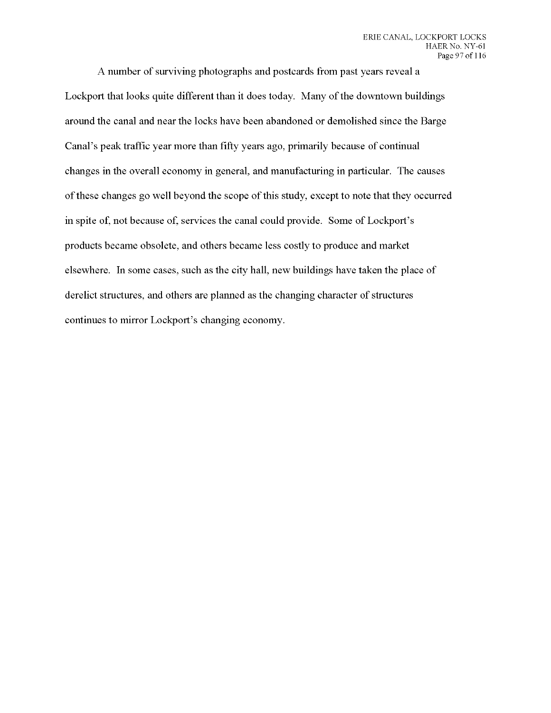A number of surviving photographs and postcards from past years reveal a Lockport that looks quite different than it does today. Many of the downtown buildings around the canal and near the locks have been abandoned or demolished since the Barge Canal's peak traffic year more than fifty years ago, primarily because of continual changes in the overall economy in general, and manufacturing in particular. The causes of these changes go well beyond the scope of this study, except to note that they occurred in spite of, not because of, services the canal could provide. Some of Lockport's products became obsolete, and others became less costly to produce and market elsewhere. In some cases, such as the city hall, new buildings have taken the place of derelict structures, and others are planned as the changing character of structures continues to mirror Lockport's changing economy.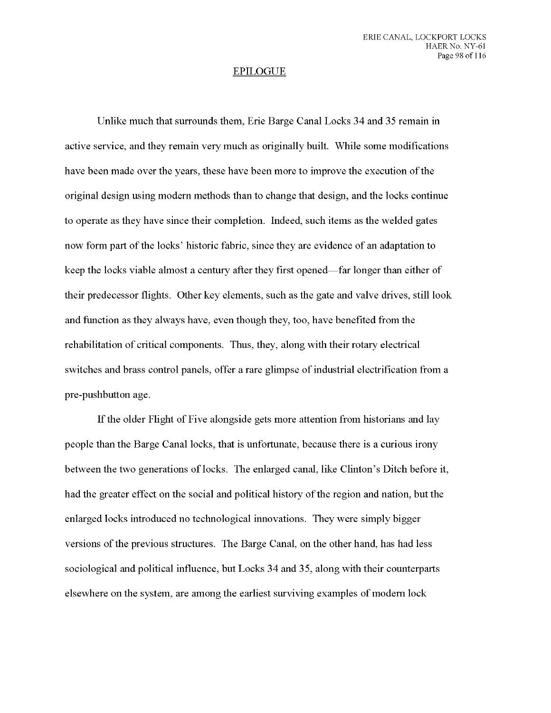## EPILOGUE

Unlike much that surrounds them, Erie Barge Canal Locks 34 and 35 remain in active service, and they remain very much as originally built. While some modifications have been made over the years, these have been more to improve the execution of the original design using modern methods than to change that design, and the locks continue to operate as they have since their completion. Indeed, such items as the welded gates now form part of the locks' historic fabric, since they are evidence of an adaptation to keep the locks viable almost a century after they first opened—far longer than either of their predecessor flights. Other key elements, such as the gate and valve drives, still look and function as they always have, even though they, too, have benefited from the rehabilitation of critical components. Thus, they, along with their rotary electrical switches and brass control panels, offer a rare glimpse of industrial electrification from a pre-pushbutton age.

If the older Flight of Five alongside gets more attention from historians and lay people than the Barge Canal locks, that is unfortunate, because there is a curious irony between the two generations of locks. The enlarged canal, like Clinton's Ditch before it, had the greater effect on the social and political history of the region and nation, but the enlarged locks introduced no technological innovations. They were simply bigger versions of the previous structures. The Barge Canal, on the other hand, has had less sociological and political influence, but Locks 34 and 35, along with their counterparts elsewhere on the system, are among the earliest surviving examples of modern lock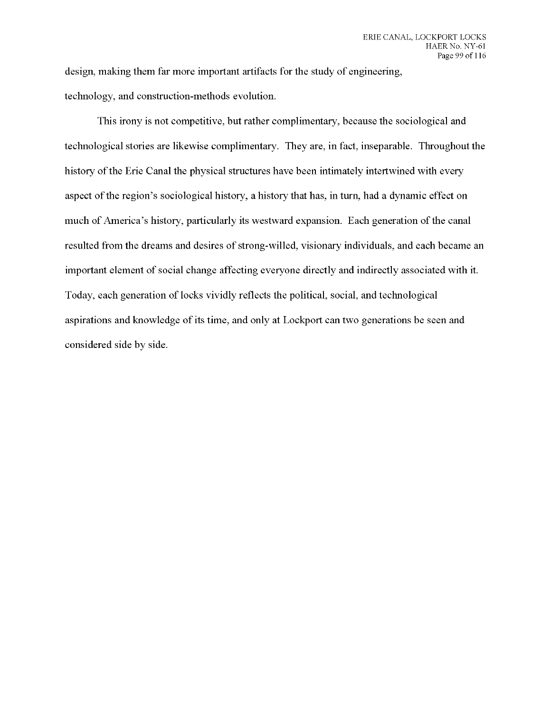design, making them far more important artifacts for the study of engineering, technology, and construction-methods evolution.

This irony is not competitive, but rather complimentary, because the sociological and technological stories are likewise complimentary. They are, in fact, inseparable. Throughout the history of the Erie Canal the physical structures have been intimately intertwined with every aspect of the region's sociological history, a history that has, in turn, had a dynamic effect on much of America's history, particularly its westward expansion. Each generation of the canal resulted from the dreams and desires of strong-willed, visionary individuals, and each became an important element of social change affecting everyone directly and indirectly associated with it. Today, each generation of locks vividly reflects the political, social, and technological aspirations and knowledge of its time, and only at Lockport can two generations be seen and considered side by side.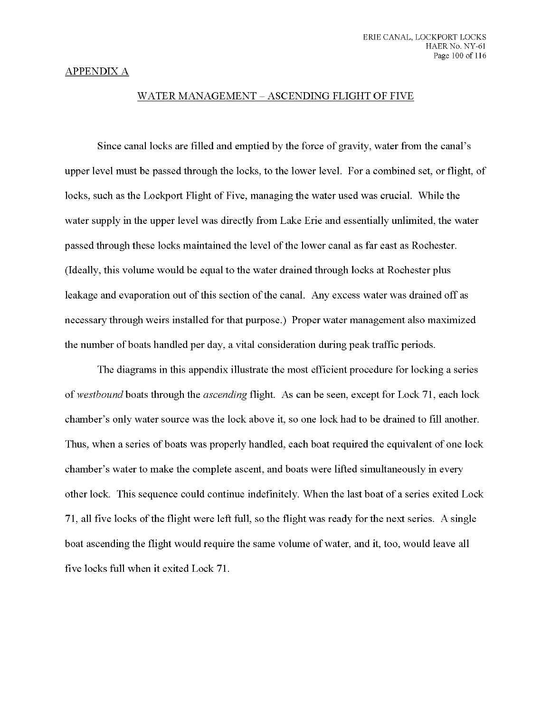## APPENDIX A

## WATER MANAGEMENT - ASCENDING FLIGHT OF FIVE

Since canal locks are filled and emptied by the force of gravity, water from the canal's upper level must be passed through the locks, to the lower level. For a combined set, or flight, of locks, such as the Lockport Flight of Five, managing the water used was crucial. While the water supply in the upper level was directly from Lake Erie and essentially unlimited, the water passed through these locks maintained the level ofthe lower canal as far east as Rochester. (Ideally, this volume would be equal to the water drained through locks at Rochester plus leakage and evaporation out of this section of the canal. Any excess water was drained off as necessary through weirs installed for that purpose.) Proper water management also maximized the number of boats handled per day, a vital consideration during peak traffic periods.

The diagrams in this appendix illustrate the most efficient procedure for locking a series of *westbound* boats through the *ascending* flight. As can be seen, except for Lock 71, each lock chamber's only water source was the lock above it, so one lock had to be drained to fill another. Thus, when a series of boats was properly handled, each boat required the equivalent of one lock chamber's water to make the complete ascent, and boats were lifted simultaneously in every other lock. This sequence could continue indefinitely. When the last boat of a series exited Lock 71, all five locks of the flight were left full, so the flight was ready for the next series. A single boat ascending the flight would require the same volume of water, and it, too, would leave all five locks full when it exited Lock 71.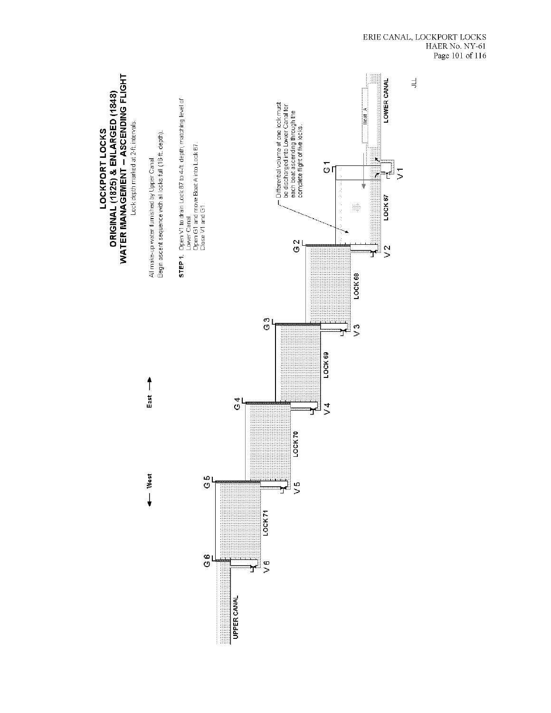

 $\begin{tabular}{ll} ERIE CANAL, LOCKPORT LOCKS \\ HAER No. NY-61 \\ Page 101 of 116 \\ \end{tabular}$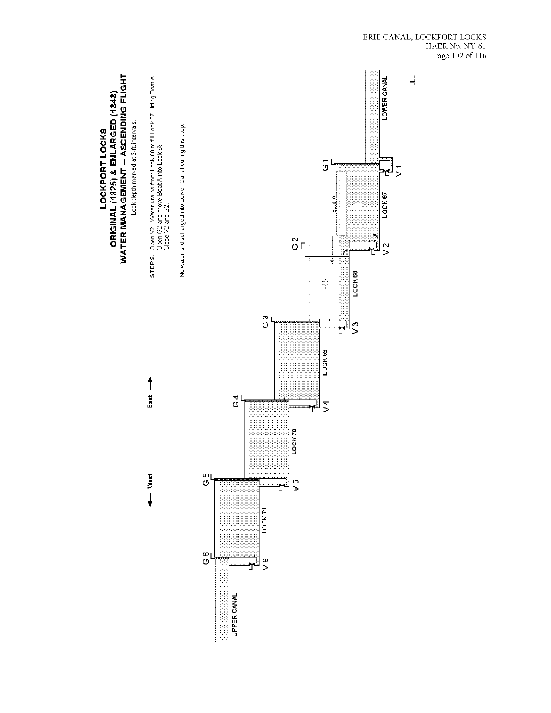

 $\begin{tabular}{ll} ERIE CANAL, LOCKPORT \; LOCKS \\ HAER \; No. \; NY-61 \\ \hspace{0.5cm} Page \; 102 \; of \; 116 \end{tabular}$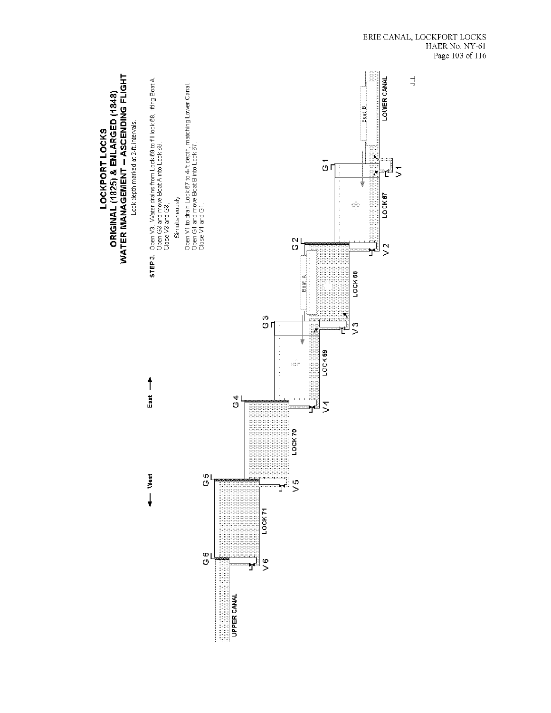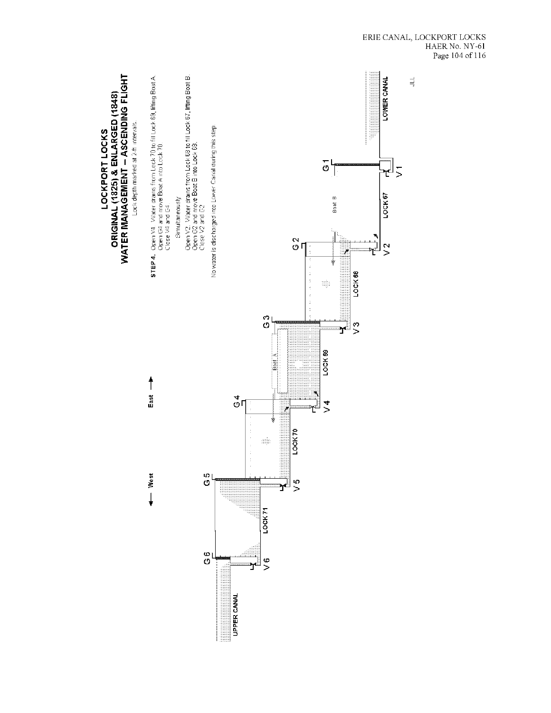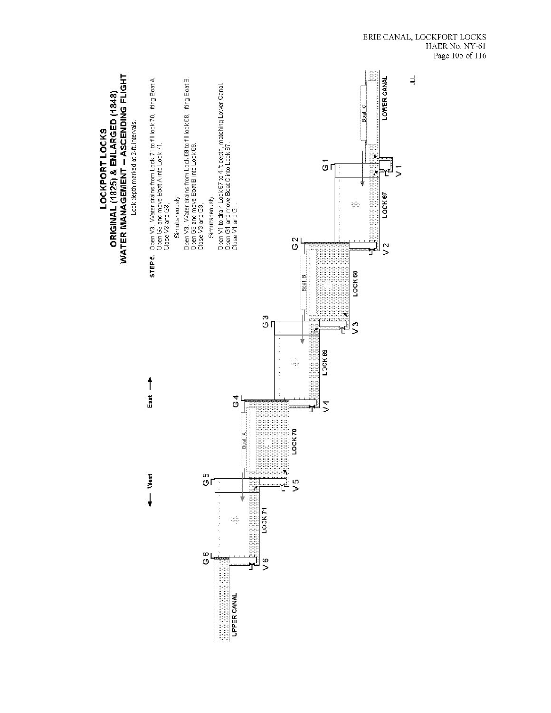

 $\begin{tabular}{ll} ERIE CANAL, LOCKPORT LOCKS \\ HAER No. NY-61 \\ Page\ 105 of\ 116 \\ \end{tabular}$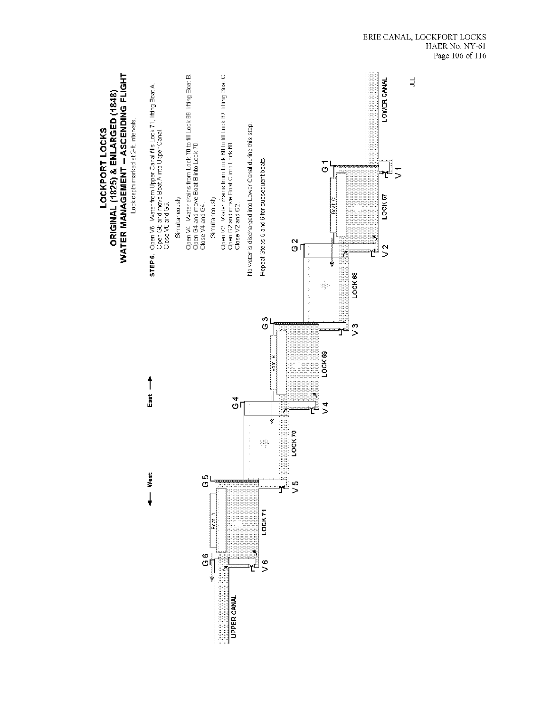

 $\begin{tabular}{ll} ERIE CANAL, LOCKPORT LOCKS \\ HAER No. NY-61 \\ Page 106 of 116 \\ \end{tabular}$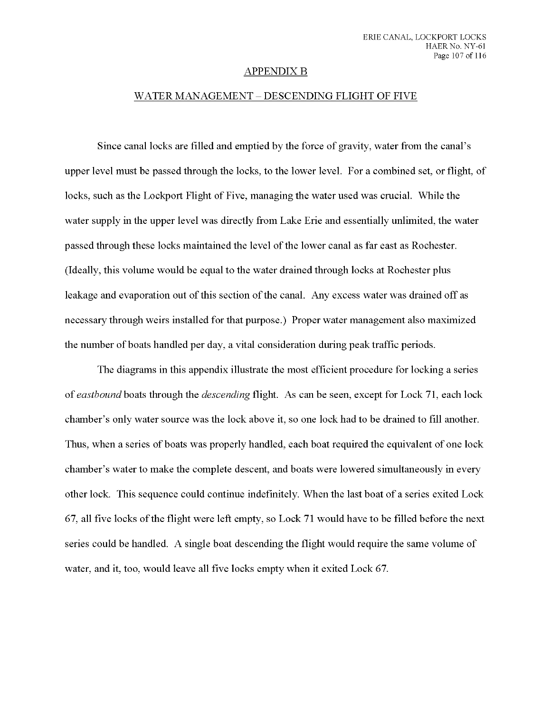#### APPENDIX B

#### WATER MANAGEMENT - DESCENDING FLIGHT OF FIVE

Since canal locks are filled and emptied by the force of gravity, water from the canal's upper level must be passed through the locks, to the lower level. For a combined set, or flight, of locks, such as the Lockport Flight of Five, managing the water used was crucial. While the water supply in the upper level was directly from Lake Erie and essentially unlimited, the water passed through these locks maintained the level ofthe lower canal as far east as Rochester. (Ideally, this volume would be equal to the water drained through locks at Rochester plus leakage and evaporation out of this section of the canal. Any excess water was drained off as necessary through weirs installed for that purpose.) Proper water management also maximized the number of boats handled per day, a vital consideration during peak traffic periods.

The diagrams in this appendix illustrate the most efficient procedure for locking a series of *eastbound* boats through the *descending* flight. As can be seen, except for Lock 71, each lock chamber's only water source was the lock above it, so one lock had to be drained to fill another. Thus, when a series of boats was properly handled, each boat required the equivalent of one lock chamber's water to make the complete descent, and boats were lowered simultaneously in every other lock. This sequence could continue indefinitely. When the last boat of a series exited Lock 67, all five locks ofthe flight were left empty, so Lock 71 would have to be filled before the next series could be handled. A single boat descending the flight would require the same volume of water, and it, too, would leave all five locks empty when it exited Lock 67.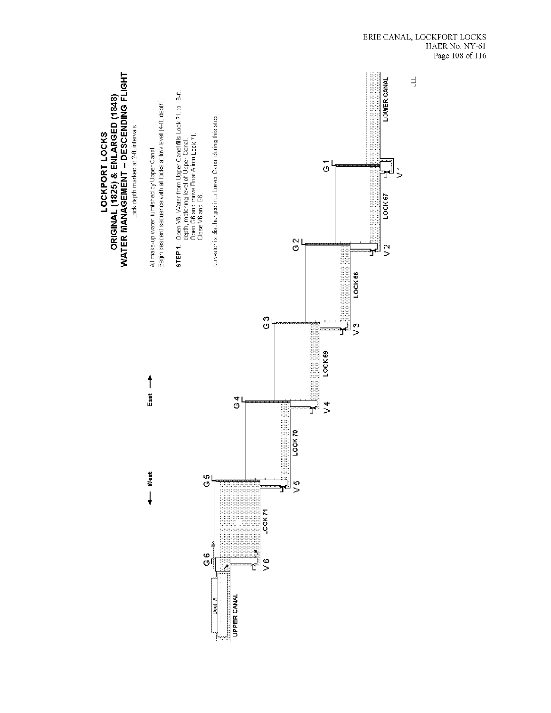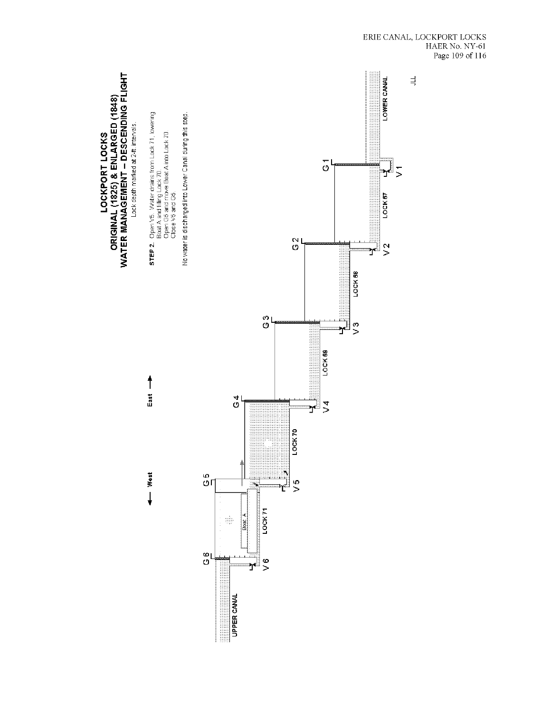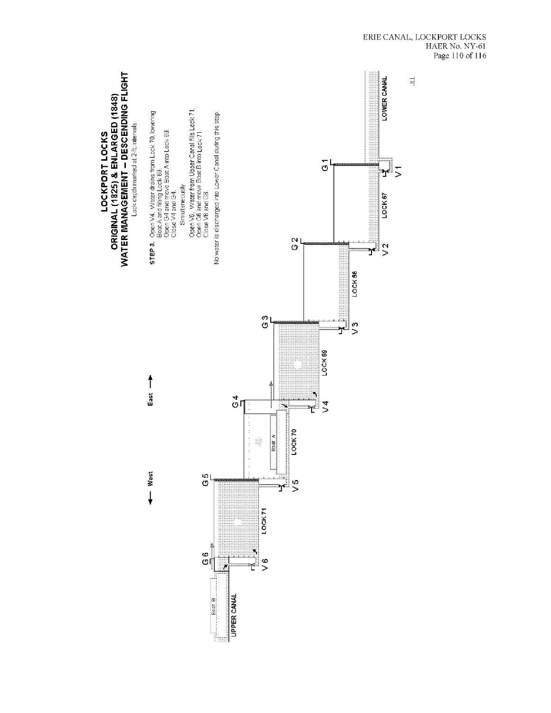

UPPER CANAL

Boat B

LOCKPORT LOCKS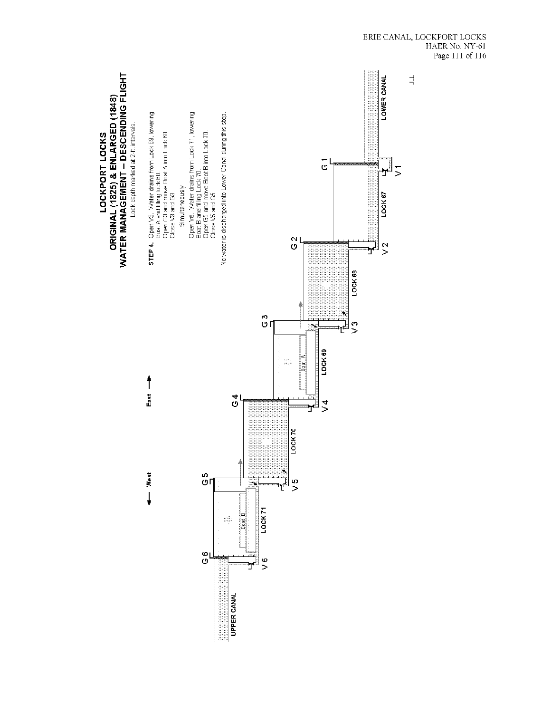

 $\begin{tabular}{ll} ERIE CANAL, LOCKPORT LOCKS \\ HAER No. NY-61 \\ Page\ 111\ of\ 116 \\ \end{tabular}$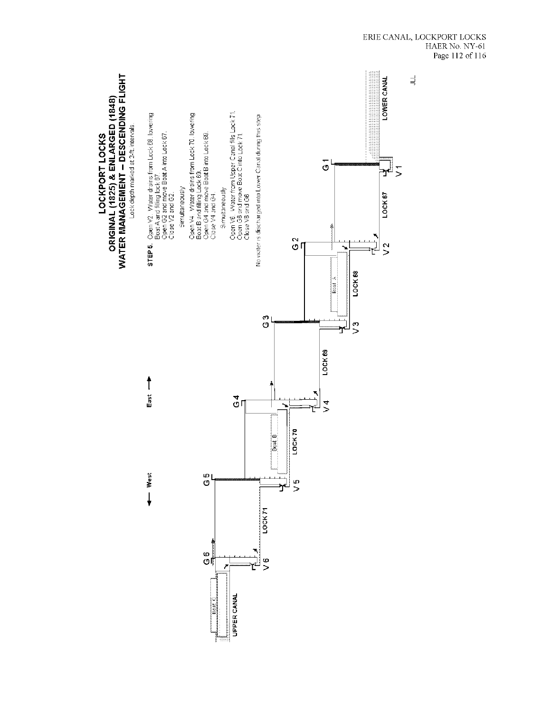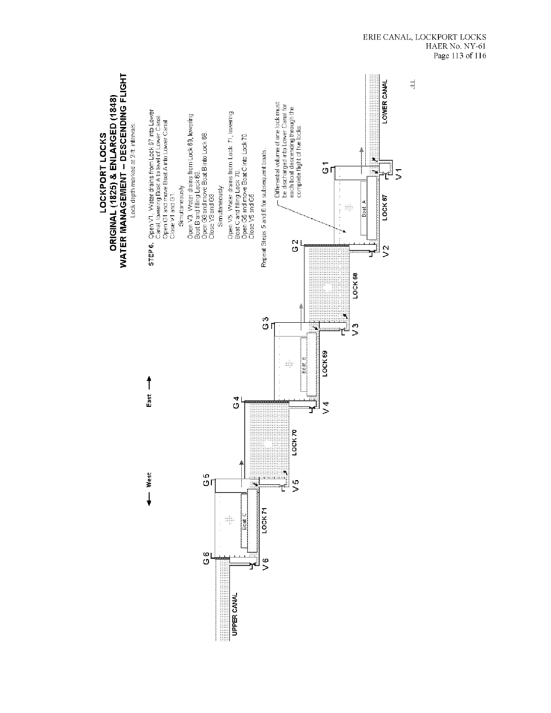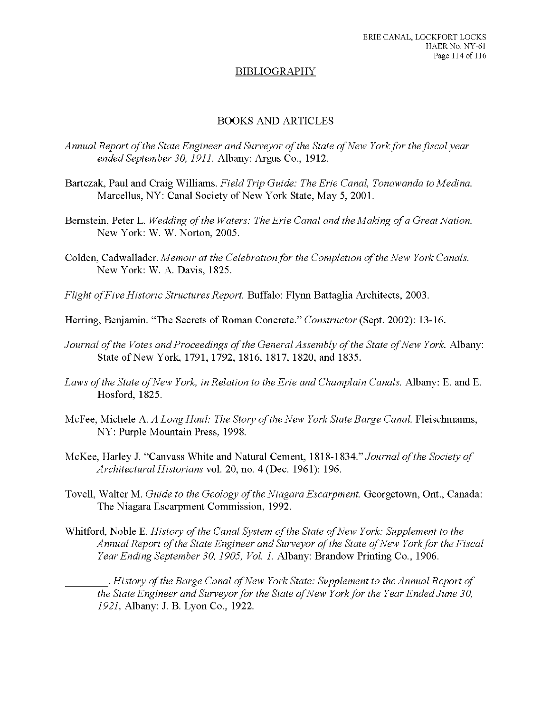### BIBLIOGRAPHY

## BOOKS AND ARTICLES

- *Annual Report ofthe State Engineer and Surveyor ofthe State ofNew Yorkfor the fiscal year ended September 30, 1911.* **Albany: Argus Co., 1912.**
- **Bartczak, Paul and Craig Williams.** *Field Trip Guide: The Erie Canal, Tonawanda to Medina.* Marcellus, NY: Canal Society of New York State, May 5, 2001.
- **Bernstein, Peter L.** *Wedding ofthe Waters: The Erie Canal and the Making ofa Great Nation.* New York: W. W. Norton, 2005.
- **Colden, Cadwallader.** *Memoir at the Celebrationfor the Completion ofthe New York Canals.* New York: W. A. Davis, 1825.
- *Flight of Five Historic Structures Report.* Buffalo: Flynn Battaglia Architects, 2003.
- Herring, Benjamin. "The Secrets of Roman Concrete." *Constructor* (Sept. 2002): 13-16.
- *Journal* of the *Votes* and Proceedings of the General Assembly of the State of New York. Albany: State of New York, 1791, 1792, 1816, 1817, 1820, and 1835.
- *Laws ofthe State ofNew York, in Relation to the Erie and Champlain Canals.* **Albany: E. and E.** Hosford, 1825.
- **McFee, Michele** A. *A Long Haul: The Story ofthe New York State Barge Canal.* **Fleischmanns,** NY: Purple Mountain Press, 1998.
- McKee, Harley J. "Canvass White and Natural Cement, 1818-1834." Jowr/ra/ *ofthe Society of Architectural Historians* vol. 20, no. 4 (Dec. 1961): 196.
- **Tovell, Walter M.** *Guide to the Geology ofthe Niagara Escarpment.* **Georgetown, Ont, Canada:** The Niagara Escarpment Commission, 1992.
- **Whitford,** Noble E. *History of the Canal System of the State of New York: Supplement to the Annual Report ofthe State Engineer and Surveyor ofthe State ofNew Yorkfor the Fiscal Year Ending September 30, 1905, Vol. 1.* **Albany: Brandow Printing Co., 1906.**

. *History ofthe Barge Canal ofNew York State: Supplement to the Annual Report of the State Engineer and Surveyorfor the State of New Yorkfor the Year Ended June 30, 1921,* Albany: J. B. Lyon Co., 1922.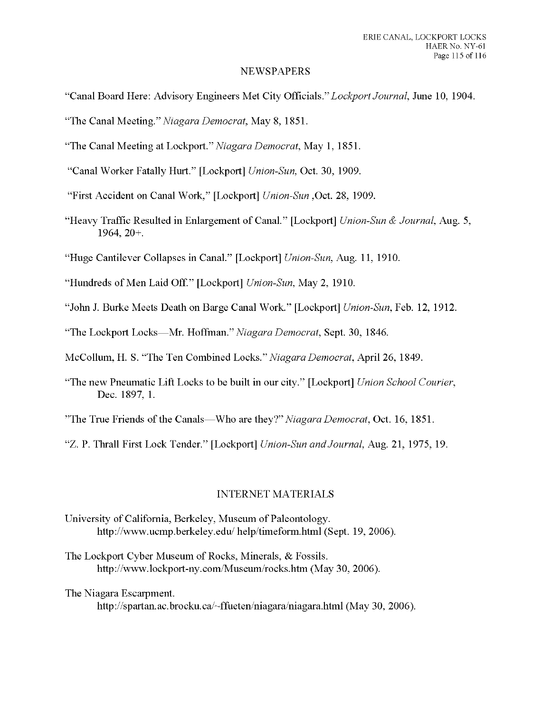#### NEWSPAPERS

- "Canal Board Here: Advisory Engineers Met City Officials.*" Lockport Journal,* June 10, 1904.
- "The Canal Meeting." *Niagara Democrat,* May 8, 1851.
- "The Canal Meeting at Lockport." *Niagara Democrat,* May 1, 1851.
- "Canal Worker Fatally Hurt." [Lockport] *Union-Sun,* Oct. 30, 1909.
- "First Accident on Canal Work," [Lockport] *Union-Sun* ,Oct. 28, 1909.
- "Heavy Traffic Resulted in Enlargement of Canal." [Lockport] *Union-Sun & Journal,* Aug. 5, 1964, 20+.
- "Huge Cantilever Collapses in Canal." [Lockport] *Union-Sun,* Aug. 11, 1910.
- "Hundreds of Men Laid Off." [Lockport] *Union-Sun,* May 2, 1910.
- "John J. Burke Meets Death on Barge Canal Work." [Lockport] *Union-Sun,* Feb. 12, 1912.
- "The Lockport Locks—Mr. Hoffman." *Niagara Democrat,* Sept. 30, 1846.
- McCollum, H. S. "The Ten Combined Locks." *Niagara Democrat,* April 26, 1849.
- "The new Pneumatic Lift Locks to be built in our city." [Lockport] *Union School Courier,* Dec. 1897, 1.
- "The True Friends of the Canals—Who are they?" *Niagara Democrat*, Oct. 16, 1851.
- "Z. P. Thrall First Lock Tender." [Lockport] *Union-Sun andJournal,* Aug. 21, 1975, 19.

### INTERNET MATERIALS

- University of California, Berkeley, Museum of Paleontology. http://www.ucmp.berkeley.edu/ help/timeform.html (Sept. 19, 2006).
- The Lockport Cyber Museum of Rocks, Minerals, & Fossils. http://www.lockport-ny.com/Museum/rocks.htm (May 30, 2006).

The Niagara Escarpment.

http://spartan.ac.brocku.ca/~ffueten/niagara/niagara.html (May 30, 2006).